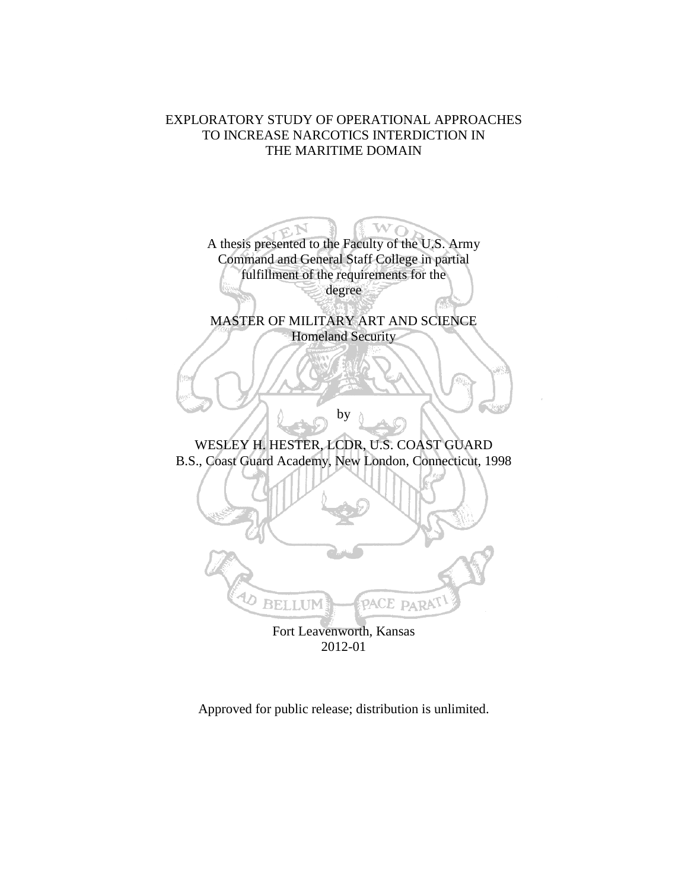## EXPLORATORY STUDY OF OPERATIONAL APPROACHES TO INCREASE NARCOTICS INTERDICTION IN THE MARITIME DOMAIN

A thesis presented to the Faculty of the U.S. Army  $\mathbf{w_{O}}$ Command and General Staff College in partial fulfillment of the requirements for the degree MASTER OF MILITARY ART AND SCIENCE Homeland Security by WESLEY H. HESTER, LCDR, U.S. COAST GUARD B.S., Coast Guard Academy, New London, Connecticut, 1998 **BELLUM** PACE PARA Fort Leavenworth, Kansas 2012-01

Approved for public release; distribution is unlimited.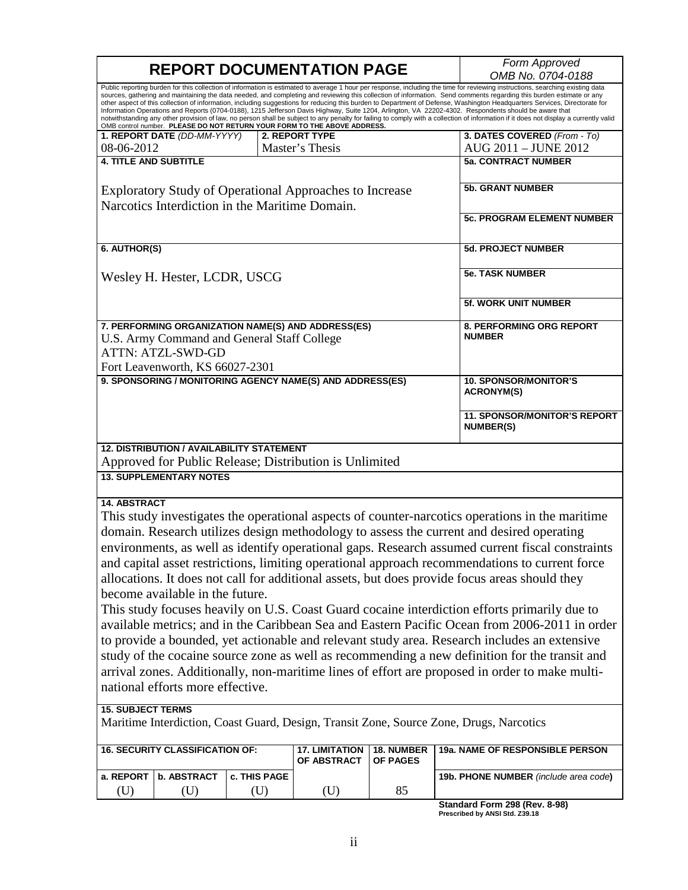|                              |                                                                                                            |              | <b>REPORT DOCUMENTATION PAGE</b>                                         |                        | Form Approved<br>OMB No. 0704-0188                                                                                                                                                                                                                                                                                                                                                                                                                                                                                                                                                                                                                                                                                                                                                                                                                                                                                                                                                                    |
|------------------------------|------------------------------------------------------------------------------------------------------------|--------------|--------------------------------------------------------------------------|------------------------|-------------------------------------------------------------------------------------------------------------------------------------------------------------------------------------------------------------------------------------------------------------------------------------------------------------------------------------------------------------------------------------------------------------------------------------------------------------------------------------------------------------------------------------------------------------------------------------------------------------------------------------------------------------------------------------------------------------------------------------------------------------------------------------------------------------------------------------------------------------------------------------------------------------------------------------------------------------------------------------------------------|
|                              |                                                                                                            |              | OMB control number. PLEASE DO NOT RETURN YOUR FORM TO THE ABOVE ADDRESS. |                        | Public reporting burden for this collection of information is estimated to average 1 hour per response, including the time for reviewing instructions, searching existing data<br>sources, gathering and maintaining the data needed, and completing and reviewing this collection of information. Send comments regarding this burden estimate or any<br>other aspect of this collection of information, including suggestions for reducing this burden to Department of Defense, Washington Headquarters Services, Directorate for<br>Information Operations and Reports (0704-0188), 1215 Jefferson Davis Highway, Suite 1204, Arlington, VA 22202-4302. Respondents should be aware that<br>notwithstanding any other provision of law, no person shall be subject to any penalty for failing to comply with a collection of information if it does not display a currently valid                                                                                                                 |
|                              | 1. REPORT DATE (DD-MM-YYYY)                                                                                |              | <b>2. REPORT TYPE</b>                                                    |                        | 3. DATES COVERED (From - To)                                                                                                                                                                                                                                                                                                                                                                                                                                                                                                                                                                                                                                                                                                                                                                                                                                                                                                                                                                          |
| 08-06-2012                   |                                                                                                            |              | Master's Thesis                                                          |                        | AUG 2011 - JUNE 2012                                                                                                                                                                                                                                                                                                                                                                                                                                                                                                                                                                                                                                                                                                                                                                                                                                                                                                                                                                                  |
| <b>4. TITLE AND SUBTITLE</b> |                                                                                                            |              |                                                                          |                        | <b>5a. CONTRACT NUMBER</b>                                                                                                                                                                                                                                                                                                                                                                                                                                                                                                                                                                                                                                                                                                                                                                                                                                                                                                                                                                            |
|                              | Narcotics Interdiction in the Maritime Domain.                                                             |              | <b>Exploratory Study of Operational Approaches to Increase</b>           |                        | <b>5b. GRANT NUMBER</b>                                                                                                                                                                                                                                                                                                                                                                                                                                                                                                                                                                                                                                                                                                                                                                                                                                                                                                                                                                               |
|                              |                                                                                                            |              |                                                                          |                        | <b>5c. PROGRAM ELEMENT NUMBER</b>                                                                                                                                                                                                                                                                                                                                                                                                                                                                                                                                                                                                                                                                                                                                                                                                                                                                                                                                                                     |
| 6. AUTHOR(S)                 |                                                                                                            |              |                                                                          |                        | <b>5d. PROJECT NUMBER</b>                                                                                                                                                                                                                                                                                                                                                                                                                                                                                                                                                                                                                                                                                                                                                                                                                                                                                                                                                                             |
|                              | Wesley H. Hester, LCDR, USCG                                                                               |              |                                                                          |                        | <b>5e. TASK NUMBER</b>                                                                                                                                                                                                                                                                                                                                                                                                                                                                                                                                                                                                                                                                                                                                                                                                                                                                                                                                                                                |
|                              |                                                                                                            |              |                                                                          |                        | 5f. WORK UNIT NUMBER                                                                                                                                                                                                                                                                                                                                                                                                                                                                                                                                                                                                                                                                                                                                                                                                                                                                                                                                                                                  |
|                              | U.S. Army Command and General Staff College<br><b>ATTN: ATZL-SWD-GD</b><br>Fort Leavenworth, KS 66027-2301 |              | 7. PERFORMING ORGANIZATION NAME(S) AND ADDRESS(ES)                       |                        | 8. PERFORMING ORG REPORT<br><b>NUMBER</b>                                                                                                                                                                                                                                                                                                                                                                                                                                                                                                                                                                                                                                                                                                                                                                                                                                                                                                                                                             |
|                              |                                                                                                            |              | 9. SPONSORING / MONITORING AGENCY NAME(S) AND ADDRESS(ES)                |                        | <b>10. SPONSOR/MONITOR'S</b><br><b>ACRONYM(S)</b>                                                                                                                                                                                                                                                                                                                                                                                                                                                                                                                                                                                                                                                                                                                                                                                                                                                                                                                                                     |
|                              |                                                                                                            |              |                                                                          |                        | <b>11. SPONSOR/MONITOR'S REPORT</b><br><b>NUMBER(S)</b>                                                                                                                                                                                                                                                                                                                                                                                                                                                                                                                                                                                                                                                                                                                                                                                                                                                                                                                                               |
|                              | <b>12. DISTRIBUTION / AVAILABILITY STATEMENT</b>                                                           |              | Approved for Public Release; Distribution is Unlimited                   |                        |                                                                                                                                                                                                                                                                                                                                                                                                                                                                                                                                                                                                                                                                                                                                                                                                                                                                                                                                                                                                       |
|                              | <b>13. SUPPLEMENTARY NOTES</b>                                                                             |              |                                                                          |                        |                                                                                                                                                                                                                                                                                                                                                                                                                                                                                                                                                                                                                                                                                                                                                                                                                                                                                                                                                                                                       |
| <b>14. ABSTRACT</b>          | become available in the future.                                                                            |              |                                                                          |                        | This study investigates the operational aspects of counter-narcotics operations in the maritime<br>domain. Research utilizes design methodology to assess the current and desired operating<br>environments, as well as identify operational gaps. Research assumed current fiscal constraints<br>and capital asset restrictions, limiting operational approach recommendations to current force<br>allocations. It does not call for additional assets, but does provide focus areas should they<br>This study focuses heavily on U.S. Coast Guard cocaine interdiction efforts primarily due to<br>available metrics; and in the Caribbean Sea and Eastern Pacific Ocean from 2006-2011 in order<br>to provide a bounded, yet actionable and relevant study area. Research includes an extensive<br>study of the cocaine source zone as well as recommending a new definition for the transit and<br>arrival zones. Additionally, non-maritime lines of effort are proposed in order to make multi- |
|                              | national efforts more effective.                                                                           |              |                                                                          |                        |                                                                                                                                                                                                                                                                                                                                                                                                                                                                                                                                                                                                                                                                                                                                                                                                                                                                                                                                                                                                       |
| <b>15. SUBJECT TERMS</b>     |                                                                                                            |              |                                                                          |                        | Maritime Interdiction, Coast Guard, Design, Transit Zone, Source Zone, Drugs, Narcotics                                                                                                                                                                                                                                                                                                                                                                                                                                                                                                                                                                                                                                                                                                                                                                                                                                                                                                               |
|                              | <b>16. SECURITY CLASSIFICATION OF:</b>                                                                     |              | <b>17. LIMITATION</b><br>OF ABSTRACT                                     | 18. NUMBER<br>OF PAGES | 19a. NAME OF RESPONSIBLE PERSON                                                                                                                                                                                                                                                                                                                                                                                                                                                                                                                                                                                                                                                                                                                                                                                                                                                                                                                                                                       |
| a. REPORT                    | <b>b. ABSTRACT</b>                                                                                         | c. THIS PAGE |                                                                          |                        | 19b. PHONE NUMBER (include area code)                                                                                                                                                                                                                                                                                                                                                                                                                                                                                                                                                                                                                                                                                                                                                                                                                                                                                                                                                                 |
| (U)                          | (U)                                                                                                        | (U)          | (U)                                                                      | 85                     |                                                                                                                                                                                                                                                                                                                                                                                                                                                                                                                                                                                                                                                                                                                                                                                                                                                                                                                                                                                                       |

**Standard Form 298 (Rev. 8-98) Prescribed by ANSI Std. Z39.18**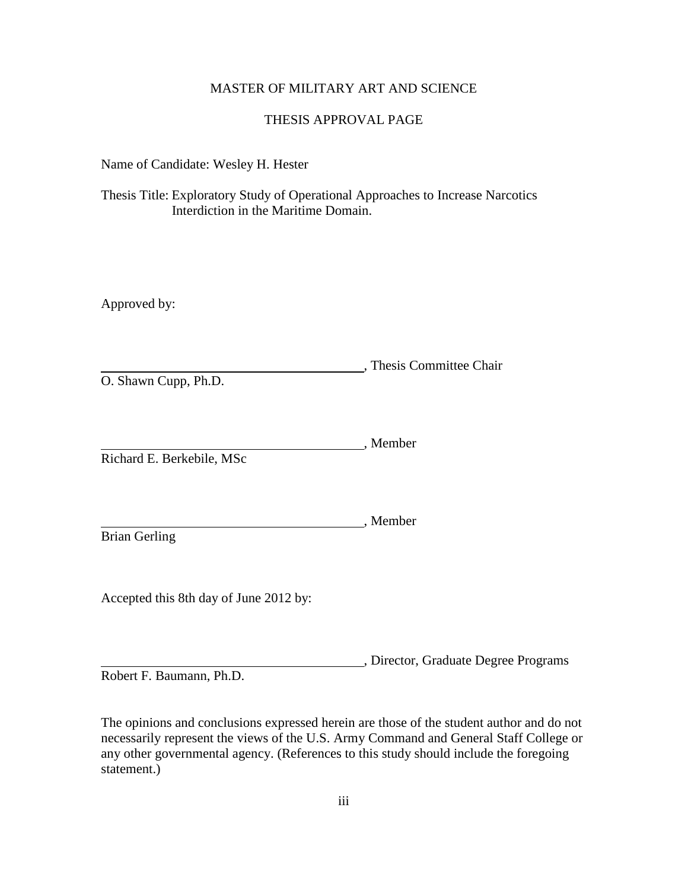## MASTER OF MILITARY ART AND SCIENCE

## THESIS APPROVAL PAGE

Name of Candidate: Wesley H. Hester

Thesis Title: Exploratory Study of Operational Approaches to Increase Narcotics Interdiction in the Maritime Domain.

Approved by:

, Thesis Committee Chair O. Shawn Cupp, Ph.D.

, Member Richard E. Berkebile, MSc

Brian Gerling

Accepted this 8th day of June 2012 by:

, Director, Graduate Degree Programs

, Member

Robert F. Baumann, Ph.D.

The opinions and conclusions expressed herein are those of the student author and do not necessarily represent the views of the U.S. Army Command and General Staff College or any other governmental agency. (References to this study should include the foregoing statement.)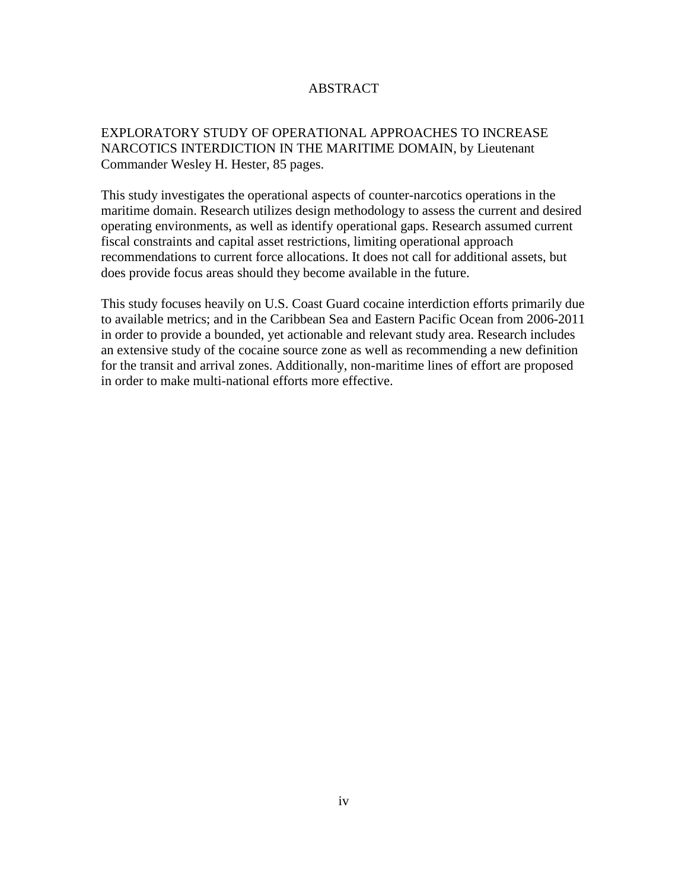## ABSTRACT

## EXPLORATORY STUDY OF OPERATIONAL APPROACHES TO INCREASE NARCOTICS INTERDICTION IN THE MARITIME DOMAIN, by Lieutenant Commander Wesley H. Hester, 85 pages.

This study investigates the operational aspects of counter-narcotics operations in the maritime domain. Research utilizes design methodology to assess the current and desired operating environments, as well as identify operational gaps. Research assumed current fiscal constraints and capital asset restrictions, limiting operational approach recommendations to current force allocations. It does not call for additional assets, but does provide focus areas should they become available in the future.

This study focuses heavily on U.S. Coast Guard cocaine interdiction efforts primarily due to available metrics; and in the Caribbean Sea and Eastern Pacific Ocean from 2006-2011 in order to provide a bounded, yet actionable and relevant study area. Research includes an extensive study of the cocaine source zone as well as recommending a new definition for the transit and arrival zones. Additionally, non-maritime lines of effort are proposed in order to make multi-national efforts more effective.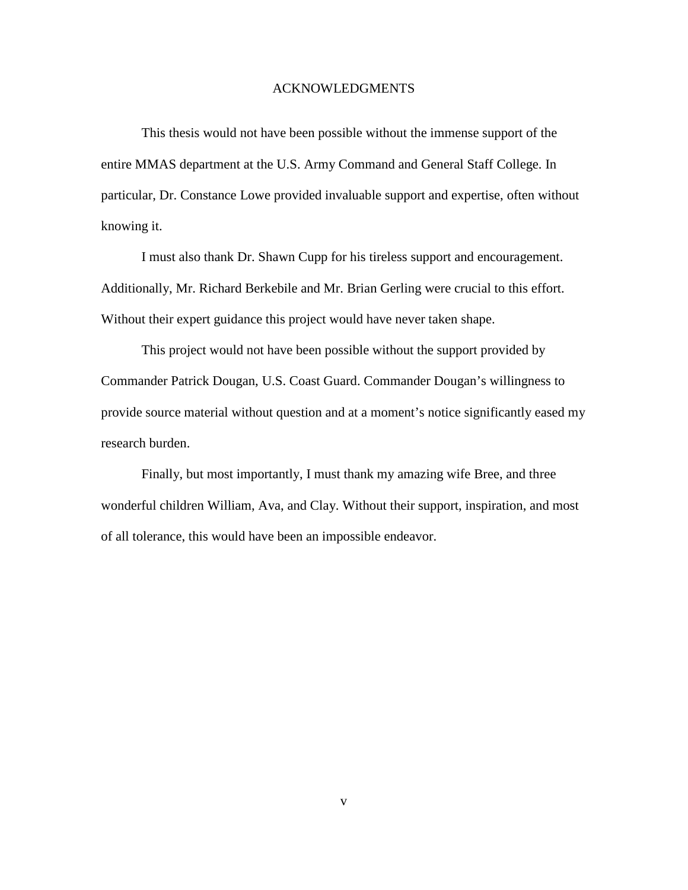#### ACKNOWLEDGMENTS

This thesis would not have been possible without the immense support of the entire MMAS department at the U.S. Army Command and General Staff College. In particular, Dr. Constance Lowe provided invaluable support and expertise, often without knowing it.

I must also thank Dr. Shawn Cupp for his tireless support and encouragement. Additionally, Mr. Richard Berkebile and Mr. Brian Gerling were crucial to this effort. Without their expert guidance this project would have never taken shape.

This project would not have been possible without the support provided by Commander Patrick Dougan, U.S. Coast Guard. Commander Dougan's willingness to provide source material without question and at a moment's notice significantly eased my research burden.

Finally, but most importantly, I must thank my amazing wife Bree, and three wonderful children William, Ava, and Clay. Without their support, inspiration, and most of all tolerance, this would have been an impossible endeavor.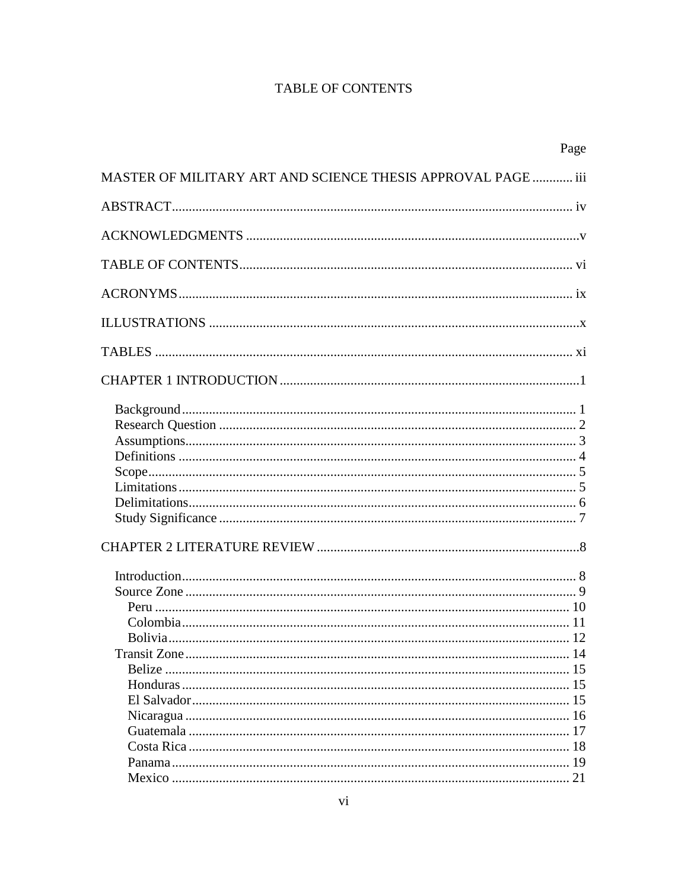# **TABLE OF CONTENTS**

| Page                                                         |  |
|--------------------------------------------------------------|--|
| MASTER OF MILITARY ART AND SCIENCE THESIS APPROVAL PAGE  iii |  |
|                                                              |  |
|                                                              |  |
|                                                              |  |
|                                                              |  |
|                                                              |  |
|                                                              |  |
|                                                              |  |
|                                                              |  |
|                                                              |  |
|                                                              |  |
|                                                              |  |
|                                                              |  |
|                                                              |  |
|                                                              |  |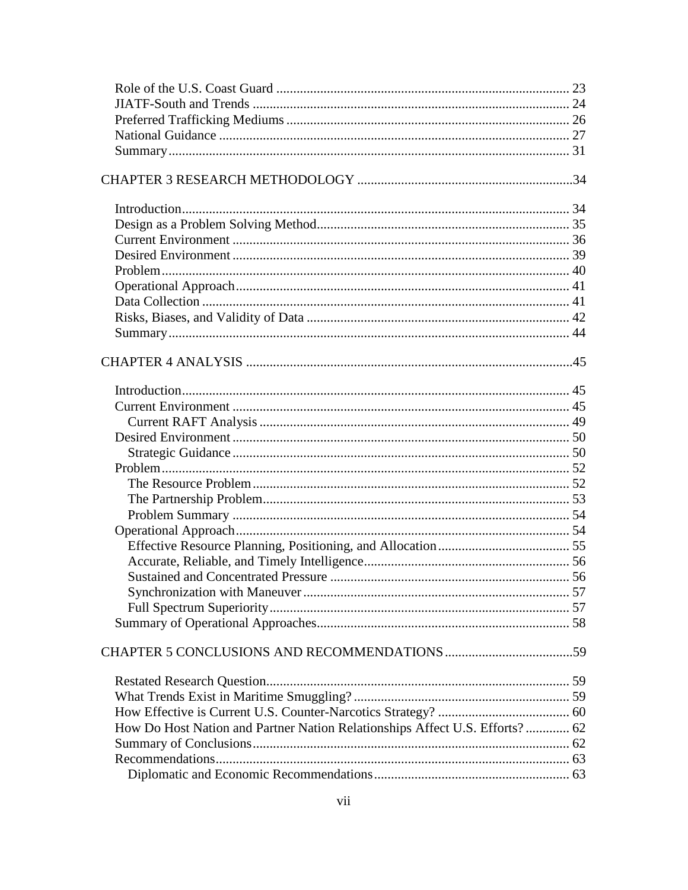| How Do Host Nation and Partner Nation Relationships Affect U.S. Efforts? 62 |  |
|-----------------------------------------------------------------------------|--|
|                                                                             |  |
|                                                                             |  |
|                                                                             |  |
|                                                                             |  |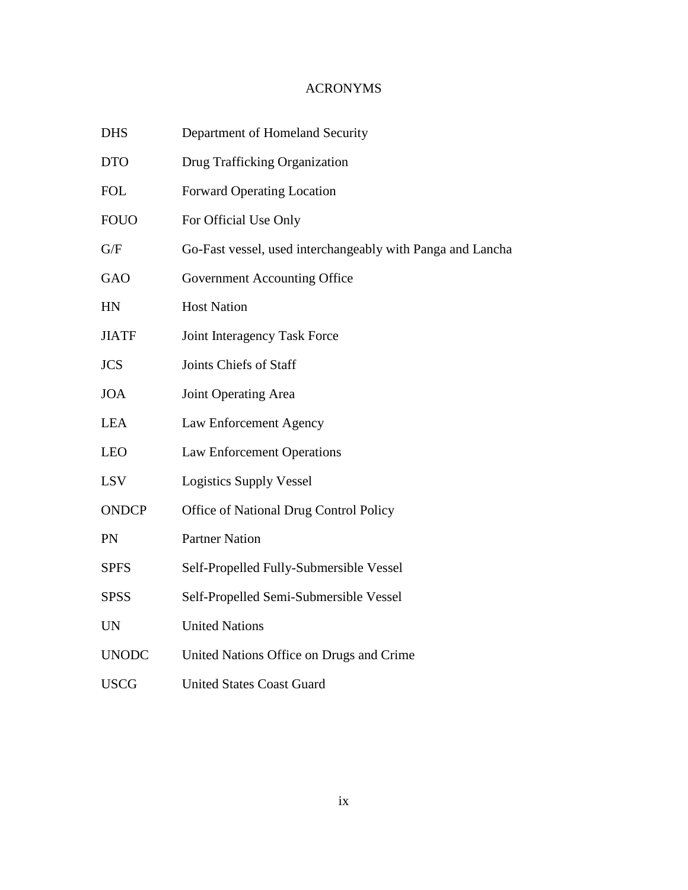# ACRONYMS

| <b>DHS</b>   | Department of Homeland Security                            |
|--------------|------------------------------------------------------------|
| <b>DTO</b>   | Drug Trafficking Organization                              |
| <b>FOL</b>   | <b>Forward Operating Location</b>                          |
| <b>FOUO</b>  | For Official Use Only                                      |
| G/F          | Go-Fast vessel, used interchangeably with Panga and Lancha |
| GAO          | Government Accounting Office                               |
| HN           | <b>Host Nation</b>                                         |
| <b>JIATF</b> | Joint Interagency Task Force                               |
| <b>JCS</b>   | Joints Chiefs of Staff                                     |
| <b>JOA</b>   | Joint Operating Area                                       |
| <b>LEA</b>   | Law Enforcement Agency                                     |
| <b>LEO</b>   | <b>Law Enforcement Operations</b>                          |
| <b>LSV</b>   | <b>Logistics Supply Vessel</b>                             |
| <b>ONDCP</b> | Office of National Drug Control Policy                     |
| PN           | <b>Partner Nation</b>                                      |
| <b>SPFS</b>  | Self-Propelled Fully-Submersible Vessel                    |
| <b>SPSS</b>  | Self-Propelled Semi-Submersible Vessel                     |
| <b>UN</b>    | <b>United Nations</b>                                      |
| <b>UNODC</b> | United Nations Office on Drugs and Crime                   |
| <b>USCG</b>  | <b>United States Coast Guard</b>                           |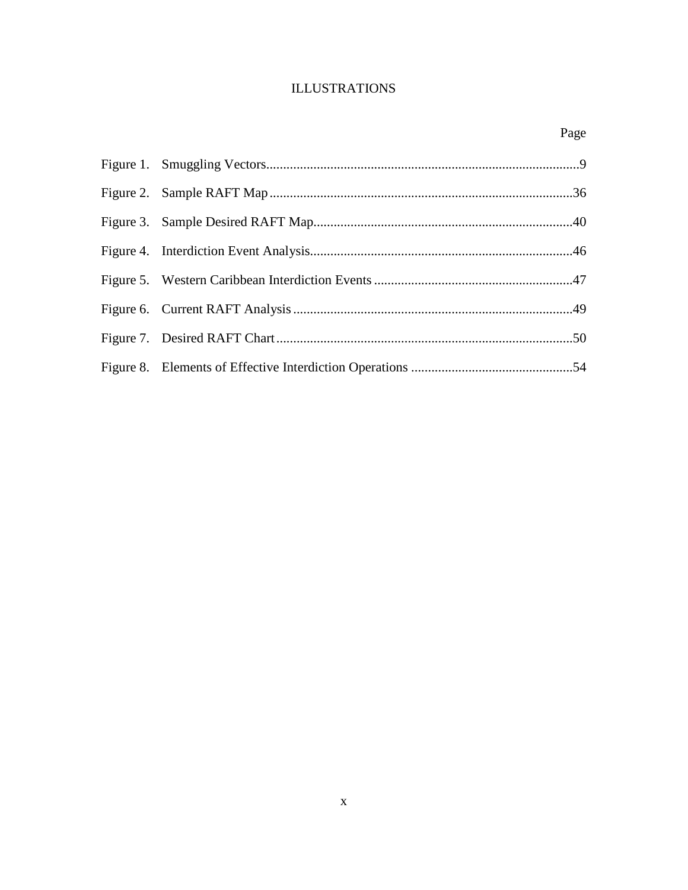# ILLUSTRATIONS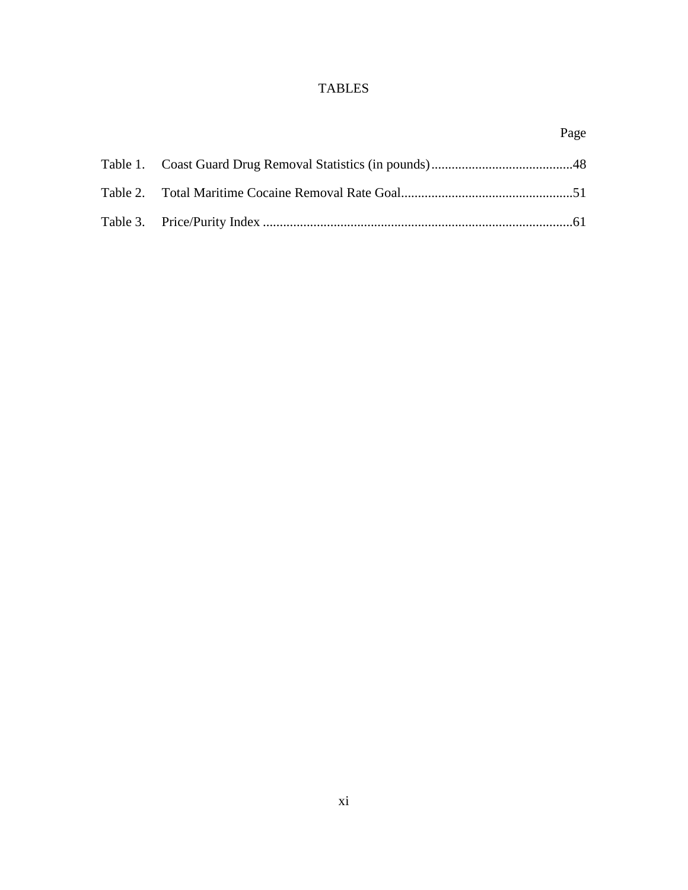# TABLES

### Page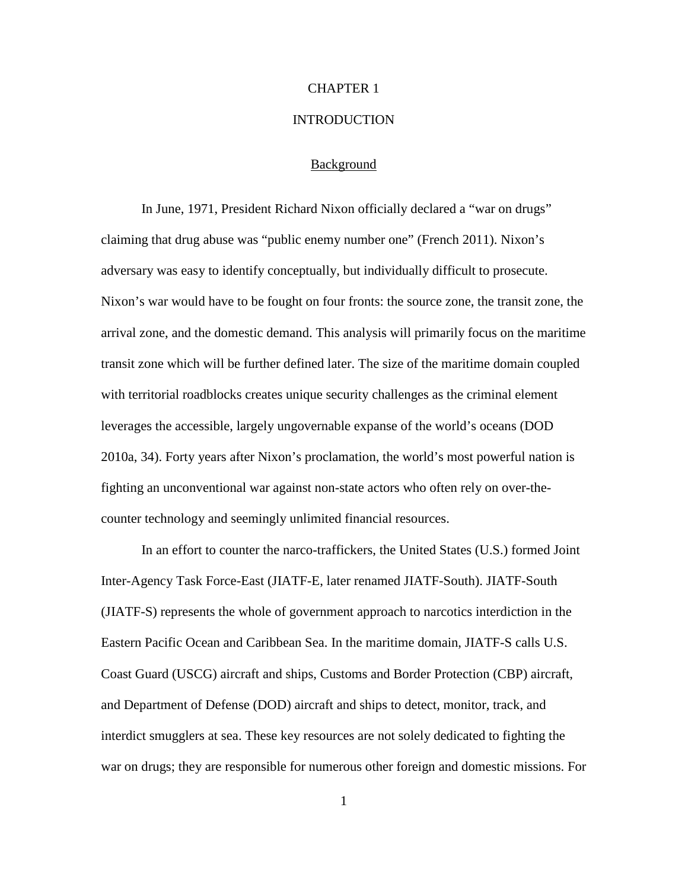# CHAPTER 1

#### **INTRODUCTION**

#### Background

In June, 1971, President Richard Nixon officially declared a "war on drugs" claiming that drug abuse was "public enemy number one" (French 2011). Nixon's adversary was easy to identify conceptually, but individually difficult to prosecute. Nixon's war would have to be fought on four fronts: the source zone, the transit zone, the arrival zone, and the domestic demand. This analysis will primarily focus on the maritime transit zone which will be further defined later. The size of the maritime domain coupled with territorial roadblocks creates unique security challenges as the criminal element leverages the accessible, largely ungovernable expanse of the world's oceans (DOD 2010a, 34). Forty years after Nixon's proclamation, the world's most powerful nation is fighting an unconventional war against non-state actors who often rely on over-thecounter technology and seemingly unlimited financial resources.

In an effort to counter the narco-traffickers, the United States (U.S.) formed Joint Inter-Agency Task Force-East (JIATF-E, later renamed JIATF-South). JIATF-South (JIATF-S) represents the whole of government approach to narcotics interdiction in the Eastern Pacific Ocean and Caribbean Sea. In the maritime domain, JIATF-S calls U.S. Coast Guard (USCG) aircraft and ships, Customs and Border Protection (CBP) aircraft, and Department of Defense (DOD) aircraft and ships to detect, monitor, track, and interdict smugglers at sea. These key resources are not solely dedicated to fighting the war on drugs; they are responsible for numerous other foreign and domestic missions. For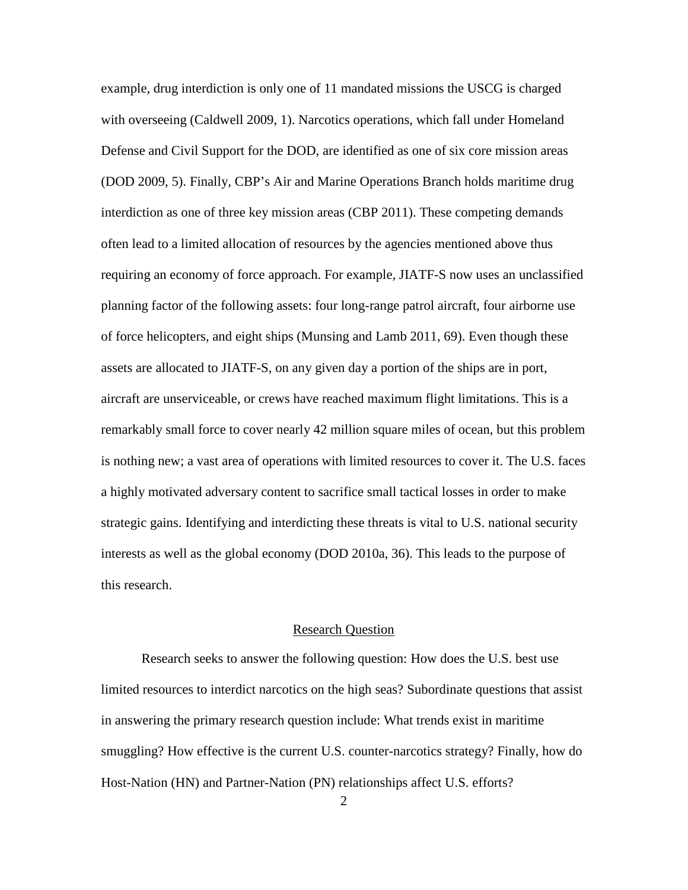example, drug interdiction is only one of 11 mandated missions the USCG is charged with overseeing (Caldwell 2009, 1). Narcotics operations, which fall under Homeland Defense and Civil Support for the DOD, are identified as one of six core mission areas (DOD 2009, 5). Finally, CBP's Air and Marine Operations Branch holds maritime drug interdiction as one of three key mission areas (CBP 2011). These competing demands often lead to a limited allocation of resources by the agencies mentioned above thus requiring an economy of force approach. For example, JIATF-S now uses an unclassified planning factor of the following assets: four long-range patrol aircraft, four airborne use of force helicopters, and eight ships (Munsing and Lamb 2011, 69). Even though these assets are allocated to JIATF-S, on any given day a portion of the ships are in port, aircraft are unserviceable, or crews have reached maximum flight limitations. This is a remarkably small force to cover nearly 42 million square miles of ocean, but this problem is nothing new; a vast area of operations with limited resources to cover it. The U.S. faces a highly motivated adversary content to sacrifice small tactical losses in order to make strategic gains. Identifying and interdicting these threats is vital to U.S. national security interests as well as the global economy (DOD 2010a, 36). This leads to the purpose of this research.

### Research Question

Research seeks to answer the following question: How does the U.S. best use limited resources to interdict narcotics on the high seas? Subordinate questions that assist in answering the primary research question include: What trends exist in maritime smuggling? How effective is the current U.S. counter-narcotics strategy? Finally, how do Host-Nation (HN) and Partner-Nation (PN) relationships affect U.S. efforts?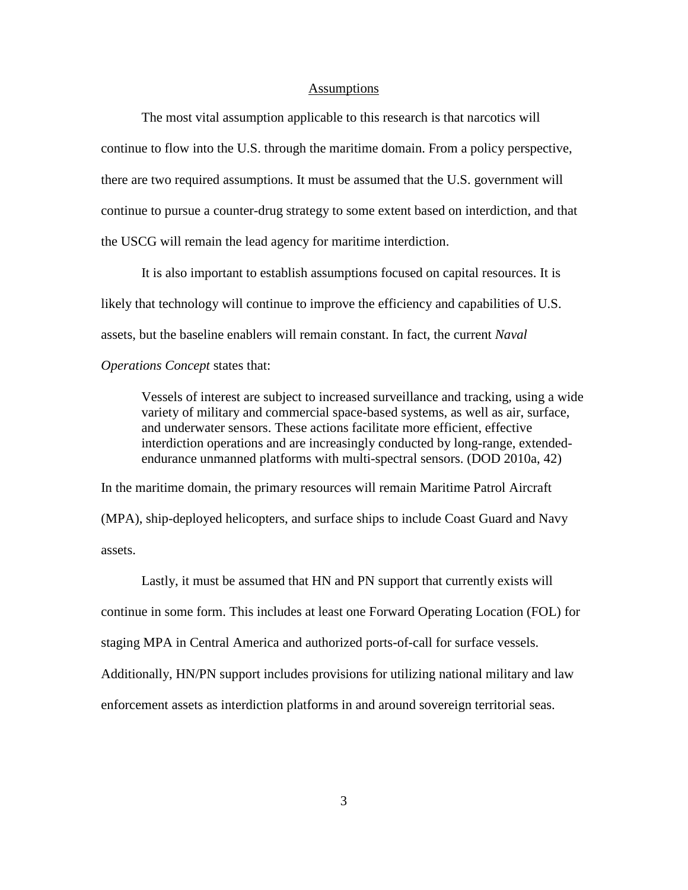#### **Assumptions**

The most vital assumption applicable to this research is that narcotics will continue to flow into the U.S. through the maritime domain. From a policy perspective, there are two required assumptions. It must be assumed that the U.S. government will continue to pursue a counter-drug strategy to some extent based on interdiction, and that the USCG will remain the lead agency for maritime interdiction.

It is also important to establish assumptions focused on capital resources. It is likely that technology will continue to improve the efficiency and capabilities of U.S. assets, but the baseline enablers will remain constant. In fact, the current *Naval Operations Concept* states that:

Vessels of interest are subject to increased surveillance and tracking, using a wide variety of military and commercial space-based systems, as well as air, surface, and underwater sensors. These actions facilitate more efficient, effective interdiction operations and are increasingly conducted by long-range, extendedendurance unmanned platforms with multi-spectral sensors. (DOD 2010a, 42)

In the maritime domain, the primary resources will remain Maritime Patrol Aircraft (MPA), ship-deployed helicopters, and surface ships to include Coast Guard and Navy assets.

Lastly, it must be assumed that HN and PN support that currently exists will continue in some form. This includes at least one Forward Operating Location (FOL) for staging MPA in Central America and authorized ports-of-call for surface vessels. Additionally, HN/PN support includes provisions for utilizing national military and law enforcement assets as interdiction platforms in and around sovereign territorial seas.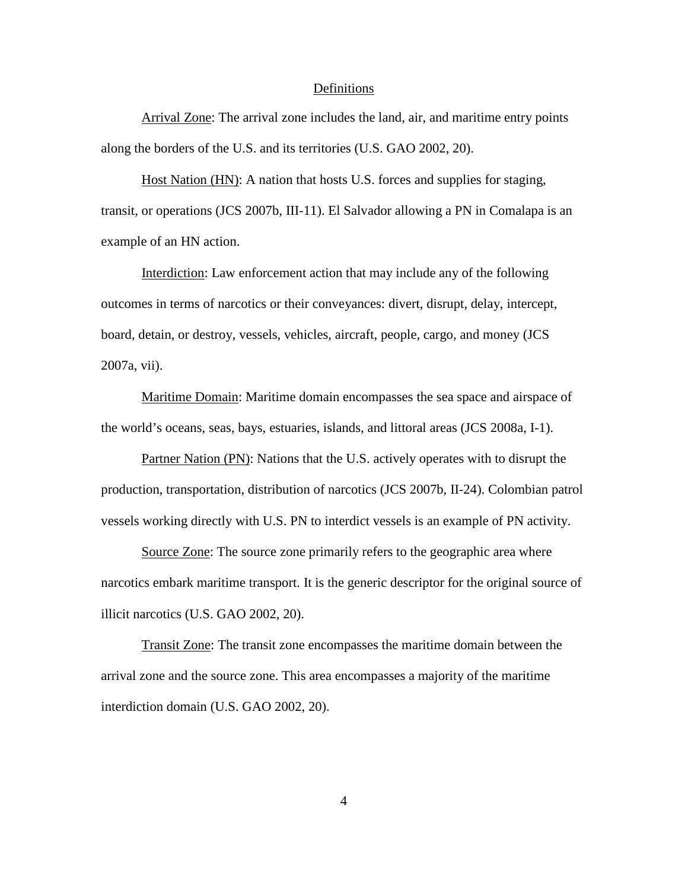#### Definitions

Arrival Zone: The arrival zone includes the land, air, and maritime entry points along the borders of the U.S. and its territories (U.S. GAO 2002, 20).

Host Nation (HN): A nation that hosts U.S. forces and supplies for staging, transit, or operations (JCS 2007b, III-11). El Salvador allowing a PN in Comalapa is an example of an HN action.

Interdiction: Law enforcement action that may include any of the following outcomes in terms of narcotics or their conveyances: divert, disrupt, delay, intercept, board, detain, or destroy, vessels, vehicles, aircraft, people, cargo, and money (JCS 2007a, vii).

Maritime Domain: Maritime domain encompasses the sea space and airspace of the world's oceans, seas, bays, estuaries, islands, and littoral areas (JCS 2008a, I-1).

Partner Nation (PN): Nations that the U.S. actively operates with to disrupt the production, transportation, distribution of narcotics (JCS 2007b, II-24). Colombian patrol vessels working directly with U.S. PN to interdict vessels is an example of PN activity.

Source Zone: The source zone primarily refers to the geographic area where narcotics embark maritime transport. It is the generic descriptor for the original source of illicit narcotics (U.S. GAO 2002, 20).

Transit Zone: The transit zone encompasses the maritime domain between the arrival zone and the source zone. This area encompasses a majority of the maritime interdiction domain (U.S. GAO 2002, 20).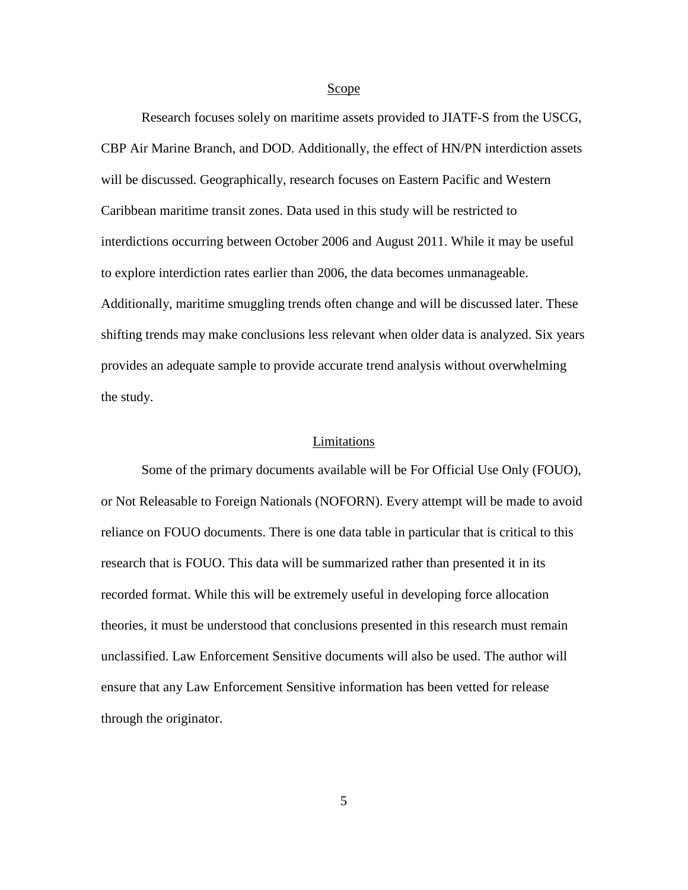#### Scope

Research focuses solely on maritime assets provided to JIATF-S from the USCG, CBP Air Marine Branch, and DOD. Additionally, the effect of HN/PN interdiction assets will be discussed. Geographically, research focuses on Eastern Pacific and Western Caribbean maritime transit zones. Data used in this study will be restricted to interdictions occurring between October 2006 and August 2011. While it may be useful to explore interdiction rates earlier than 2006, the data becomes unmanageable. Additionally, maritime smuggling trends often change and will be discussed later. These shifting trends may make conclusions less relevant when older data is analyzed. Six years provides an adequate sample to provide accurate trend analysis without overwhelming the study.

#### Limitations

Some of the primary documents available will be For Official Use Only (FOUO), or Not Releasable to Foreign Nationals (NOFORN). Every attempt will be made to avoid reliance on FOUO documents. There is one data table in particular that is critical to this research that is FOUO. This data will be summarized rather than presented it in its recorded format. While this will be extremely useful in developing force allocation theories, it must be understood that conclusions presented in this research must remain unclassified. Law Enforcement Sensitive documents will also be used. The author will ensure that any Law Enforcement Sensitive information has been vetted for release through the originator.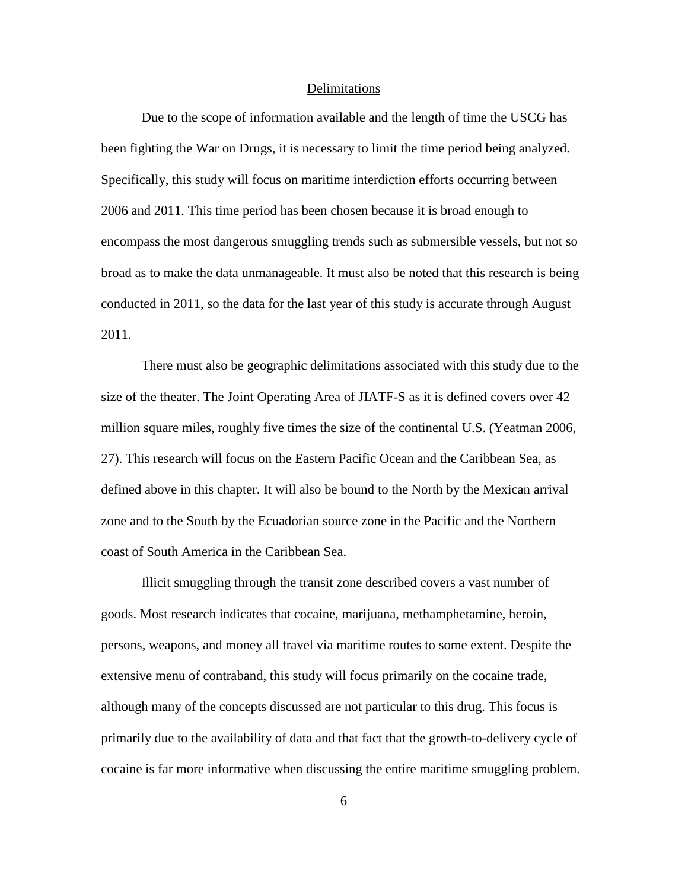#### Delimitations

Due to the scope of information available and the length of time the USCG has been fighting the War on Drugs, it is necessary to limit the time period being analyzed. Specifically, this study will focus on maritime interdiction efforts occurring between 2006 and 2011. This time period has been chosen because it is broad enough to encompass the most dangerous smuggling trends such as submersible vessels, but not so broad as to make the data unmanageable. It must also be noted that this research is being conducted in 2011, so the data for the last year of this study is accurate through August 2011.

There must also be geographic delimitations associated with this study due to the size of the theater. The Joint Operating Area of JIATF-S as it is defined covers over 42 million square miles, roughly five times the size of the continental U.S. (Yeatman 2006, 27). This research will focus on the Eastern Pacific Ocean and the Caribbean Sea, as defined above in this chapter. It will also be bound to the North by the Mexican arrival zone and to the South by the Ecuadorian source zone in the Pacific and the Northern coast of South America in the Caribbean Sea.

Illicit smuggling through the transit zone described covers a vast number of goods. Most research indicates that cocaine, marijuana, methamphetamine, heroin, persons, weapons, and money all travel via maritime routes to some extent. Despite the extensive menu of contraband, this study will focus primarily on the cocaine trade, although many of the concepts discussed are not particular to this drug. This focus is primarily due to the availability of data and that fact that the growth-to-delivery cycle of cocaine is far more informative when discussing the entire maritime smuggling problem.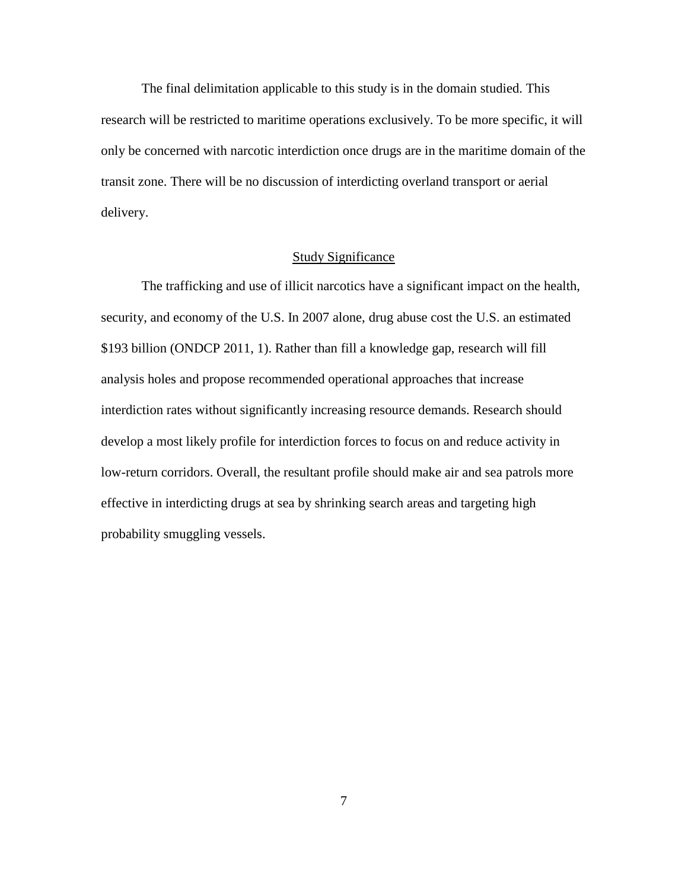The final delimitation applicable to this study is in the domain studied. This research will be restricted to maritime operations exclusively. To be more specific, it will only be concerned with narcotic interdiction once drugs are in the maritime domain of the transit zone. There will be no discussion of interdicting overland transport or aerial delivery.

### Study Significance

The trafficking and use of illicit narcotics have a significant impact on the health, security, and economy of the U.S. In 2007 alone, drug abuse cost the U.S. an estimated \$193 billion (ONDCP 2011, 1). Rather than fill a knowledge gap, research will fill analysis holes and propose recommended operational approaches that increase interdiction rates without significantly increasing resource demands. Research should develop a most likely profile for interdiction forces to focus on and reduce activity in low-return corridors. Overall, the resultant profile should make air and sea patrols more effective in interdicting drugs at sea by shrinking search areas and targeting high probability smuggling vessels.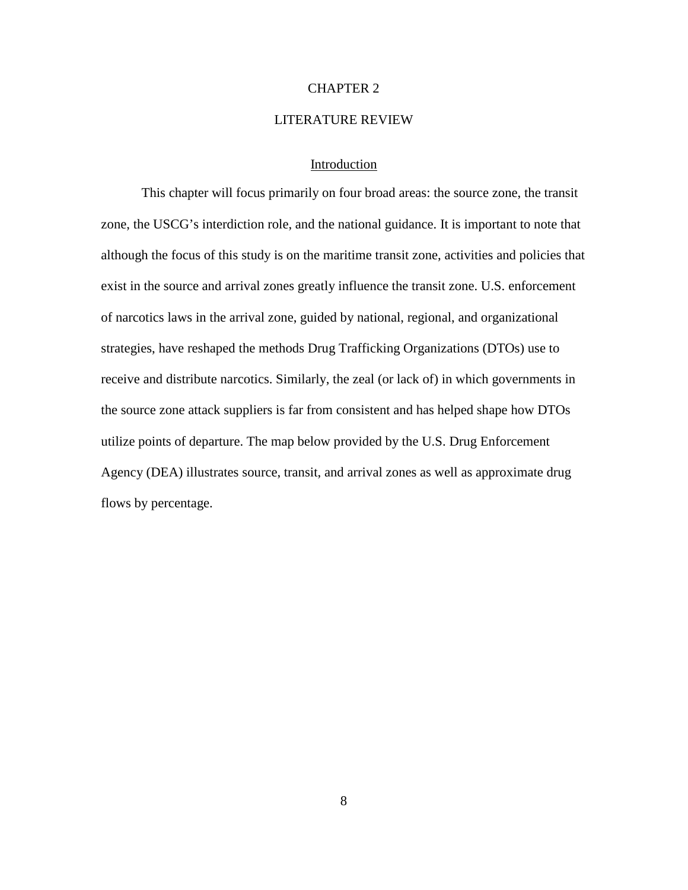#### CHAPTER 2

### LITERATURE REVIEW

### Introduction

This chapter will focus primarily on four broad areas: the source zone, the transit zone, the USCG's interdiction role, and the national guidance. It is important to note that although the focus of this study is on the maritime transit zone, activities and policies that exist in the source and arrival zones greatly influence the transit zone. U.S. enforcement of narcotics laws in the arrival zone, guided by national, regional, and organizational strategies, have reshaped the methods Drug Trafficking Organizations (DTOs) use to receive and distribute narcotics. Similarly, the zeal (or lack of) in which governments in the source zone attack suppliers is far from consistent and has helped shape how DTOs utilize points of departure. The map below provided by the U.S. Drug Enforcement Agency (DEA) illustrates source, transit, and arrival zones as well as approximate drug flows by percentage.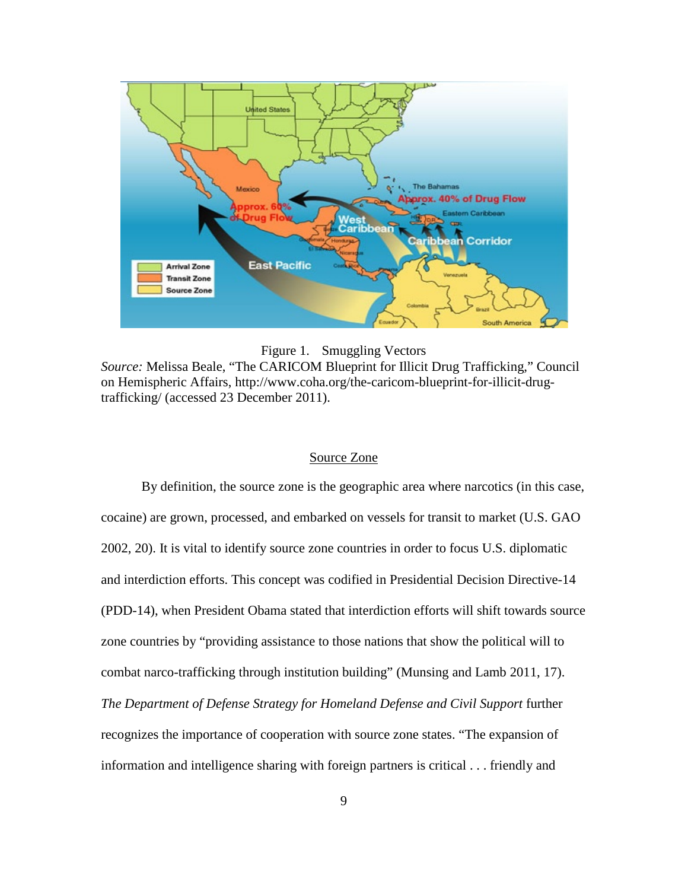



*Source:* Melissa Beale, "The CARICOM Blueprint for Illicit Drug Trafficking," Council on Hemispheric Affairs, http://www.coha.org/the-caricom-blueprint-for-illicit-drugtrafficking/ (accessed 23 December 2011).

## Source Zone

By definition, the source zone is the geographic area where narcotics (in this case, cocaine) are grown, processed, and embarked on vessels for transit to market (U.S. GAO 2002, 20). It is vital to identify source zone countries in order to focus U.S. diplomatic and interdiction efforts. This concept was codified in Presidential Decision Directive-14 (PDD-14), when President Obama stated that interdiction efforts will shift towards source zone countries by "providing assistance to those nations that show the political will to combat narco-trafficking through institution building" (Munsing and Lamb 2011, 17). *The Department of Defense Strategy for Homeland Defense and Civil Support* further recognizes the importance of cooperation with source zone states. "The expansion of information and intelligence sharing with foreign partners is critical . . . friendly and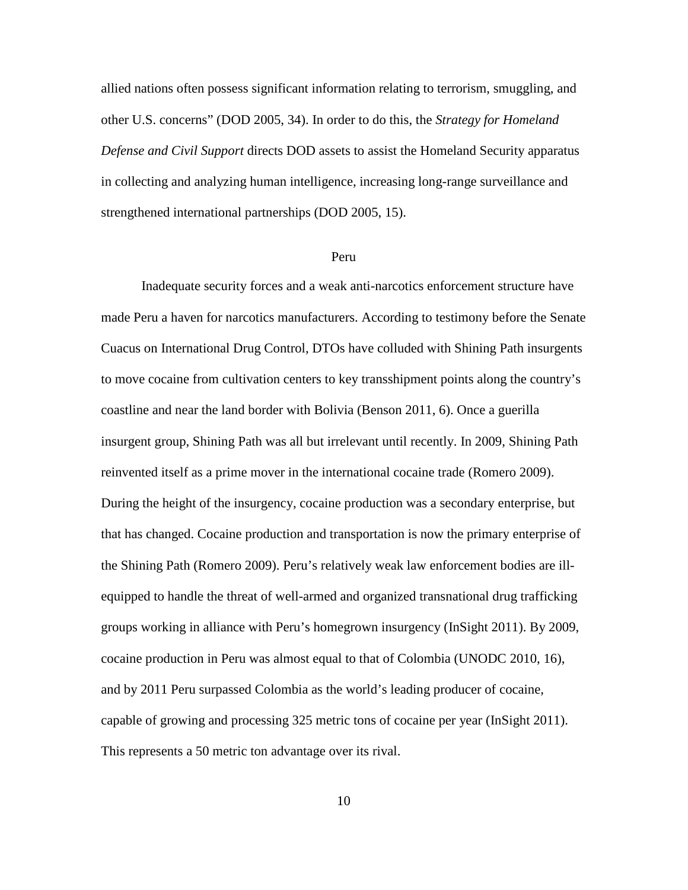allied nations often possess significant information relating to terrorism, smuggling, and other U.S. concerns" (DOD 2005, 34). In order to do this, the *Strategy for Homeland Defense and Civil Support* directs DOD assets to assist the Homeland Security apparatus in collecting and analyzing human intelligence, increasing long-range surveillance and strengthened international partnerships (DOD 2005, 15).

#### Peru

Inadequate security forces and a weak anti-narcotics enforcement structure have made Peru a haven for narcotics manufacturers. According to testimony before the Senate Cuacus on International Drug Control, DTOs have colluded with Shining Path insurgents to move cocaine from cultivation centers to key transshipment points along the country's coastline and near the land border with Bolivia (Benson 2011, 6). Once a guerilla insurgent group, Shining Path was all but irrelevant until recently. In 2009, Shining Path reinvented itself as a prime mover in the international cocaine trade (Romero 2009). During the height of the insurgency, cocaine production was a secondary enterprise, but that has changed. Cocaine production and transportation is now the primary enterprise of the Shining Path (Romero 2009). Peru's relatively weak law enforcement bodies are illequipped to handle the threat of well-armed and organized transnational drug trafficking groups working in alliance with Peru's homegrown insurgency (InSight 2011). By 2009, cocaine production in Peru was almost equal to that of Colombia (UNODC 2010, 16), and by 2011 Peru surpassed Colombia as the world's leading producer of cocaine, capable of growing and processing 325 metric tons of cocaine per year (InSight 2011). This represents a 50 metric ton advantage over its rival.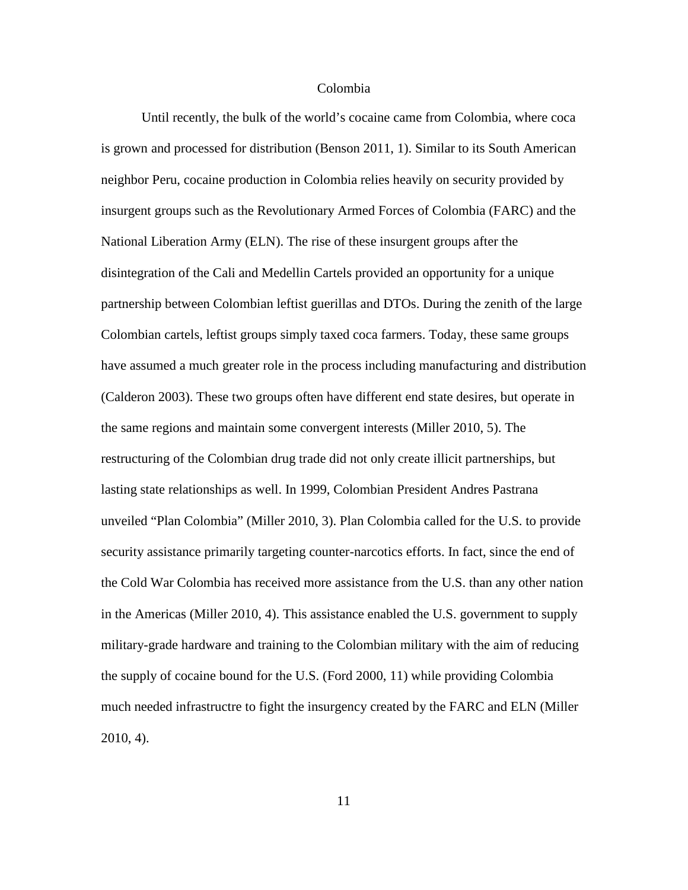### Colombia

Until recently, the bulk of the world's cocaine came from Colombia, where coca is grown and processed for distribution (Benson 2011, 1). Similar to its South American neighbor Peru, cocaine production in Colombia relies heavily on security provided by insurgent groups such as the Revolutionary Armed Forces of Colombia (FARC) and the National Liberation Army (ELN). The rise of these insurgent groups after the disintegration of the Cali and Medellin Cartels provided an opportunity for a unique partnership between Colombian leftist guerillas and DTOs. During the zenith of the large Colombian cartels, leftist groups simply taxed coca farmers. Today, these same groups have assumed a much greater role in the process including manufacturing and distribution (Calderon 2003). These two groups often have different end state desires, but operate in the same regions and maintain some convergent interests (Miller 2010, 5). The restructuring of the Colombian drug trade did not only create illicit partnerships, but lasting state relationships as well. In 1999, Colombian President Andres Pastrana unveiled "Plan Colombia" (Miller 2010, 3). Plan Colombia called for the U.S. to provide security assistance primarily targeting counter-narcotics efforts. In fact, since the end of the Cold War Colombia has received more assistance from the U.S. than any other nation in the Americas (Miller 2010, 4). This assistance enabled the U.S. government to supply military-grade hardware and training to the Colombian military with the aim of reducing the supply of cocaine bound for the U.S. (Ford 2000, 11) while providing Colombia much needed infrastructre to fight the insurgency created by the FARC and ELN (Miller 2010, 4).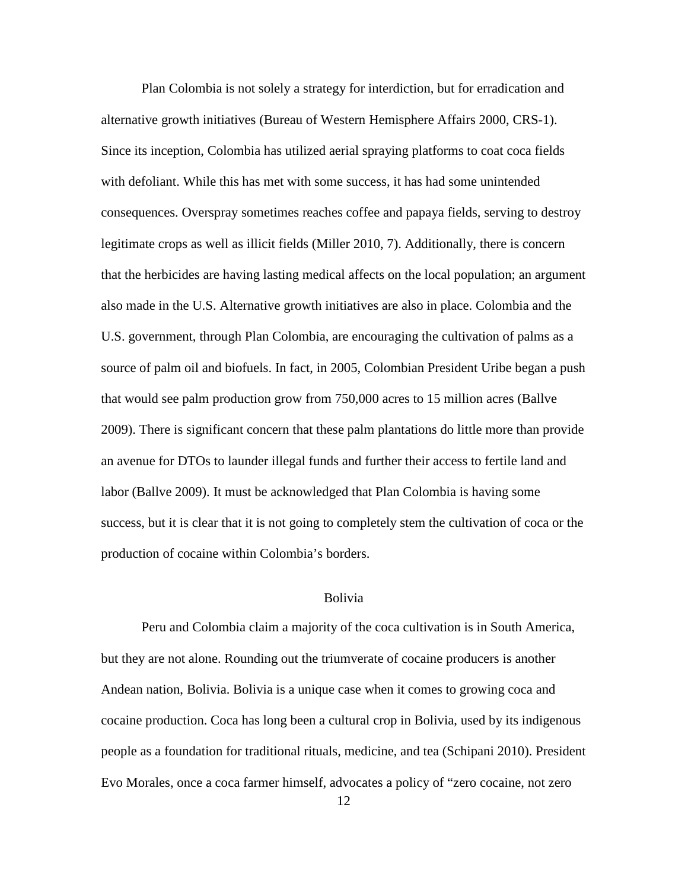Plan Colombia is not solely a strategy for interdiction, but for erradication and alternative growth initiatives (Bureau of Western Hemisphere Affairs 2000, CRS-1). Since its inception, Colombia has utilized aerial spraying platforms to coat coca fields with defoliant. While this has met with some success, it has had some unintended consequences. Overspray sometimes reaches coffee and papaya fields, serving to destroy legitimate crops as well as illicit fields (Miller 2010, 7). Additionally, there is concern that the herbicides are having lasting medical affects on the local population; an argument also made in the U.S. Alternative growth initiatives are also in place. Colombia and the U.S. government, through Plan Colombia, are encouraging the cultivation of palms as a source of palm oil and biofuels. In fact, in 2005, Colombian President Uribe began a push that would see palm production grow from 750,000 acres to 15 million acres (Ballve 2009). There is significant concern that these palm plantations do little more than provide an avenue for DTOs to launder illegal funds and further their access to fertile land and labor (Ballve 2009). It must be acknowledged that Plan Colombia is having some success, but it is clear that it is not going to completely stem the cultivation of coca or the production of cocaine within Colombia's borders.

### Bolivia

Peru and Colombia claim a majority of the coca cultivation is in South America, but they are not alone. Rounding out the triumverate of cocaine producers is another Andean nation, Bolivia. Bolivia is a unique case when it comes to growing coca and cocaine production. Coca has long been a cultural crop in Bolivia, used by its indigenous people as a foundation for traditional rituals, medicine, and tea (Schipani 2010). President Evo Morales, once a coca farmer himself, advocates a policy of "zero cocaine, not zero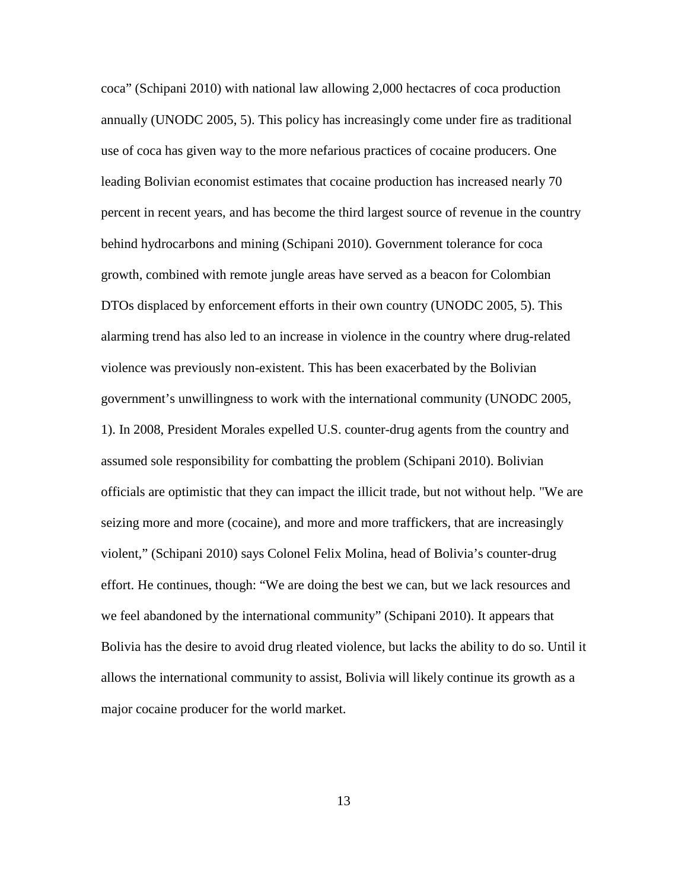coca" (Schipani 2010) with national law allowing 2,000 hectacres of coca production annually (UNODC 2005, 5). This policy has increasingly come under fire as traditional use of coca has given way to the more nefarious practices of cocaine producers. One leading Bolivian economist estimates that cocaine production has increased nearly 70 percent in recent years, and has become the third largest source of revenue in the country behind hydrocarbons and mining (Schipani 2010). Government tolerance for coca growth, combined with remote jungle areas have served as a beacon for Colombian DTOs displaced by enforcement efforts in their own country (UNODC 2005, 5). This alarming trend has also led to an increase in violence in the country where drug-related violence was previously non-existent. This has been exacerbated by the Bolivian government's unwillingness to work with the international community (UNODC 2005, 1). In 2008, President Morales expelled U.S. counter-drug agents from the country and assumed sole responsibility for combatting the problem (Schipani 2010). Bolivian officials are optimistic that they can impact the illicit trade, but not without help. "We are seizing more and more (cocaine), and more and more traffickers, that are increasingly violent," (Schipani 2010) says Colonel Felix Molina, head of Bolivia's counter-drug effort. He continues, though: "We are doing the best we can, but we lack resources and we feel abandoned by the international community" (Schipani 2010). It appears that Bolivia has the desire to avoid drug rleated violence, but lacks the ability to do so. Until it allows the international community to assist, Bolivia will likely continue its growth as a major cocaine producer for the world market.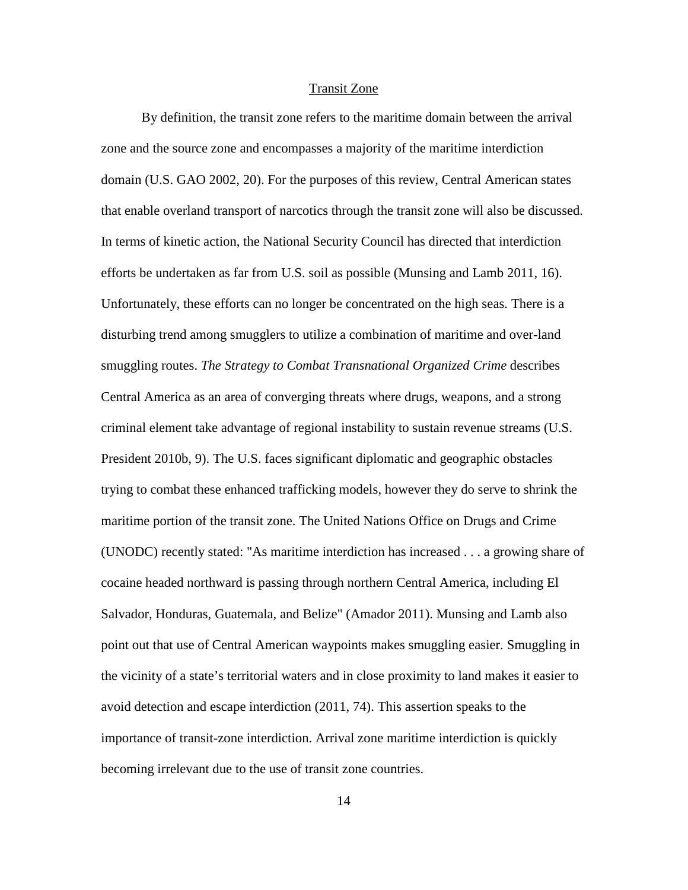#### Transit Zone

By definition, the transit zone refers to the maritime domain between the arrival zone and the source zone and encompasses a majority of the maritime interdiction domain (U.S. GAO 2002, 20). For the purposes of this review, Central American states that enable overland transport of narcotics through the transit zone will also be discussed. In terms of kinetic action, the National Security Council has directed that interdiction efforts be undertaken as far from U.S. soil as possible (Munsing and Lamb 2011, 16). Unfortunately, these efforts can no longer be concentrated on the high seas. There is a disturbing trend among smugglers to utilize a combination of maritime and over-land smuggling routes. *The Strategy to Combat Transnational Organized Crime* describes Central America as an area of converging threats where drugs, weapons, and a strong criminal element take advantage of regional instability to sustain revenue streams (U.S. President 2010b, 9). The U.S. faces significant diplomatic and geographic obstacles trying to combat these enhanced trafficking models, however they do serve to shrink the maritime portion of the transit zone. The United Nations Office on Drugs and Crime (UNODC) recently stated: "As maritime interdiction has increased . . . a growing share of cocaine headed northward is passing through northern Central America, including El Salvador, Honduras, Guatemala, and Belize" (Amador 2011). Munsing and Lamb also point out that use of Central American waypoints makes smuggling easier. Smuggling in the vicinity of a state's territorial waters and in close proximity to land makes it easier to avoid detection and escape interdiction (2011, 74). This assertion speaks to the importance of transit-zone interdiction. Arrival zone maritime interdiction is quickly becoming irrelevant due to the use of transit zone countries.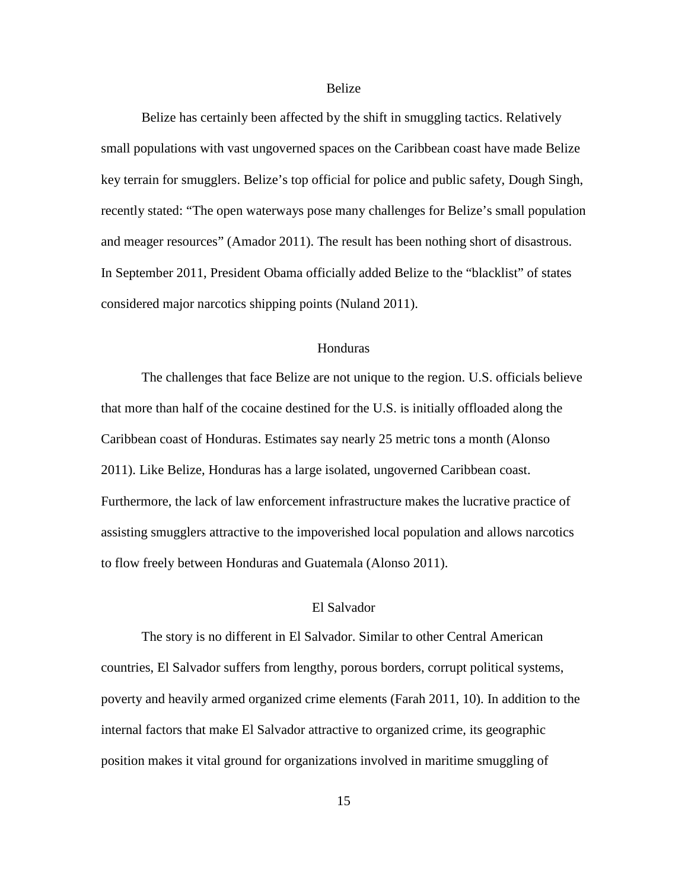#### Belize

Belize has certainly been affected by the shift in smuggling tactics. Relatively small populations with vast ungoverned spaces on the Caribbean coast have made Belize key terrain for smugglers. Belize's top official for police and public safety, Dough Singh, recently stated: "The open waterways pose many challenges for Belize's small population and meager resources" (Amador 2011). The result has been nothing short of disastrous. In September 2011, President Obama officially added Belize to the "blacklist" of states considered major narcotics shipping points (Nuland 2011).

### Honduras

The challenges that face Belize are not unique to the region. U.S. officials believe that more than half of the cocaine destined for the U.S. is initially offloaded along the Caribbean coast of Honduras. Estimates say nearly 25 metric tons a month (Alonso 2011). Like Belize, Honduras has a large isolated, ungoverned Caribbean coast. Furthermore, the lack of law enforcement infrastructure makes the lucrative practice of assisting smugglers attractive to the impoverished local population and allows narcotics to flow freely between Honduras and Guatemala (Alonso 2011).

## El Salvador

The story is no different in El Salvador. Similar to other Central American countries, El Salvador suffers from lengthy, porous borders, corrupt political systems, poverty and heavily armed organized crime elements (Farah 2011, 10). In addition to the internal factors that make El Salvador attractive to organized crime, its geographic position makes it vital ground for organizations involved in maritime smuggling of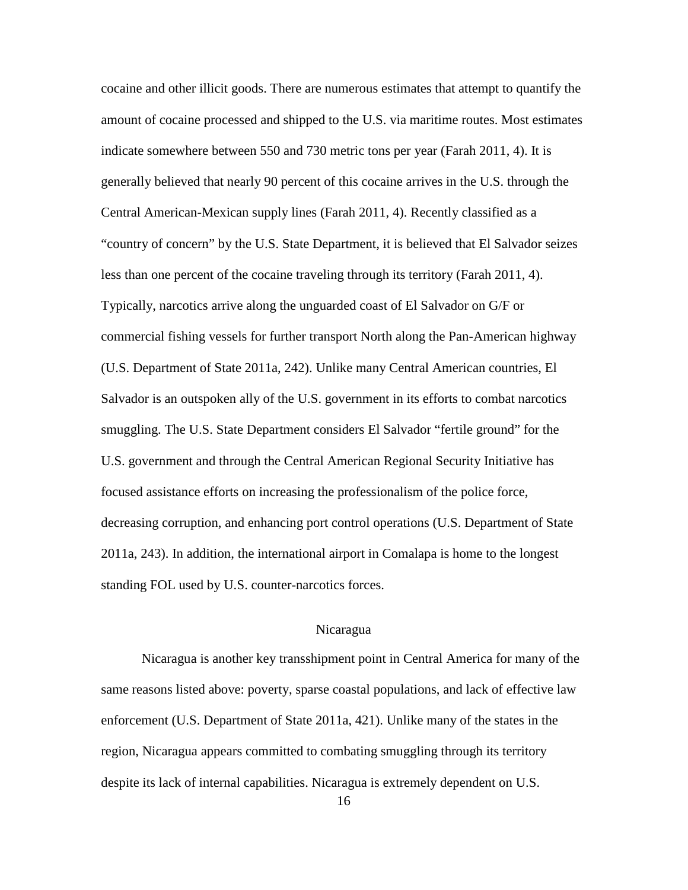cocaine and other illicit goods. There are numerous estimates that attempt to quantify the amount of cocaine processed and shipped to the U.S. via maritime routes. Most estimates indicate somewhere between 550 and 730 metric tons per year (Farah 2011, 4). It is generally believed that nearly 90 percent of this cocaine arrives in the U.S. through the Central American-Mexican supply lines (Farah 2011, 4). Recently classified as a "country of concern" by the U.S. State Department, it is believed that El Salvador seizes less than one percent of the cocaine traveling through its territory (Farah 2011, 4). Typically, narcotics arrive along the unguarded coast of El Salvador on G/F or commercial fishing vessels for further transport North along the Pan-American highway (U.S. Department of State 2011a, 242). Unlike many Central American countries, El Salvador is an outspoken ally of the U.S. government in its efforts to combat narcotics smuggling. The U.S. State Department considers El Salvador "fertile ground" for the U.S. government and through the Central American Regional Security Initiative has focused assistance efforts on increasing the professionalism of the police force, decreasing corruption, and enhancing port control operations (U.S. Department of State 2011a, 243). In addition, the international airport in Comalapa is home to the longest standing FOL used by U.S. counter-narcotics forces.

#### Nicaragua

Nicaragua is another key transshipment point in Central America for many of the same reasons listed above: poverty, sparse coastal populations, and lack of effective law enforcement (U.S. Department of State 2011a, 421). Unlike many of the states in the region, Nicaragua appears committed to combating smuggling through its territory despite its lack of internal capabilities. Nicaragua is extremely dependent on U.S.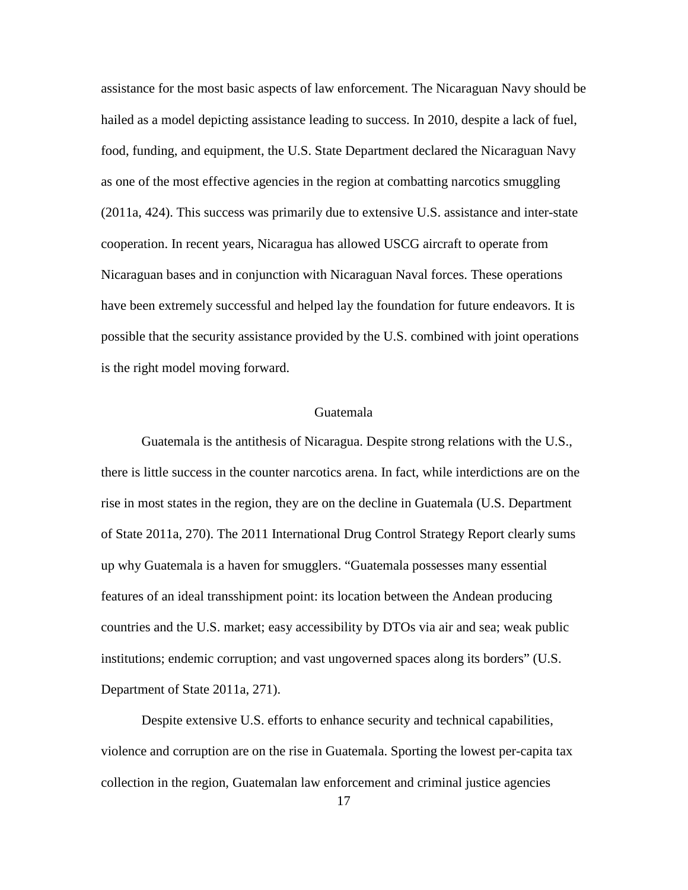assistance for the most basic aspects of law enforcement. The Nicaraguan Navy should be hailed as a model depicting assistance leading to success. In 2010, despite a lack of fuel, food, funding, and equipment, the U.S. State Department declared the Nicaraguan Navy as one of the most effective agencies in the region at combatting narcotics smuggling (2011a, 424). This success was primarily due to extensive U.S. assistance and inter-state cooperation. In recent years, Nicaragua has allowed USCG aircraft to operate from Nicaraguan bases and in conjunction with Nicaraguan Naval forces. These operations have been extremely successful and helped lay the foundation for future endeavors. It is possible that the security assistance provided by the U.S. combined with joint operations is the right model moving forward.

#### Guatemala

Guatemala is the antithesis of Nicaragua. Despite strong relations with the U.S., there is little success in the counter narcotics arena. In fact, while interdictions are on the rise in most states in the region, they are on the decline in Guatemala (U.S. Department of State 2011a, 270). The 2011 International Drug Control Strategy Report clearly sums up why Guatemala is a haven for smugglers. "Guatemala possesses many essential features of an ideal transshipment point: its location between the Andean producing countries and the U.S. market; easy accessibility by DTOs via air and sea; weak public institutions; endemic corruption; and vast ungoverned spaces along its borders" (U.S. Department of State 2011a, 271).

Despite extensive U.S. efforts to enhance security and technical capabilities, violence and corruption are on the rise in Guatemala. Sporting the lowest per-capita tax collection in the region, Guatemalan law enforcement and criminal justice agencies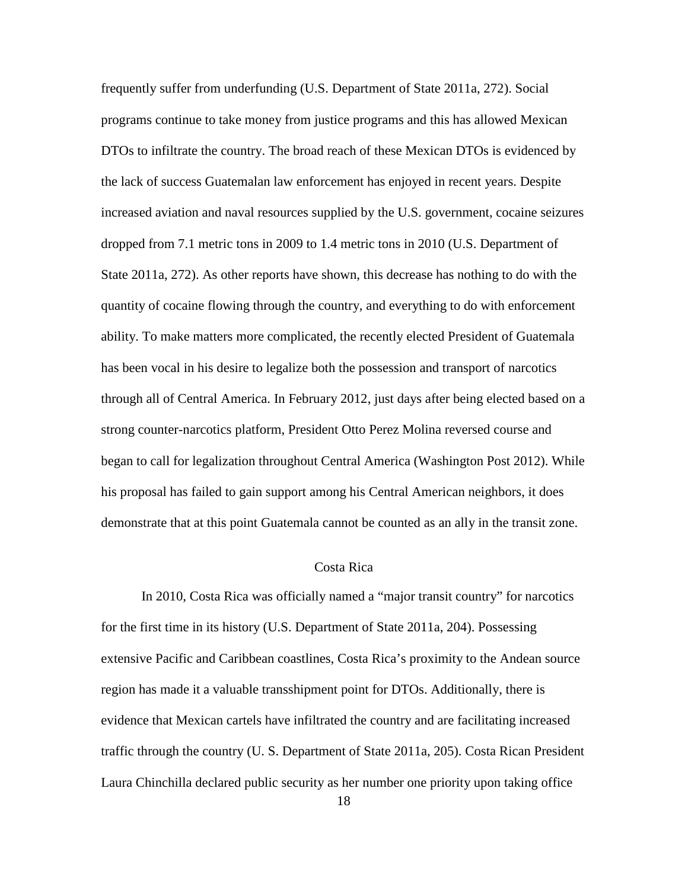frequently suffer from underfunding (U.S. Department of State 2011a, 272). Social programs continue to take money from justice programs and this has allowed Mexican DTOs to infiltrate the country. The broad reach of these Mexican DTOs is evidenced by the lack of success Guatemalan law enforcement has enjoyed in recent years. Despite increased aviation and naval resources supplied by the U.S. government, cocaine seizures dropped from 7.1 metric tons in 2009 to 1.4 metric tons in 2010 (U.S. Department of State 2011a, 272). As other reports have shown, this decrease has nothing to do with the quantity of cocaine flowing through the country, and everything to do with enforcement ability. To make matters more complicated, the recently elected President of Guatemala has been vocal in his desire to legalize both the possession and transport of narcotics through all of Central America. In February 2012, just days after being elected based on a strong counter-narcotics platform, President Otto Perez Molina reversed course and began to call for legalization throughout Central America (Washington Post 2012). While his proposal has failed to gain support among his Central American neighbors, it does demonstrate that at this point Guatemala cannot be counted as an ally in the transit zone.

#### Costa Rica

In 2010, Costa Rica was officially named a "major transit country" for narcotics for the first time in its history (U.S. Department of State 2011a, 204). Possessing extensive Pacific and Caribbean coastlines, Costa Rica's proximity to the Andean source region has made it a valuable transshipment point for DTOs. Additionally, there is evidence that Mexican cartels have infiltrated the country and are facilitating increased traffic through the country (U. S. Department of State 2011a, 205). Costa Rican President Laura Chinchilla declared public security as her number one priority upon taking office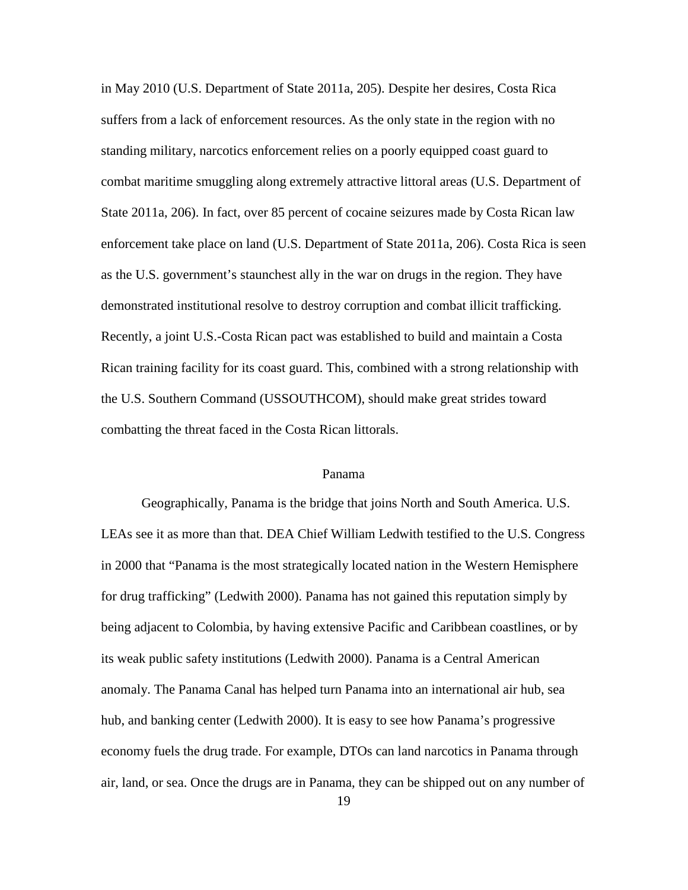in May 2010 (U.S. Department of State 2011a, 205). Despite her desires, Costa Rica suffers from a lack of enforcement resources. As the only state in the region with no standing military, narcotics enforcement relies on a poorly equipped coast guard to combat maritime smuggling along extremely attractive littoral areas (U.S. Department of State 2011a, 206). In fact, over 85 percent of cocaine seizures made by Costa Rican law enforcement take place on land (U.S. Department of State 2011a, 206). Costa Rica is seen as the U.S. government's staunchest ally in the war on drugs in the region. They have demonstrated institutional resolve to destroy corruption and combat illicit trafficking. Recently, a joint U.S.-Costa Rican pact was established to build and maintain a Costa Rican training facility for its coast guard. This, combined with a strong relationship with the U.S. Southern Command (USSOUTHCOM), should make great strides toward combatting the threat faced in the Costa Rican littorals.

#### Panama

Geographically, Panama is the bridge that joins North and South America. U.S. LEAs see it as more than that. DEA Chief William Ledwith testified to the U.S. Congress in 2000 that "Panama is the most strategically located nation in the Western Hemisphere for drug trafficking" (Ledwith 2000). Panama has not gained this reputation simply by being adjacent to Colombia, by having extensive Pacific and Caribbean coastlines, or by its weak public safety institutions (Ledwith 2000). Panama is a Central American anomaly. The Panama Canal has helped turn Panama into an international air hub, sea hub, and banking center (Ledwith 2000). It is easy to see how Panama's progressive economy fuels the drug trade. For example, DTOs can land narcotics in Panama through air, land, or sea. Once the drugs are in Panama, they can be shipped out on any number of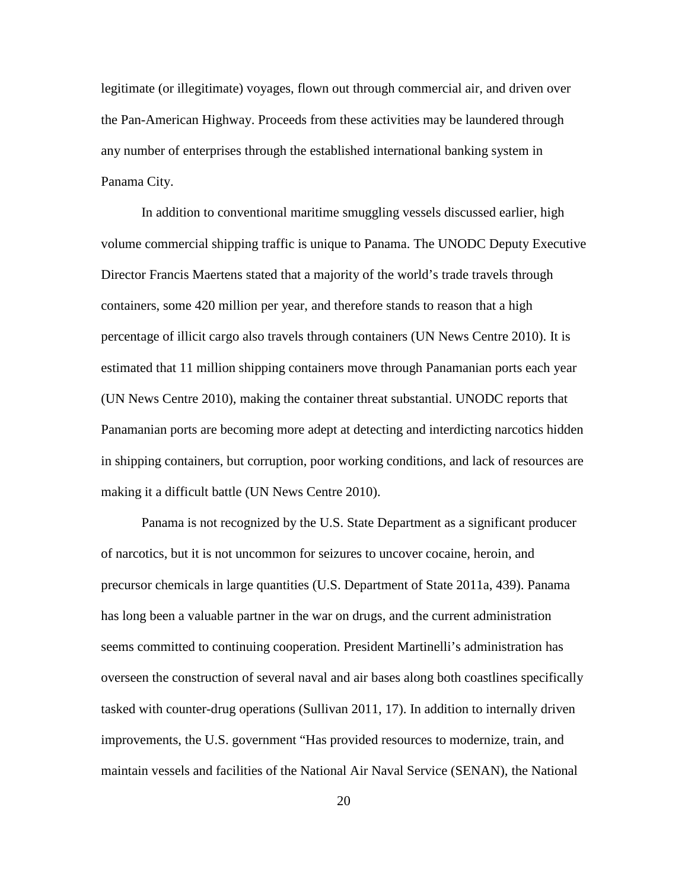legitimate (or illegitimate) voyages, flown out through commercial air, and driven over the Pan-American Highway. Proceeds from these activities may be laundered through any number of enterprises through the established international banking system in Panama City.

In addition to conventional maritime smuggling vessels discussed earlier, high volume commercial shipping traffic is unique to Panama. The UNODC Deputy Executive Director Francis Maertens stated that a majority of the world's trade travels through containers, some 420 million per year, and therefore stands to reason that a high percentage of illicit cargo also travels through containers (UN News Centre 2010). It is estimated that 11 million shipping containers move through Panamanian ports each year (UN News Centre 2010), making the container threat substantial. UNODC reports that Panamanian ports are becoming more adept at detecting and interdicting narcotics hidden in shipping containers, but corruption, poor working conditions, and lack of resources are making it a difficult battle (UN News Centre 2010).

Panama is not recognized by the U.S. State Department as a significant producer of narcotics, but it is not uncommon for seizures to uncover cocaine, heroin, and precursor chemicals in large quantities (U.S. Department of State 2011a, 439). Panama has long been a valuable partner in the war on drugs, and the current administration seems committed to continuing cooperation. President Martinelli's administration has overseen the construction of several naval and air bases along both coastlines specifically tasked with counter-drug operations (Sullivan 2011, 17). In addition to internally driven improvements, the U.S. government "Has provided resources to modernize, train, and maintain vessels and facilities of the National Air Naval Service (SENAN), the National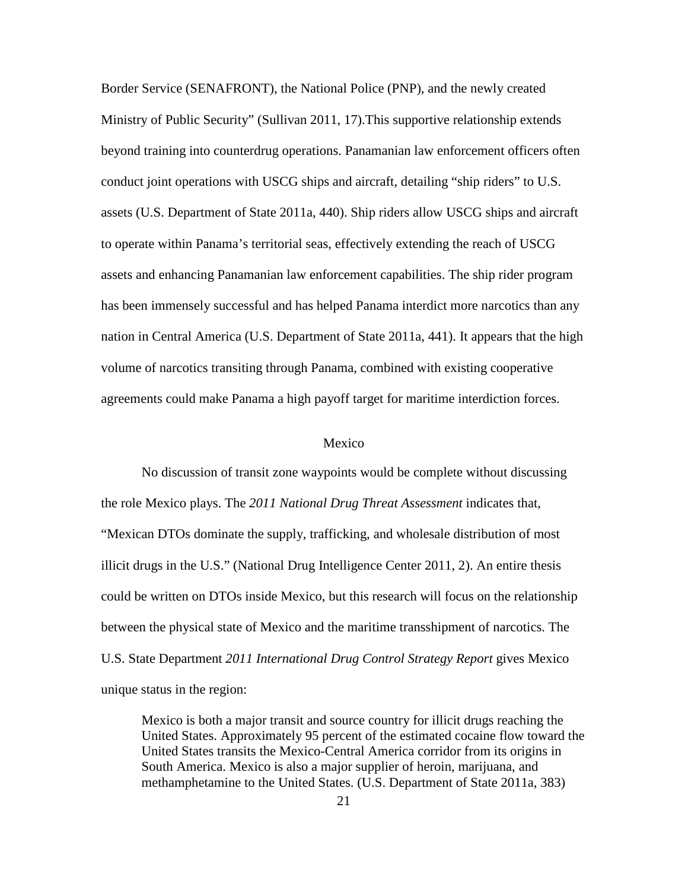Border Service (SENAFRONT), the National Police (PNP), and the newly created Ministry of Public Security" (Sullivan 2011, 17).This supportive relationship extends beyond training into counterdrug operations. Panamanian law enforcement officers often conduct joint operations with USCG ships and aircraft, detailing "ship riders" to U.S. assets (U.S. Department of State 2011a, 440). Ship riders allow USCG ships and aircraft to operate within Panama's territorial seas, effectively extending the reach of USCG assets and enhancing Panamanian law enforcement capabilities. The ship rider program has been immensely successful and has helped Panama interdict more narcotics than any nation in Central America (U.S. Department of State 2011a, 441). It appears that the high volume of narcotics transiting through Panama, combined with existing cooperative agreements could make Panama a high payoff target for maritime interdiction forces.

#### Mexico

No discussion of transit zone waypoints would be complete without discussing the role Mexico plays. The *2011 National Drug Threat Assessment* indicates that, "Mexican DTOs dominate the supply, trafficking, and wholesale distribution of most illicit drugs in the U.S." (National Drug Intelligence Center 2011, 2). An entire thesis could be written on DTOs inside Mexico, but this research will focus on the relationship between the physical state of Mexico and the maritime transshipment of narcotics. The U.S. State Department *2011 International Drug Control Strategy Report* gives Mexico unique status in the region:

Mexico is both a major transit and source country for illicit drugs reaching the United States. Approximately 95 percent of the estimated cocaine flow toward the United States transits the Mexico-Central America corridor from its origins in South America. Mexico is also a major supplier of heroin, marijuana, and methamphetamine to the United States. (U.S. Department of State 2011a, 383)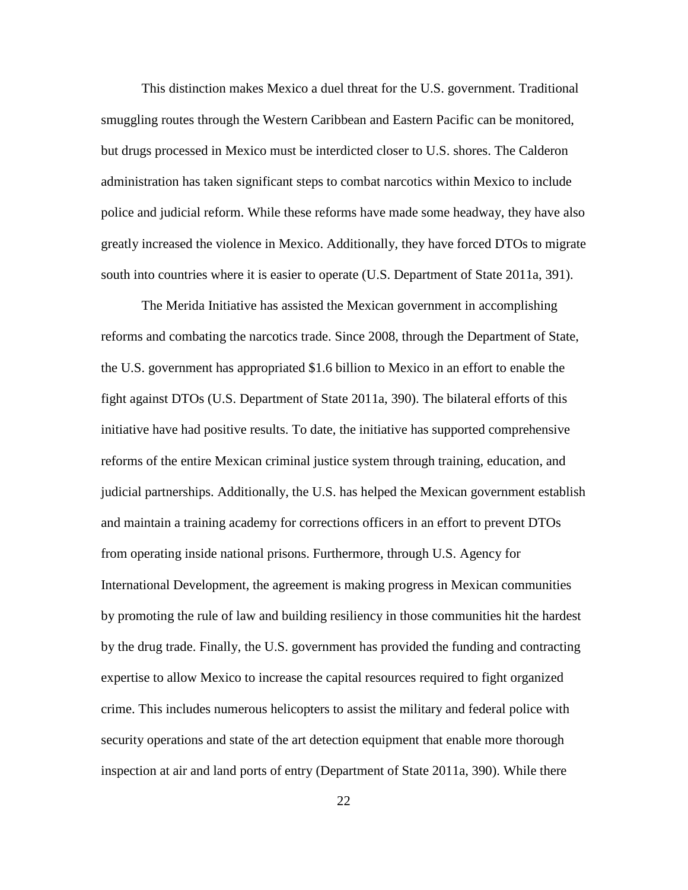This distinction makes Mexico a duel threat for the U.S. government. Traditional smuggling routes through the Western Caribbean and Eastern Pacific can be monitored, but drugs processed in Mexico must be interdicted closer to U.S. shores. The Calderon administration has taken significant steps to combat narcotics within Mexico to include police and judicial reform. While these reforms have made some headway, they have also greatly increased the violence in Mexico. Additionally, they have forced DTOs to migrate south into countries where it is easier to operate (U.S. Department of State 2011a, 391).

The Merida Initiative has assisted the Mexican government in accomplishing reforms and combating the narcotics trade. Since 2008, through the Department of State, the U.S. government has appropriated \$1.6 billion to Mexico in an effort to enable the fight against DTOs (U.S. Department of State 2011a, 390). The bilateral efforts of this initiative have had positive results. To date, the initiative has supported comprehensive reforms of the entire Mexican criminal justice system through training, education, and judicial partnerships. Additionally, the U.S. has helped the Mexican government establish and maintain a training academy for corrections officers in an effort to prevent DTOs from operating inside national prisons. Furthermore, through U.S. Agency for International Development, the agreement is making progress in Mexican communities by promoting the rule of law and building resiliency in those communities hit the hardest by the drug trade. Finally, the U.S. government has provided the funding and contracting expertise to allow Mexico to increase the capital resources required to fight organized crime. This includes numerous helicopters to assist the military and federal police with security operations and state of the art detection equipment that enable more thorough inspection at air and land ports of entry (Department of State 2011a, 390). While there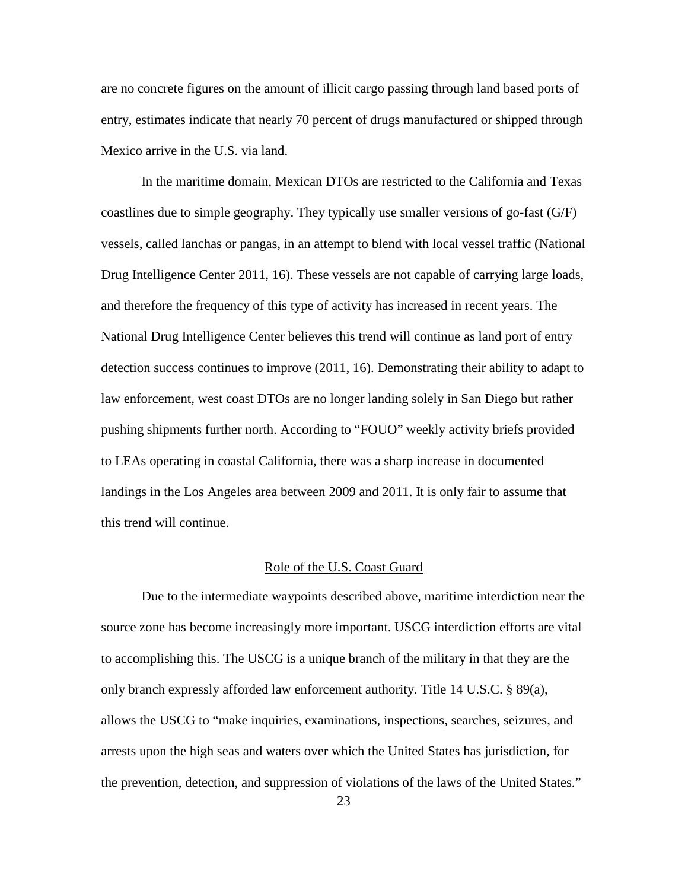are no concrete figures on the amount of illicit cargo passing through land based ports of entry, estimates indicate that nearly 70 percent of drugs manufactured or shipped through Mexico arrive in the U.S. via land.

In the maritime domain, Mexican DTOs are restricted to the California and Texas coastlines due to simple geography. They typically use smaller versions of go-fast (G/F) vessels, called lanchas or pangas, in an attempt to blend with local vessel traffic (National Drug Intelligence Center 2011, 16). These vessels are not capable of carrying large loads, and therefore the frequency of this type of activity has increased in recent years. The National Drug Intelligence Center believes this trend will continue as land port of entry detection success continues to improve (2011, 16). Demonstrating their ability to adapt to law enforcement, west coast DTOs are no longer landing solely in San Diego but rather pushing shipments further north. According to "FOUO" weekly activity briefs provided to LEAs operating in coastal California, there was a sharp increase in documented landings in the Los Angeles area between 2009 and 2011. It is only fair to assume that this trend will continue.

#### Role of the U.S. Coast Guard

Due to the intermediate waypoints described above, maritime interdiction near the source zone has become increasingly more important. USCG interdiction efforts are vital to accomplishing this. The USCG is a unique branch of the military in that they are the only branch expressly afforded law enforcement authority. Title 14 U.S.C. § 89(a), allows the USCG to "make inquiries, examinations, inspections, searches, seizures, and arrests upon the high seas and waters over which the United States has jurisdiction, for the prevention, detection, and suppression of violations of the laws of the United States."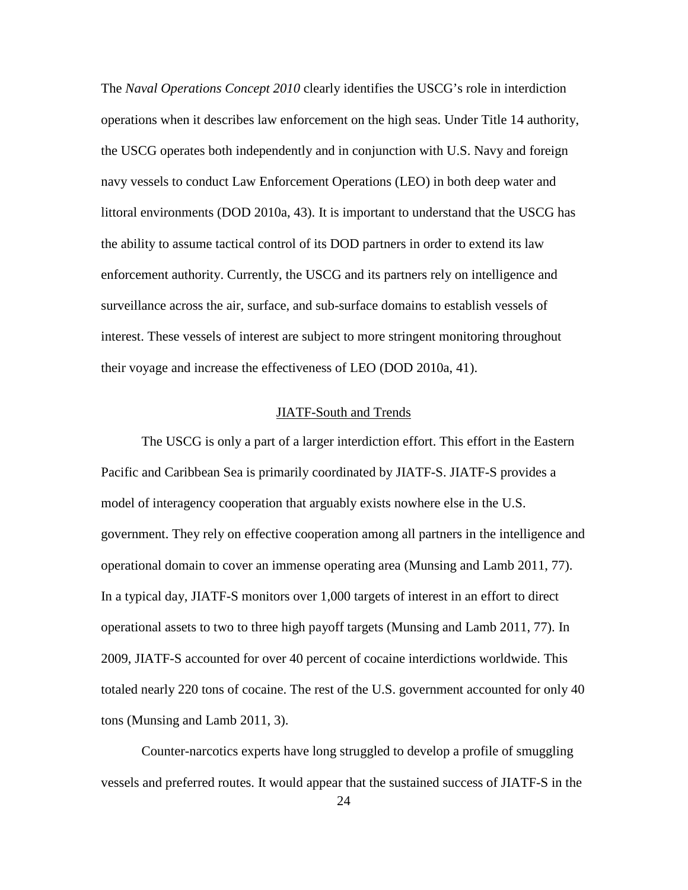The *Naval Operations Concept 2010* clearly identifies the USCG's role in interdiction operations when it describes law enforcement on the high seas. Under Title 14 authority, the USCG operates both independently and in conjunction with U.S. Navy and foreign navy vessels to conduct Law Enforcement Operations (LEO) in both deep water and littoral environments (DOD 2010a, 43). It is important to understand that the USCG has the ability to assume tactical control of its DOD partners in order to extend its law enforcement authority. Currently, the USCG and its partners rely on intelligence and surveillance across the air, surface, and sub-surface domains to establish vessels of interest. These vessels of interest are subject to more stringent monitoring throughout their voyage and increase the effectiveness of LEO (DOD 2010a, 41).

#### JIATF-South and Trends

The USCG is only a part of a larger interdiction effort. This effort in the Eastern Pacific and Caribbean Sea is primarily coordinated by JIATF-S. JIATF-S provides a model of interagency cooperation that arguably exists nowhere else in the U.S. government. They rely on effective cooperation among all partners in the intelligence and operational domain to cover an immense operating area (Munsing and Lamb 2011, 77). In a typical day, JIATF-S monitors over 1,000 targets of interest in an effort to direct operational assets to two to three high payoff targets (Munsing and Lamb 2011, 77). In 2009, JIATF-S accounted for over 40 percent of cocaine interdictions worldwide. This totaled nearly 220 tons of cocaine. The rest of the U.S. government accounted for only 40 tons (Munsing and Lamb 2011, 3).

Counter-narcotics experts have long struggled to develop a profile of smuggling vessels and preferred routes. It would appear that the sustained success of JIATF-S in the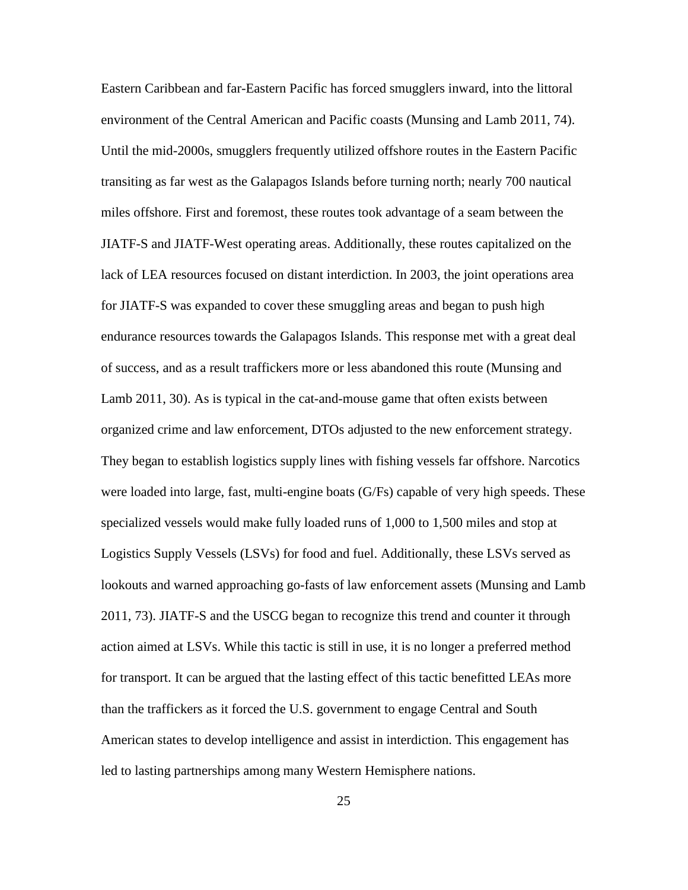Eastern Caribbean and far-Eastern Pacific has forced smugglers inward, into the littoral environment of the Central American and Pacific coasts (Munsing and Lamb 2011, 74). Until the mid-2000s, smugglers frequently utilized offshore routes in the Eastern Pacific transiting as far west as the Galapagos Islands before turning north; nearly 700 nautical miles offshore. First and foremost, these routes took advantage of a seam between the JIATF-S and JIATF-West operating areas. Additionally, these routes capitalized on the lack of LEA resources focused on distant interdiction. In 2003, the joint operations area for JIATF-S was expanded to cover these smuggling areas and began to push high endurance resources towards the Galapagos Islands. This response met with a great deal of success, and as a result traffickers more or less abandoned this route (Munsing and Lamb 2011, 30). As is typical in the cat-and-mouse game that often exists between organized crime and law enforcement, DTOs adjusted to the new enforcement strategy. They began to establish logistics supply lines with fishing vessels far offshore. Narcotics were loaded into large, fast, multi-engine boats (G/Fs) capable of very high speeds. These specialized vessels would make fully loaded runs of 1,000 to 1,500 miles and stop at Logistics Supply Vessels (LSVs) for food and fuel. Additionally, these LSVs served as lookouts and warned approaching go-fasts of law enforcement assets (Munsing and Lamb 2011, 73). JIATF-S and the USCG began to recognize this trend and counter it through action aimed at LSVs. While this tactic is still in use, it is no longer a preferred method for transport. It can be argued that the lasting effect of this tactic benefitted LEAs more than the traffickers as it forced the U.S. government to engage Central and South American states to develop intelligence and assist in interdiction. This engagement has led to lasting partnerships among many Western Hemisphere nations.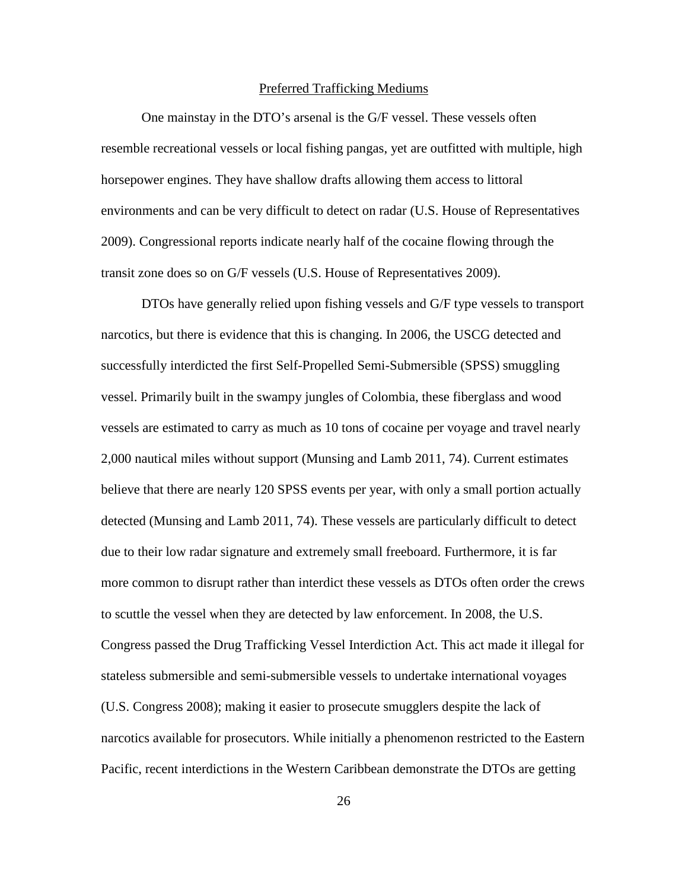#### Preferred Trafficking Mediums

One mainstay in the DTO's arsenal is the G/F vessel. These vessels often resemble recreational vessels or local fishing pangas, yet are outfitted with multiple, high horsepower engines. They have shallow drafts allowing them access to littoral environments and can be very difficult to detect on radar (U.S. House of Representatives 2009). Congressional reports indicate nearly half of the cocaine flowing through the transit zone does so on G/F vessels (U.S. House of Representatives 2009).

DTOs have generally relied upon fishing vessels and G/F type vessels to transport narcotics, but there is evidence that this is changing. In 2006, the USCG detected and successfully interdicted the first Self-Propelled Semi-Submersible (SPSS) smuggling vessel. Primarily built in the swampy jungles of Colombia, these fiberglass and wood vessels are estimated to carry as much as 10 tons of cocaine per voyage and travel nearly 2,000 nautical miles without support (Munsing and Lamb 2011, 74). Current estimates believe that there are nearly 120 SPSS events per year, with only a small portion actually detected (Munsing and Lamb 2011, 74). These vessels are particularly difficult to detect due to their low radar signature and extremely small freeboard. Furthermore, it is far more common to disrupt rather than interdict these vessels as DTOs often order the crews to scuttle the vessel when they are detected by law enforcement. In 2008, the U.S. Congress passed the Drug Trafficking Vessel Interdiction Act. This act made it illegal for stateless submersible and semi-submersible vessels to undertake international voyages (U.S. Congress 2008); making it easier to prosecute smugglers despite the lack of narcotics available for prosecutors. While initially a phenomenon restricted to the Eastern Pacific, recent interdictions in the Western Caribbean demonstrate the DTOs are getting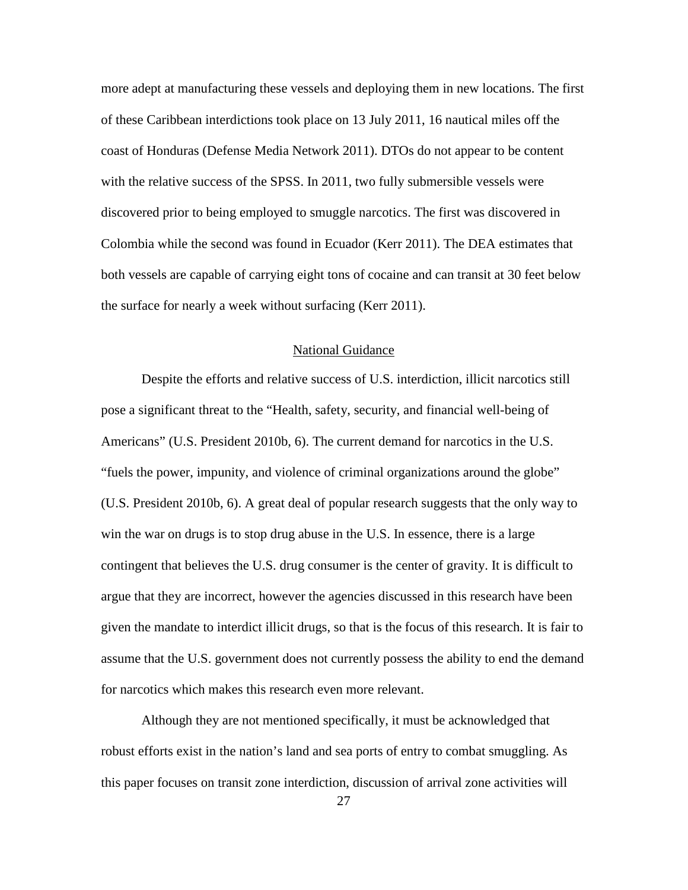more adept at manufacturing these vessels and deploying them in new locations. The first of these Caribbean interdictions took place on 13 July 2011, 16 nautical miles off the coast of Honduras (Defense Media Network 2011). DTOs do not appear to be content with the relative success of the SPSS. In 2011, two fully submersible vessels were discovered prior to being employed to smuggle narcotics. The first was discovered in Colombia while the second was found in Ecuador (Kerr 2011). The DEA estimates that both vessels are capable of carrying eight tons of cocaine and can transit at 30 feet below the surface for nearly a week without surfacing (Kerr 2011).

# National Guidance

Despite the efforts and relative success of U.S. interdiction, illicit narcotics still pose a significant threat to the "Health, safety, security, and financial well-being of Americans" (U.S. President 2010b, 6). The current demand for narcotics in the U.S. "fuels the power, impunity, and violence of criminal organizations around the globe" (U.S. President 2010b, 6). A great deal of popular research suggests that the only way to win the war on drugs is to stop drug abuse in the U.S. In essence, there is a large contingent that believes the U.S. drug consumer is the center of gravity. It is difficult to argue that they are incorrect, however the agencies discussed in this research have been given the mandate to interdict illicit drugs, so that is the focus of this research. It is fair to assume that the U.S. government does not currently possess the ability to end the demand for narcotics which makes this research even more relevant.

Although they are not mentioned specifically, it must be acknowledged that robust efforts exist in the nation's land and sea ports of entry to combat smuggling. As this paper focuses on transit zone interdiction, discussion of arrival zone activities will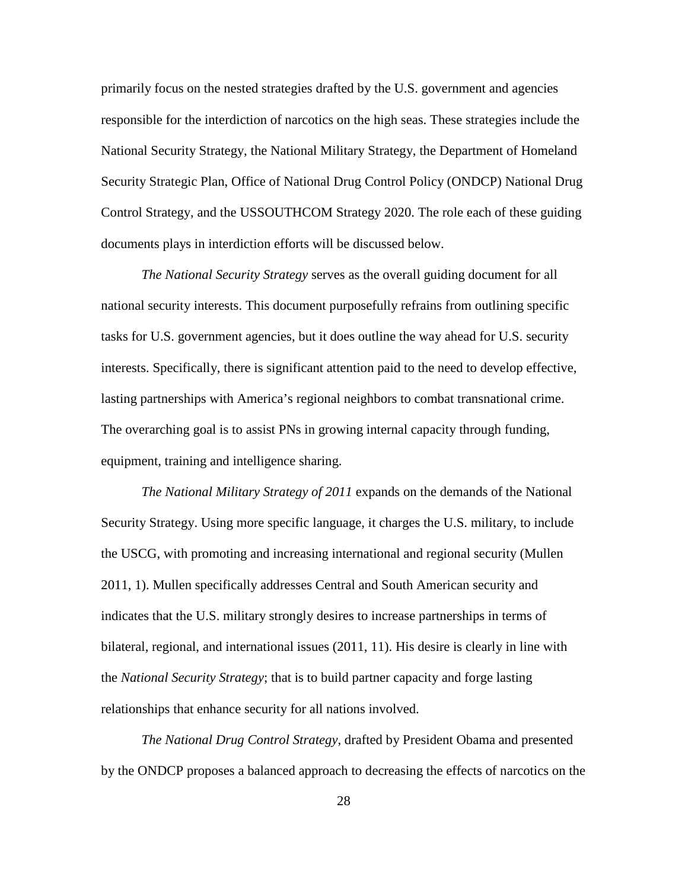primarily focus on the nested strategies drafted by the U.S. government and agencies responsible for the interdiction of narcotics on the high seas. These strategies include the National Security Strategy, the National Military Strategy, the Department of Homeland Security Strategic Plan, Office of National Drug Control Policy (ONDCP) National Drug Control Strategy, and the USSOUTHCOM Strategy 2020. The role each of these guiding documents plays in interdiction efforts will be discussed below.

*The National Security Strategy* serves as the overall guiding document for all national security interests. This document purposefully refrains from outlining specific tasks for U.S. government agencies, but it does outline the way ahead for U.S. security interests. Specifically, there is significant attention paid to the need to develop effective, lasting partnerships with America's regional neighbors to combat transnational crime. The overarching goal is to assist PNs in growing internal capacity through funding, equipment, training and intelligence sharing.

*The National Military Strategy of 2011* expands on the demands of the National Security Strategy. Using more specific language, it charges the U.S. military, to include the USCG, with promoting and increasing international and regional security (Mullen 2011, 1). Mullen specifically addresses Central and South American security and indicates that the U.S. military strongly desires to increase partnerships in terms of bilateral, regional, and international issues (2011, 11). His desire is clearly in line with the *National Security Strategy*; that is to build partner capacity and forge lasting relationships that enhance security for all nations involved.

*The National Drug Control Strategy*, drafted by President Obama and presented by the ONDCP proposes a balanced approach to decreasing the effects of narcotics on the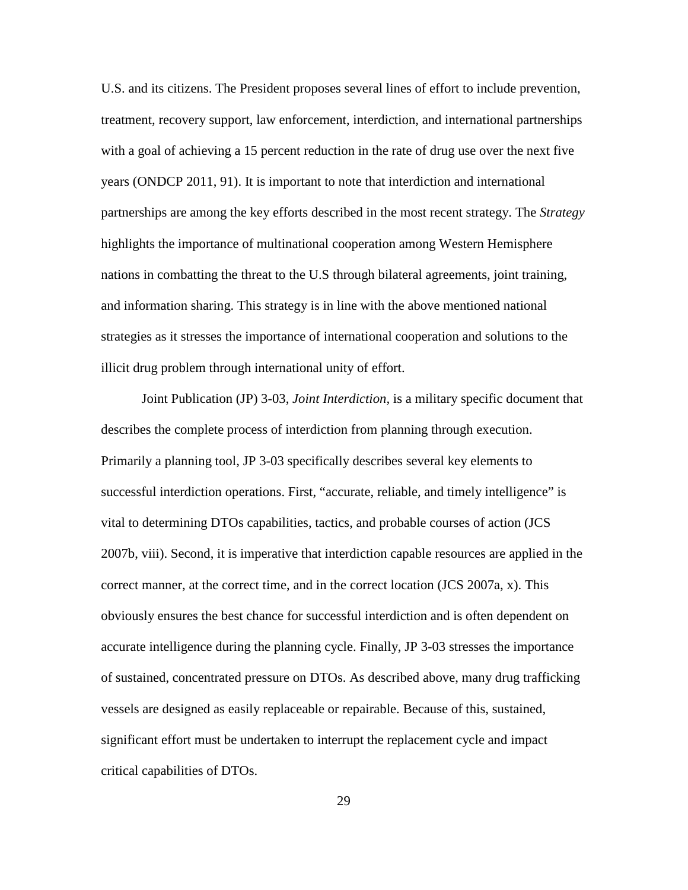U.S. and its citizens. The President proposes several lines of effort to include prevention, treatment, recovery support, law enforcement, interdiction, and international partnerships with a goal of achieving a 15 percent reduction in the rate of drug use over the next five years (ONDCP 2011, 91). It is important to note that interdiction and international partnerships are among the key efforts described in the most recent strategy. The *Strategy* highlights the importance of multinational cooperation among Western Hemisphere nations in combatting the threat to the U.S through bilateral agreements, joint training, and information sharing. This strategy is in line with the above mentioned national strategies as it stresses the importance of international cooperation and solutions to the illicit drug problem through international unity of effort.

Joint Publication (JP) 3-03, *Joint Interdiction,* is a military specific document that describes the complete process of interdiction from planning through execution. Primarily a planning tool, JP 3-03 specifically describes several key elements to successful interdiction operations. First, "accurate, reliable, and timely intelligence" is vital to determining DTOs capabilities, tactics, and probable courses of action (JCS 2007b, viii). Second, it is imperative that interdiction capable resources are applied in the correct manner, at the correct time, and in the correct location (JCS 2007a, x). This obviously ensures the best chance for successful interdiction and is often dependent on accurate intelligence during the planning cycle. Finally, JP 3-03 stresses the importance of sustained, concentrated pressure on DTOs. As described above, many drug trafficking vessels are designed as easily replaceable or repairable. Because of this, sustained, significant effort must be undertaken to interrupt the replacement cycle and impact critical capabilities of DTOs.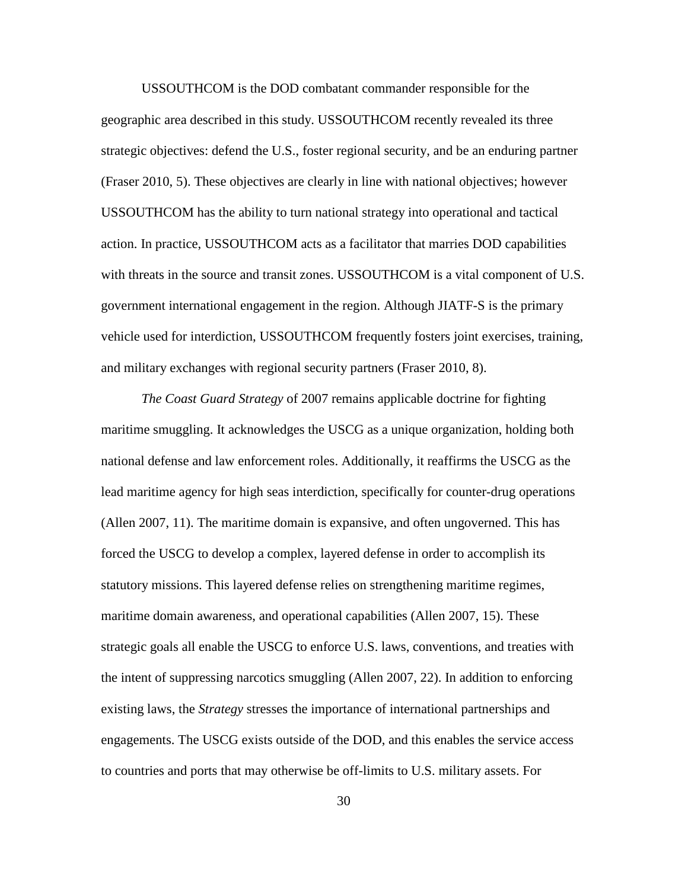USSOUTHCOM is the DOD combatant commander responsible for the geographic area described in this study. USSOUTHCOM recently revealed its three strategic objectives: defend the U.S., foster regional security, and be an enduring partner (Fraser 2010, 5). These objectives are clearly in line with national objectives; however USSOUTHCOM has the ability to turn national strategy into operational and tactical action. In practice, USSOUTHCOM acts as a facilitator that marries DOD capabilities with threats in the source and transit zones. USSOUTHCOM is a vital component of U.S. government international engagement in the region. Although JIATF-S is the primary vehicle used for interdiction, USSOUTHCOM frequently fosters joint exercises, training, and military exchanges with regional security partners (Fraser 2010, 8).

*The Coast Guard Strategy* of 2007 remains applicable doctrine for fighting maritime smuggling. It acknowledges the USCG as a unique organization, holding both national defense and law enforcement roles. Additionally, it reaffirms the USCG as the lead maritime agency for high seas interdiction, specifically for counter-drug operations (Allen 2007, 11). The maritime domain is expansive, and often ungoverned. This has forced the USCG to develop a complex, layered defense in order to accomplish its statutory missions. This layered defense relies on strengthening maritime regimes, maritime domain awareness, and operational capabilities (Allen 2007, 15). These strategic goals all enable the USCG to enforce U.S. laws, conventions, and treaties with the intent of suppressing narcotics smuggling (Allen 2007, 22). In addition to enforcing existing laws, the *Strategy* stresses the importance of international partnerships and engagements. The USCG exists outside of the DOD, and this enables the service access to countries and ports that may otherwise be off-limits to U.S. military assets. For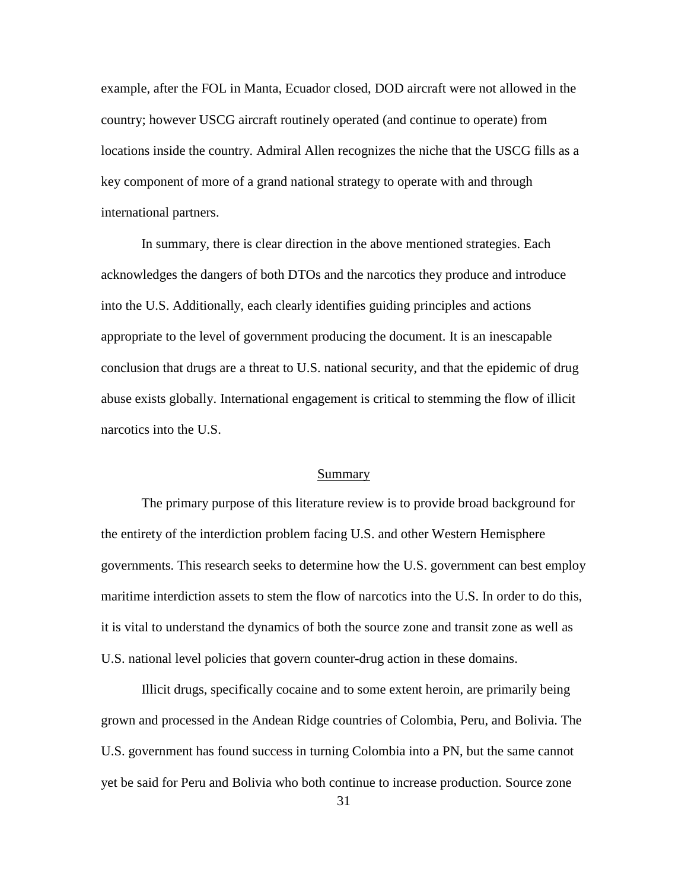example, after the FOL in Manta, Ecuador closed, DOD aircraft were not allowed in the country; however USCG aircraft routinely operated (and continue to operate) from locations inside the country. Admiral Allen recognizes the niche that the USCG fills as a key component of more of a grand national strategy to operate with and through international partners.

In summary, there is clear direction in the above mentioned strategies. Each acknowledges the dangers of both DTOs and the narcotics they produce and introduce into the U.S. Additionally, each clearly identifies guiding principles and actions appropriate to the level of government producing the document. It is an inescapable conclusion that drugs are a threat to U.S. national security, and that the epidemic of drug abuse exists globally. International engagement is critical to stemming the flow of illicit narcotics into the U.S.

#### Summary

The primary purpose of this literature review is to provide broad background for the entirety of the interdiction problem facing U.S. and other Western Hemisphere governments. This research seeks to determine how the U.S. government can best employ maritime interdiction assets to stem the flow of narcotics into the U.S. In order to do this, it is vital to understand the dynamics of both the source zone and transit zone as well as U.S. national level policies that govern counter-drug action in these domains.

Illicit drugs, specifically cocaine and to some extent heroin, are primarily being grown and processed in the Andean Ridge countries of Colombia, Peru, and Bolivia. The U.S. government has found success in turning Colombia into a PN, but the same cannot yet be said for Peru and Bolivia who both continue to increase production. Source zone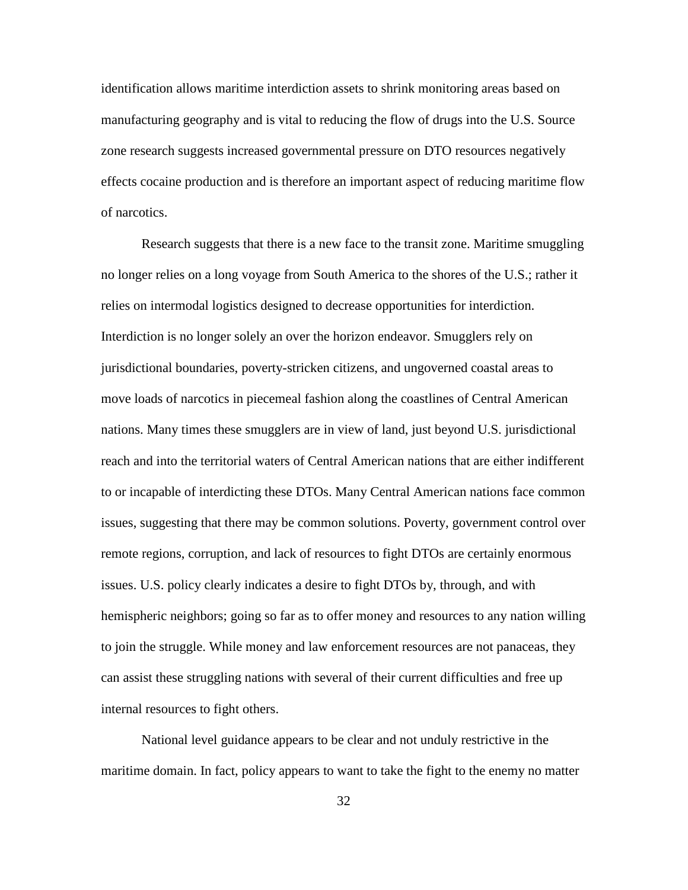identification allows maritime interdiction assets to shrink monitoring areas based on manufacturing geography and is vital to reducing the flow of drugs into the U.S. Source zone research suggests increased governmental pressure on DTO resources negatively effects cocaine production and is therefore an important aspect of reducing maritime flow of narcotics.

Research suggests that there is a new face to the transit zone. Maritime smuggling no longer relies on a long voyage from South America to the shores of the U.S.; rather it relies on intermodal logistics designed to decrease opportunities for interdiction. Interdiction is no longer solely an over the horizon endeavor. Smugglers rely on jurisdictional boundaries, poverty-stricken citizens, and ungoverned coastal areas to move loads of narcotics in piecemeal fashion along the coastlines of Central American nations. Many times these smugglers are in view of land, just beyond U.S. jurisdictional reach and into the territorial waters of Central American nations that are either indifferent to or incapable of interdicting these DTOs. Many Central American nations face common issues, suggesting that there may be common solutions. Poverty, government control over remote regions, corruption, and lack of resources to fight DTOs are certainly enormous issues. U.S. policy clearly indicates a desire to fight DTOs by, through, and with hemispheric neighbors; going so far as to offer money and resources to any nation willing to join the struggle. While money and law enforcement resources are not panaceas, they can assist these struggling nations with several of their current difficulties and free up internal resources to fight others.

National level guidance appears to be clear and not unduly restrictive in the maritime domain. In fact, policy appears to want to take the fight to the enemy no matter

32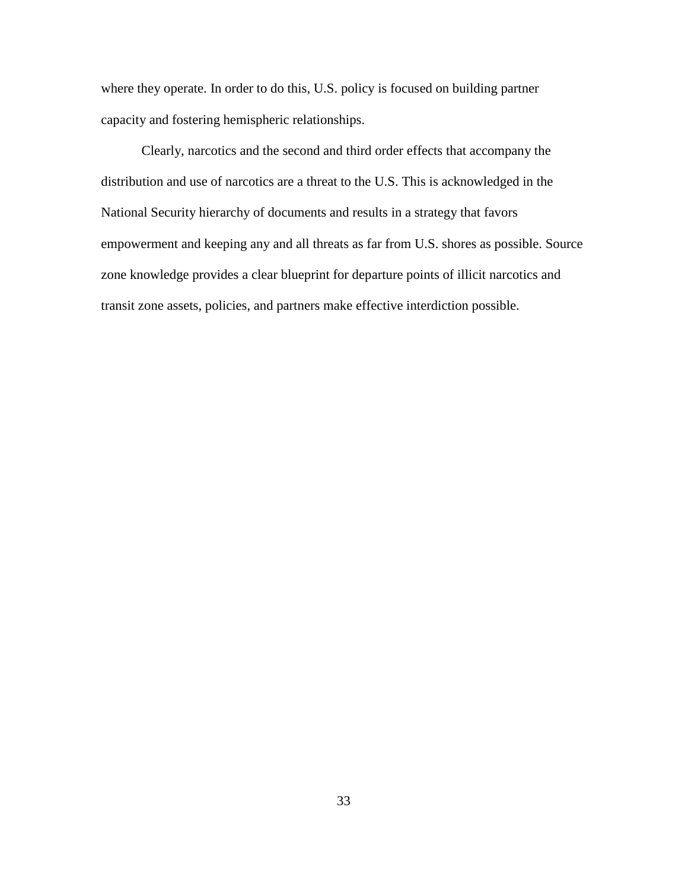where they operate. In order to do this, U.S. policy is focused on building partner capacity and fostering hemispheric relationships.

Clearly, narcotics and the second and third order effects that accompany the distribution and use of narcotics are a threat to the U.S. This is acknowledged in the National Security hierarchy of documents and results in a strategy that favors empowerment and keeping any and all threats as far from U.S. shores as possible. Source zone knowledge provides a clear blueprint for departure points of illicit narcotics and transit zone assets, policies, and partners make effective interdiction possible.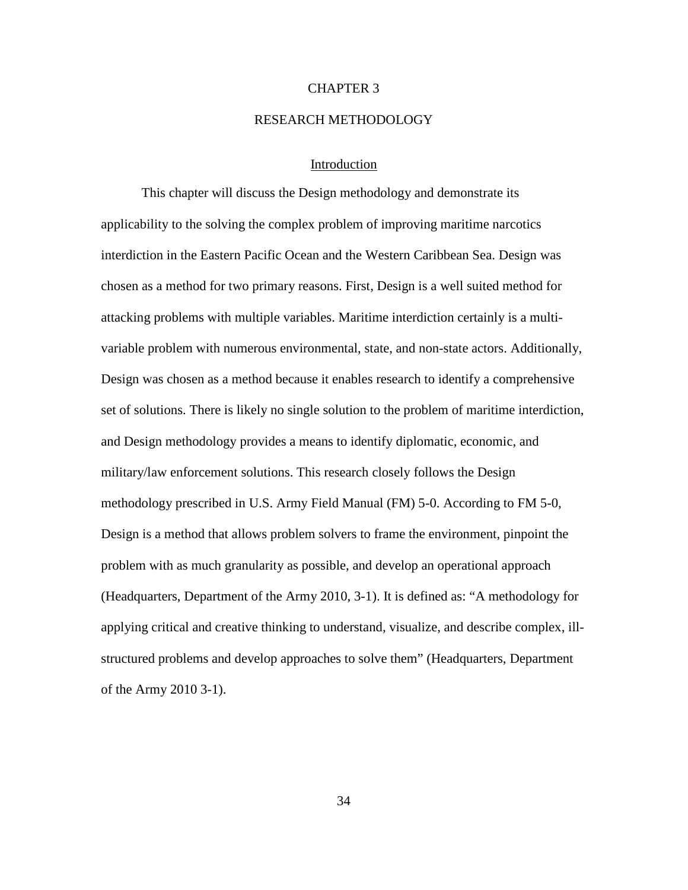### CHAPTER 3

### RESEARCH METHODOLOGY

## Introduction

This chapter will discuss the Design methodology and demonstrate its applicability to the solving the complex problem of improving maritime narcotics interdiction in the Eastern Pacific Ocean and the Western Caribbean Sea. Design was chosen as a method for two primary reasons. First, Design is a well suited method for attacking problems with multiple variables. Maritime interdiction certainly is a multivariable problem with numerous environmental, state, and non-state actors. Additionally, Design was chosen as a method because it enables research to identify a comprehensive set of solutions. There is likely no single solution to the problem of maritime interdiction, and Design methodology provides a means to identify diplomatic, economic, and military/law enforcement solutions. This research closely follows the Design methodology prescribed in U.S. Army Field Manual (FM) 5-0. According to FM 5-0, Design is a method that allows problem solvers to frame the environment, pinpoint the problem with as much granularity as possible, and develop an operational approach (Headquarters, Department of the Army 2010, 3-1). It is defined as: "A methodology for applying critical and creative thinking to understand, visualize, and describe complex, illstructured problems and develop approaches to solve them" (Headquarters, Department of the Army 2010 3-1).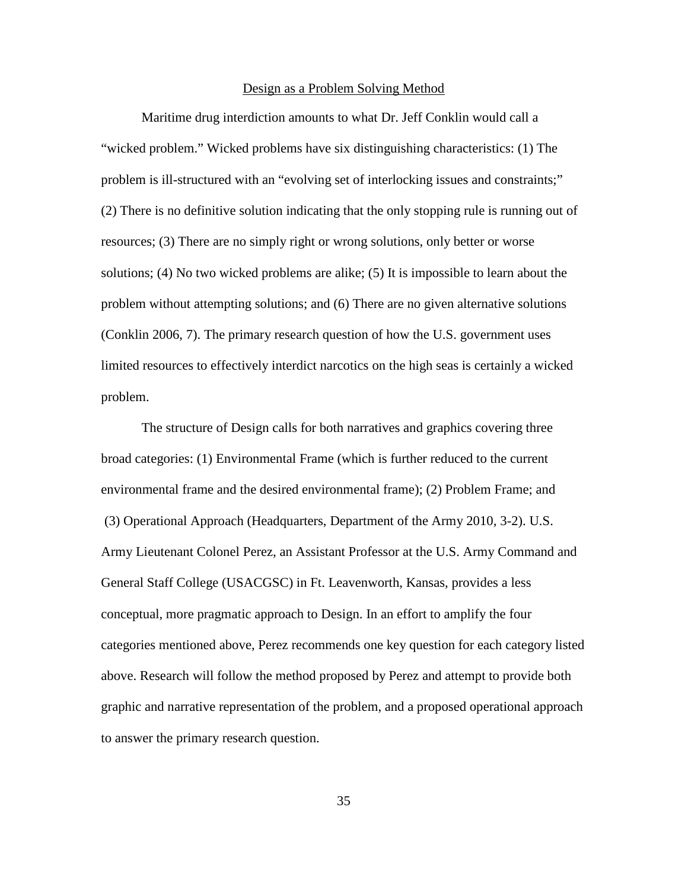### Design as a Problem Solving Method

Maritime drug interdiction amounts to what Dr. Jeff Conklin would call a "wicked problem." Wicked problems have six distinguishing characteristics: (1) The problem is ill-structured with an "evolving set of interlocking issues and constraints;" (2) There is no definitive solution indicating that the only stopping rule is running out of resources; (3) There are no simply right or wrong solutions, only better or worse solutions; (4) No two wicked problems are alike; (5) It is impossible to learn about the problem without attempting solutions; and (6) There are no given alternative solutions (Conklin 2006, 7). The primary research question of how the U.S. government uses limited resources to effectively interdict narcotics on the high seas is certainly a wicked problem.

The structure of Design calls for both narratives and graphics covering three broad categories: (1) Environmental Frame (which is further reduced to the current environmental frame and the desired environmental frame); (2) Problem Frame; and (3) Operational Approach (Headquarters, Department of the Army 2010, 3-2). U.S. Army Lieutenant Colonel Perez, an Assistant Professor at the U.S. Army Command and General Staff College (USACGSC) in Ft. Leavenworth, Kansas, provides a less conceptual, more pragmatic approach to Design. In an effort to amplify the four categories mentioned above, Perez recommends one key question for each category listed above. Research will follow the method proposed by Perez and attempt to provide both graphic and narrative representation of the problem, and a proposed operational approach to answer the primary research question.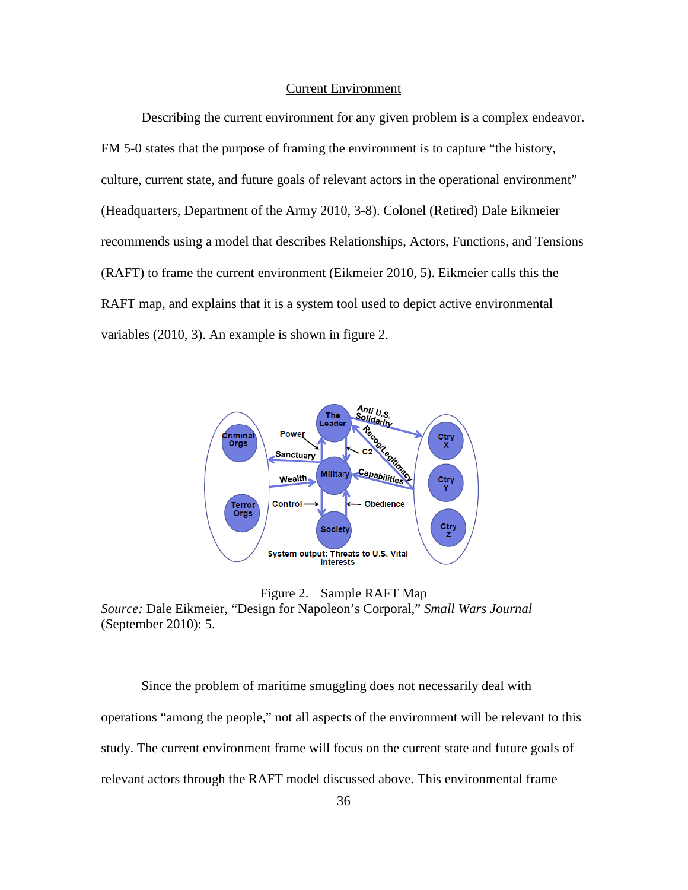### Current Environment

Describing the current environment for any given problem is a complex endeavor. FM 5-0 states that the purpose of framing the environment is to capture "the history, culture, current state, and future goals of relevant actors in the operational environment" (Headquarters, Department of the Army 2010, 3-8). Colonel (Retired) Dale Eikmeier recommends using a model that describes Relationships, Actors, Functions, and Tensions (RAFT) to frame the current environment (Eikmeier 2010, 5). Eikmeier calls this the RAFT map, and explains that it is a system tool used to depict active environmental variables (2010, 3). An example is shown in figure 2.



Figure 2. Sample RAFT Map

*Source:* Dale Eikmeier, "Design for Napoleon's Corporal," *Small Wars Journal*  (September 2010): 5.

Since the problem of maritime smuggling does not necessarily deal with operations "among the people," not all aspects of the environment will be relevant to this study. The current environment frame will focus on the current state and future goals of relevant actors through the RAFT model discussed above. This environmental frame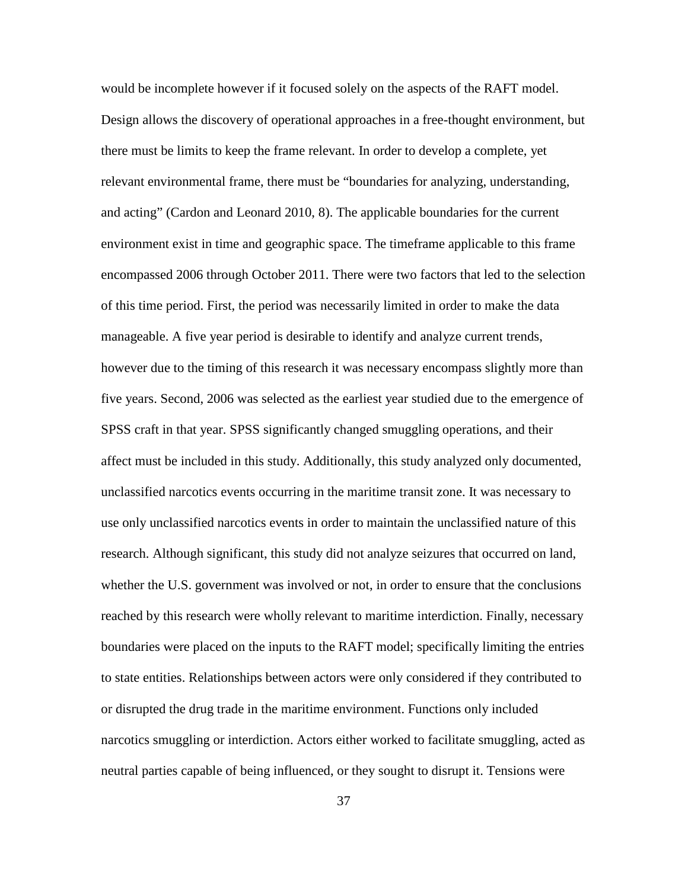would be incomplete however if it focused solely on the aspects of the RAFT model. Design allows the discovery of operational approaches in a free-thought environment, but there must be limits to keep the frame relevant. In order to develop a complete, yet relevant environmental frame, there must be "boundaries for analyzing, understanding, and acting" (Cardon and Leonard 2010, 8). The applicable boundaries for the current environment exist in time and geographic space. The timeframe applicable to this frame encompassed 2006 through October 2011. There were two factors that led to the selection of this time period. First, the period was necessarily limited in order to make the data manageable. A five year period is desirable to identify and analyze current trends, however due to the timing of this research it was necessary encompass slightly more than five years. Second, 2006 was selected as the earliest year studied due to the emergence of SPSS craft in that year. SPSS significantly changed smuggling operations, and their affect must be included in this study. Additionally, this study analyzed only documented, unclassified narcotics events occurring in the maritime transit zone. It was necessary to use only unclassified narcotics events in order to maintain the unclassified nature of this research. Although significant, this study did not analyze seizures that occurred on land, whether the U.S. government was involved or not, in order to ensure that the conclusions reached by this research were wholly relevant to maritime interdiction. Finally, necessary boundaries were placed on the inputs to the RAFT model; specifically limiting the entries to state entities. Relationships between actors were only considered if they contributed to or disrupted the drug trade in the maritime environment. Functions only included narcotics smuggling or interdiction. Actors either worked to facilitate smuggling, acted as neutral parties capable of being influenced, or they sought to disrupt it. Tensions were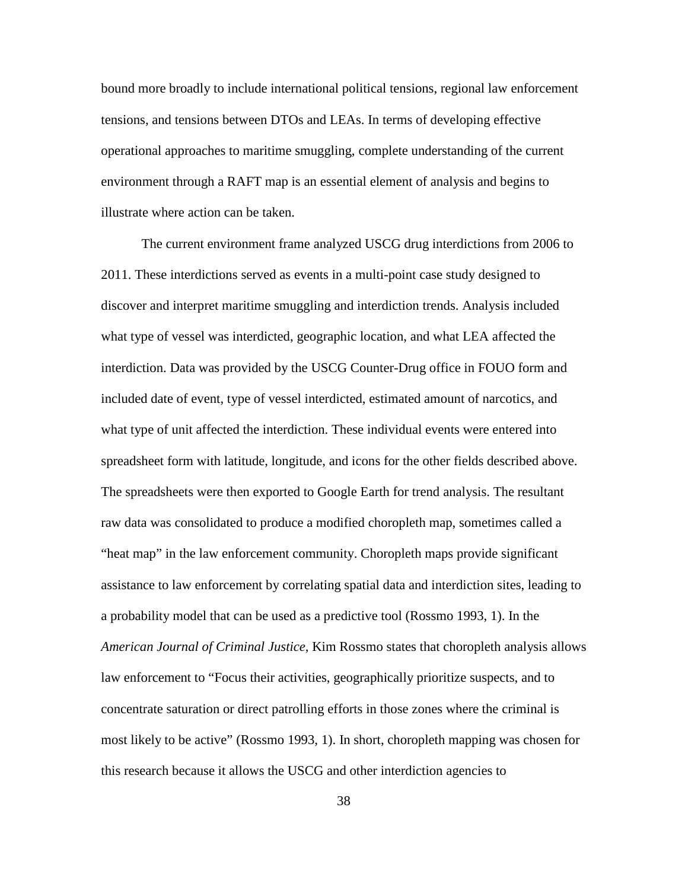bound more broadly to include international political tensions, regional law enforcement tensions, and tensions between DTOs and LEAs. In terms of developing effective operational approaches to maritime smuggling, complete understanding of the current environment through a RAFT map is an essential element of analysis and begins to illustrate where action can be taken.

The current environment frame analyzed USCG drug interdictions from 2006 to 2011. These interdictions served as events in a multi-point case study designed to discover and interpret maritime smuggling and interdiction trends. Analysis included what type of vessel was interdicted, geographic location, and what LEA affected the interdiction. Data was provided by the USCG Counter-Drug office in FOUO form and included date of event, type of vessel interdicted, estimated amount of narcotics, and what type of unit affected the interdiction. These individual events were entered into spreadsheet form with latitude, longitude, and icons for the other fields described above. The spreadsheets were then exported to Google Earth for trend analysis. The resultant raw data was consolidated to produce a modified choropleth map, sometimes called a "heat map" in the law enforcement community. Choropleth maps provide significant assistance to law enforcement by correlating spatial data and interdiction sites, leading to a probability model that can be used as a predictive tool (Rossmo 1993, 1). In the *American Journal of Criminal Justice,* Kim Rossmo states that choropleth analysis allows law enforcement to "Focus their activities, geographically prioritize suspects, and to concentrate saturation or direct patrolling efforts in those zones where the criminal is most likely to be active" (Rossmo 1993, 1). In short, choropleth mapping was chosen for this research because it allows the USCG and other interdiction agencies to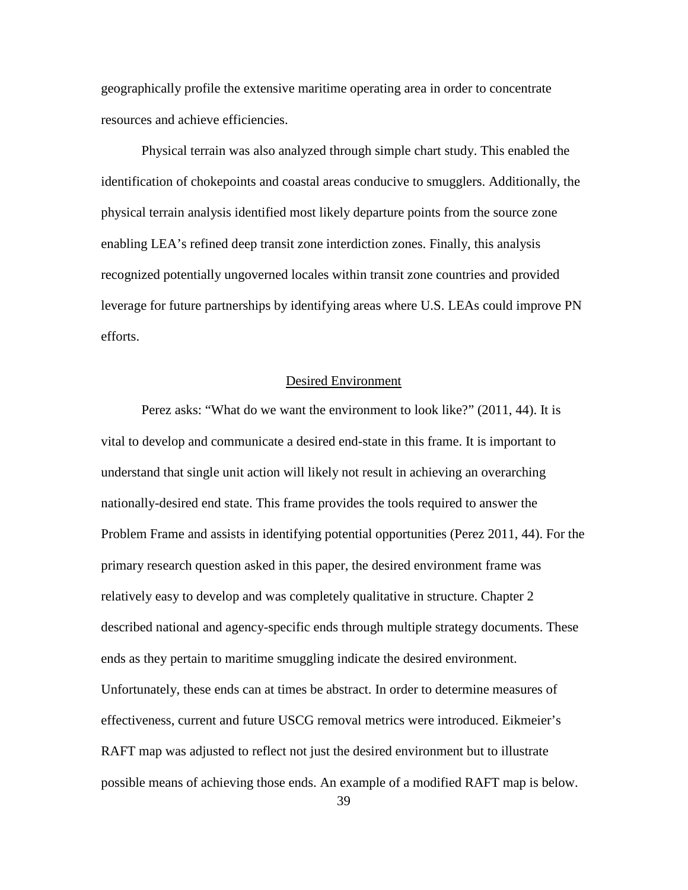geographically profile the extensive maritime operating area in order to concentrate resources and achieve efficiencies.

Physical terrain was also analyzed through simple chart study. This enabled the identification of chokepoints and coastal areas conducive to smugglers. Additionally, the physical terrain analysis identified most likely departure points from the source zone enabling LEA's refined deep transit zone interdiction zones. Finally, this analysis recognized potentially ungoverned locales within transit zone countries and provided leverage for future partnerships by identifying areas where U.S. LEAs could improve PN efforts.

# Desired Environment

Perez asks: "What do we want the environment to look like?" (2011, 44). It is vital to develop and communicate a desired end-state in this frame. It is important to understand that single unit action will likely not result in achieving an overarching nationally-desired end state. This frame provides the tools required to answer the Problem Frame and assists in identifying potential opportunities (Perez 2011, 44). For the primary research question asked in this paper, the desired environment frame was relatively easy to develop and was completely qualitative in structure. Chapter 2 described national and agency-specific ends through multiple strategy documents. These ends as they pertain to maritime smuggling indicate the desired environment. Unfortunately, these ends can at times be abstract. In order to determine measures of effectiveness, current and future USCG removal metrics were introduced. Eikmeier's RAFT map was adjusted to reflect not just the desired environment but to illustrate possible means of achieving those ends. An example of a modified RAFT map is below.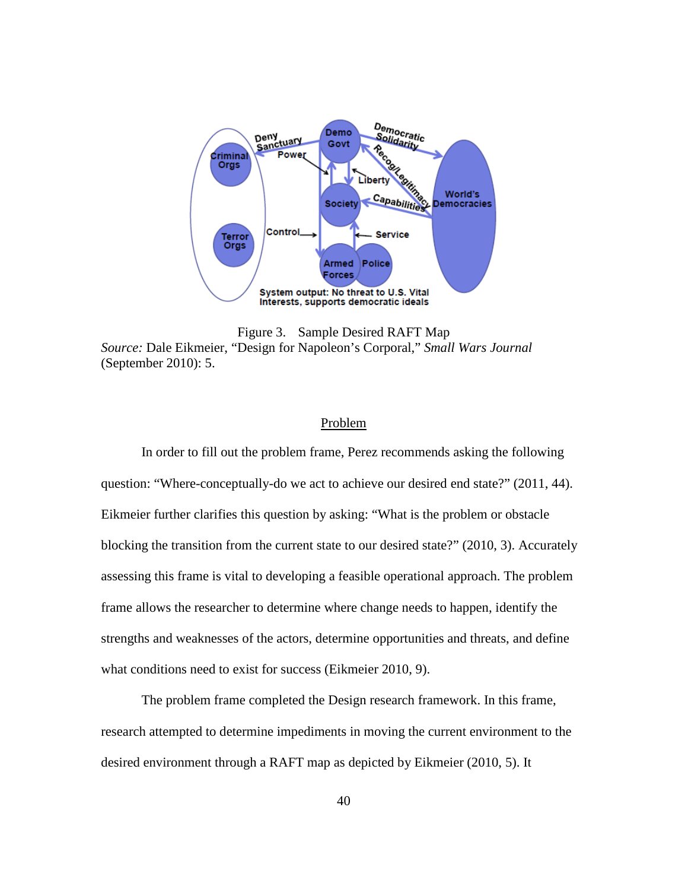

Figure 3. Sample Desired RAFT Map *Source:* Dale Eikmeier, "Design for Napoleon's Corporal," *Small Wars Journal* (September 2010): 5.

### Problem

In order to fill out the problem frame, Perez recommends asking the following question: "Where-conceptually-do we act to achieve our desired end state?" (2011, 44). Eikmeier further clarifies this question by asking: "What is the problem or obstacle blocking the transition from the current state to our desired state?" (2010, 3). Accurately assessing this frame is vital to developing a feasible operational approach. The problem frame allows the researcher to determine where change needs to happen, identify the strengths and weaknesses of the actors, determine opportunities and threats, and define what conditions need to exist for success (Eikmeier 2010, 9).

The problem frame completed the Design research framework. In this frame, research attempted to determine impediments in moving the current environment to the desired environment through a RAFT map as depicted by Eikmeier (2010, 5). It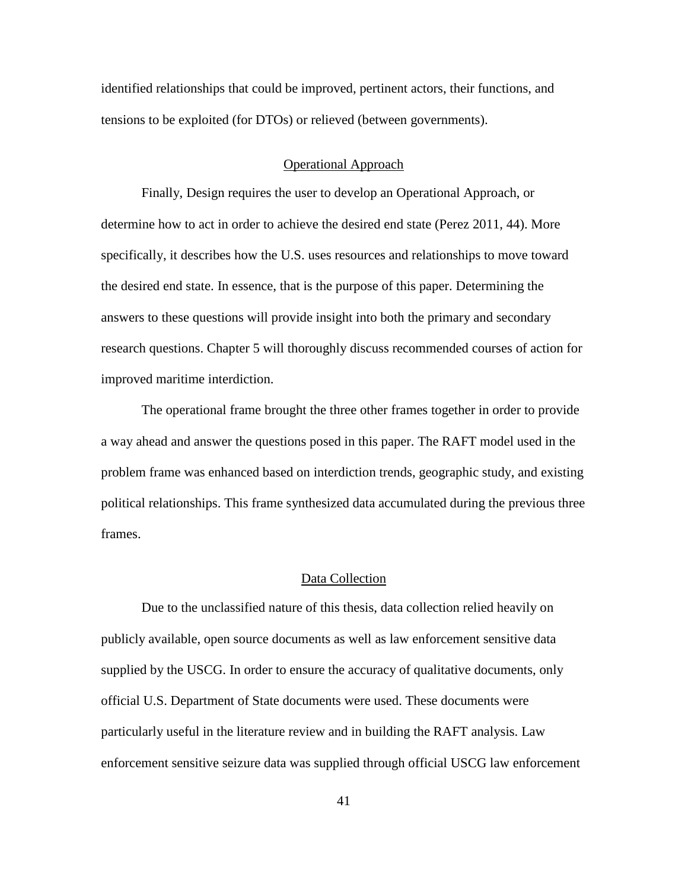identified relationships that could be improved, pertinent actors, their functions, and tensions to be exploited (for DTOs) or relieved (between governments).

# Operational Approach

Finally, Design requires the user to develop an Operational Approach, or determine how to act in order to achieve the desired end state (Perez 2011, 44). More specifically, it describes how the U.S. uses resources and relationships to move toward the desired end state. In essence, that is the purpose of this paper. Determining the answers to these questions will provide insight into both the primary and secondary research questions. Chapter 5 will thoroughly discuss recommended courses of action for improved maritime interdiction.

The operational frame brought the three other frames together in order to provide a way ahead and answer the questions posed in this paper. The RAFT model used in the problem frame was enhanced based on interdiction trends, geographic study, and existing political relationships. This frame synthesized data accumulated during the previous three frames.

### Data Collection

Due to the unclassified nature of this thesis, data collection relied heavily on publicly available, open source documents as well as law enforcement sensitive data supplied by the USCG. In order to ensure the accuracy of qualitative documents, only official U.S. Department of State documents were used. These documents were particularly useful in the literature review and in building the RAFT analysis. Law enforcement sensitive seizure data was supplied through official USCG law enforcement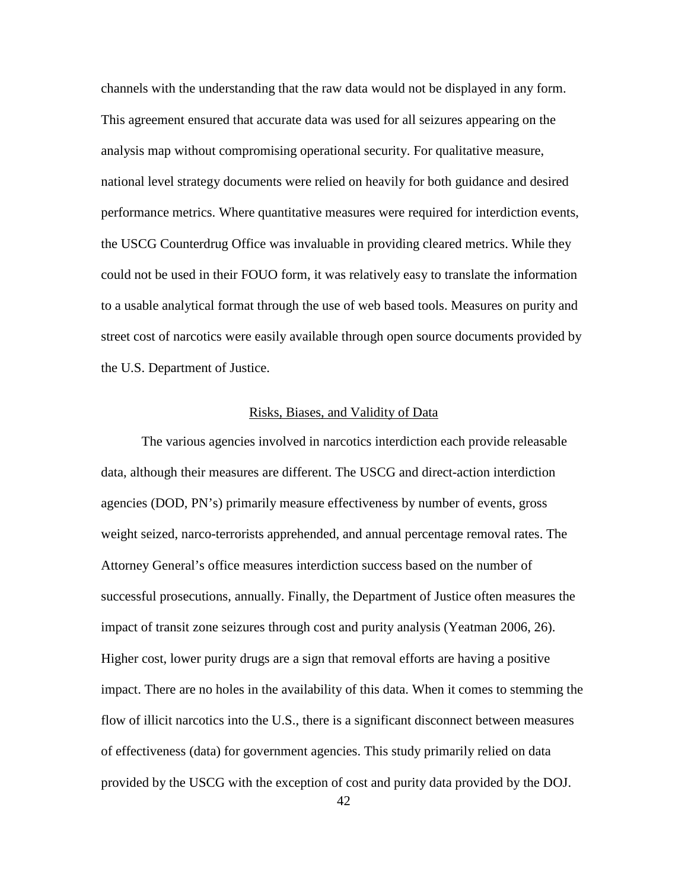channels with the understanding that the raw data would not be displayed in any form. This agreement ensured that accurate data was used for all seizures appearing on the analysis map without compromising operational security. For qualitative measure, national level strategy documents were relied on heavily for both guidance and desired performance metrics. Where quantitative measures were required for interdiction events, the USCG Counterdrug Office was invaluable in providing cleared metrics. While they could not be used in their FOUO form, it was relatively easy to translate the information to a usable analytical format through the use of web based tools. Measures on purity and street cost of narcotics were easily available through open source documents provided by the U.S. Department of Justice.

### Risks, Biases, and Validity of Data

The various agencies involved in narcotics interdiction each provide releasable data, although their measures are different. The USCG and direct-action interdiction agencies (DOD, PN's) primarily measure effectiveness by number of events, gross weight seized, narco-terrorists apprehended, and annual percentage removal rates. The Attorney General's office measures interdiction success based on the number of successful prosecutions, annually. Finally, the Department of Justice often measures the impact of transit zone seizures through cost and purity analysis (Yeatman 2006, 26). Higher cost, lower purity drugs are a sign that removal efforts are having a positive impact. There are no holes in the availability of this data. When it comes to stemming the flow of illicit narcotics into the U.S., there is a significant disconnect between measures of effectiveness (data) for government agencies. This study primarily relied on data provided by the USCG with the exception of cost and purity data provided by the DOJ.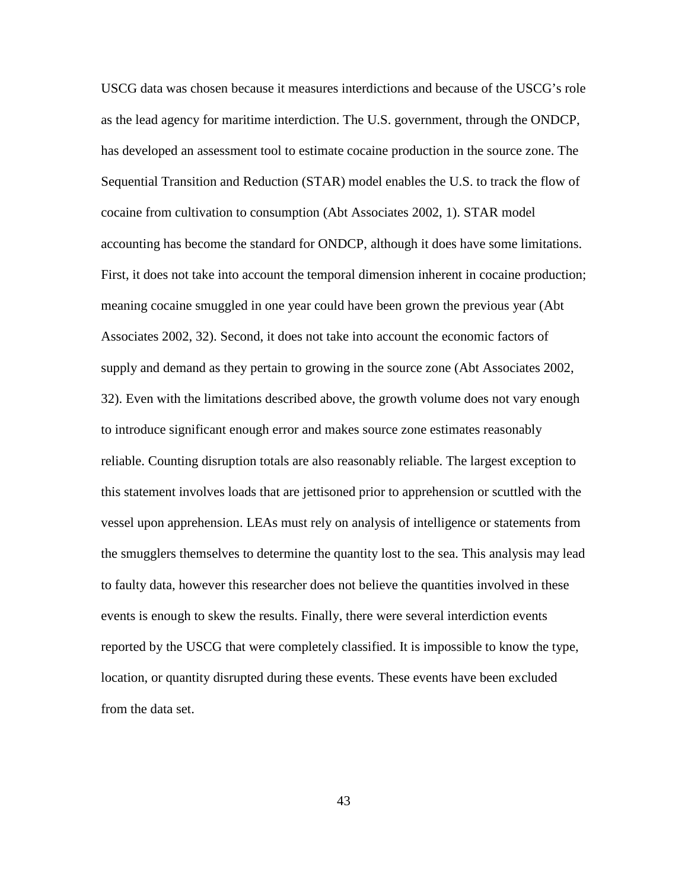USCG data was chosen because it measures interdictions and because of the USCG's role as the lead agency for maritime interdiction. The U.S. government, through the ONDCP, has developed an assessment tool to estimate cocaine production in the source zone. The Sequential Transition and Reduction (STAR) model enables the U.S. to track the flow of cocaine from cultivation to consumption (Abt Associates 2002, 1). STAR model accounting has become the standard for ONDCP, although it does have some limitations. First, it does not take into account the temporal dimension inherent in cocaine production; meaning cocaine smuggled in one year could have been grown the previous year (Abt Associates 2002, 32). Second, it does not take into account the economic factors of supply and demand as they pertain to growing in the source zone (Abt Associates 2002, 32). Even with the limitations described above, the growth volume does not vary enough to introduce significant enough error and makes source zone estimates reasonably reliable. Counting disruption totals are also reasonably reliable. The largest exception to this statement involves loads that are jettisoned prior to apprehension or scuttled with the vessel upon apprehension. LEAs must rely on analysis of intelligence or statements from the smugglers themselves to determine the quantity lost to the sea. This analysis may lead to faulty data, however this researcher does not believe the quantities involved in these events is enough to skew the results. Finally, there were several interdiction events reported by the USCG that were completely classified. It is impossible to know the type, location, or quantity disrupted during these events. These events have been excluded from the data set.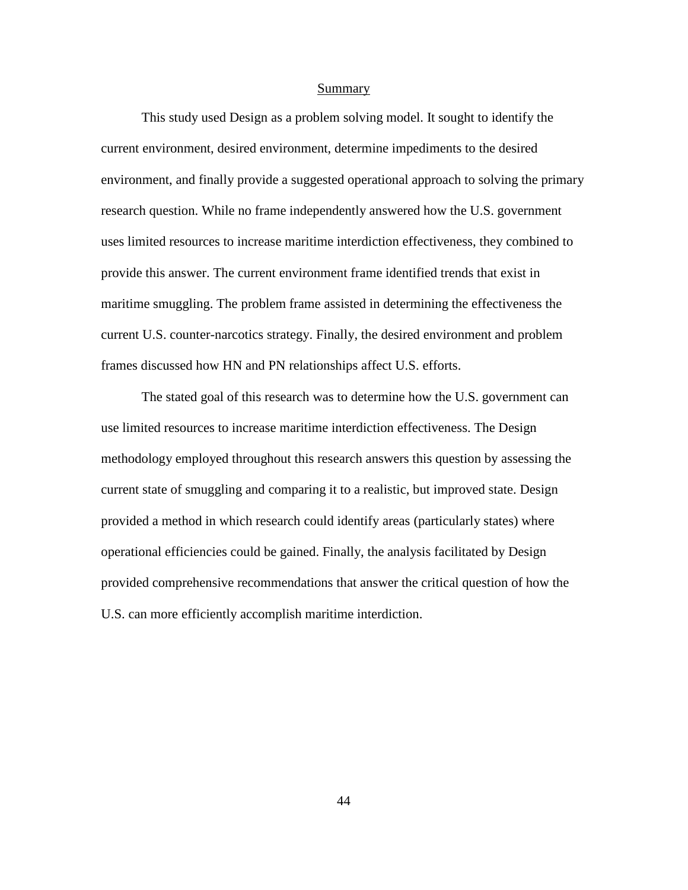#### Summary

This study used Design as a problem solving model. It sought to identify the current environment, desired environment, determine impediments to the desired environment, and finally provide a suggested operational approach to solving the primary research question. While no frame independently answered how the U.S. government uses limited resources to increase maritime interdiction effectiveness, they combined to provide this answer. The current environment frame identified trends that exist in maritime smuggling. The problem frame assisted in determining the effectiveness the current U.S. counter-narcotics strategy. Finally, the desired environment and problem frames discussed how HN and PN relationships affect U.S. efforts.

The stated goal of this research was to determine how the U.S. government can use limited resources to increase maritime interdiction effectiveness. The Design methodology employed throughout this research answers this question by assessing the current state of smuggling and comparing it to a realistic, but improved state. Design provided a method in which research could identify areas (particularly states) where operational efficiencies could be gained. Finally, the analysis facilitated by Design provided comprehensive recommendations that answer the critical question of how the U.S. can more efficiently accomplish maritime interdiction.

44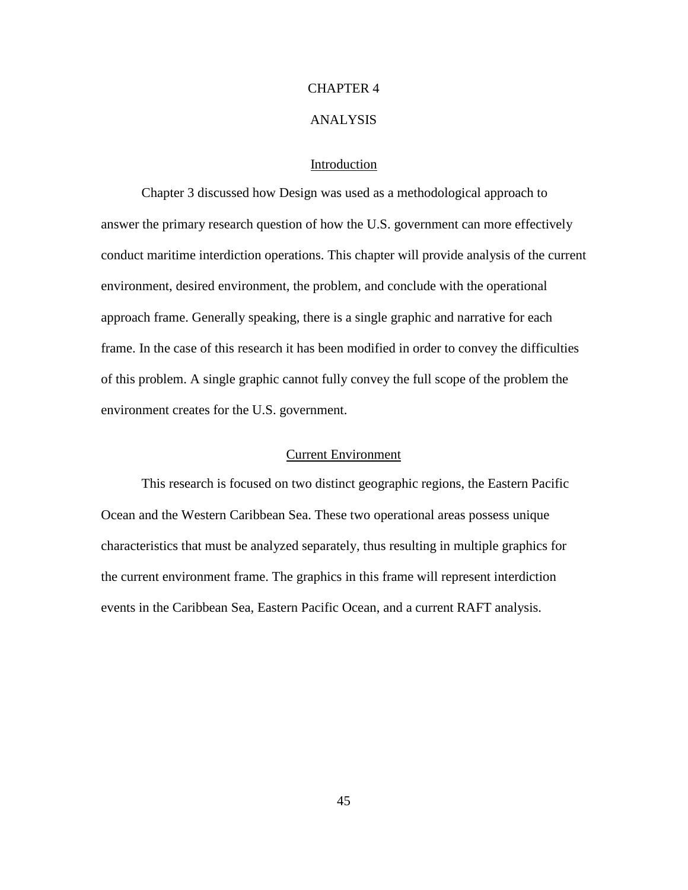### CHAPTER 4

# ANALYSIS

# Introduction

Chapter 3 discussed how Design was used as a methodological approach to answer the primary research question of how the U.S. government can more effectively conduct maritime interdiction operations. This chapter will provide analysis of the current environment, desired environment, the problem, and conclude with the operational approach frame. Generally speaking, there is a single graphic and narrative for each frame. In the case of this research it has been modified in order to convey the difficulties of this problem. A single graphic cannot fully convey the full scope of the problem the environment creates for the U.S. government.

### Current Environment

This research is focused on two distinct geographic regions, the Eastern Pacific Ocean and the Western Caribbean Sea. These two operational areas possess unique characteristics that must be analyzed separately, thus resulting in multiple graphics for the current environment frame. The graphics in this frame will represent interdiction events in the Caribbean Sea, Eastern Pacific Ocean, and a current RAFT analysis.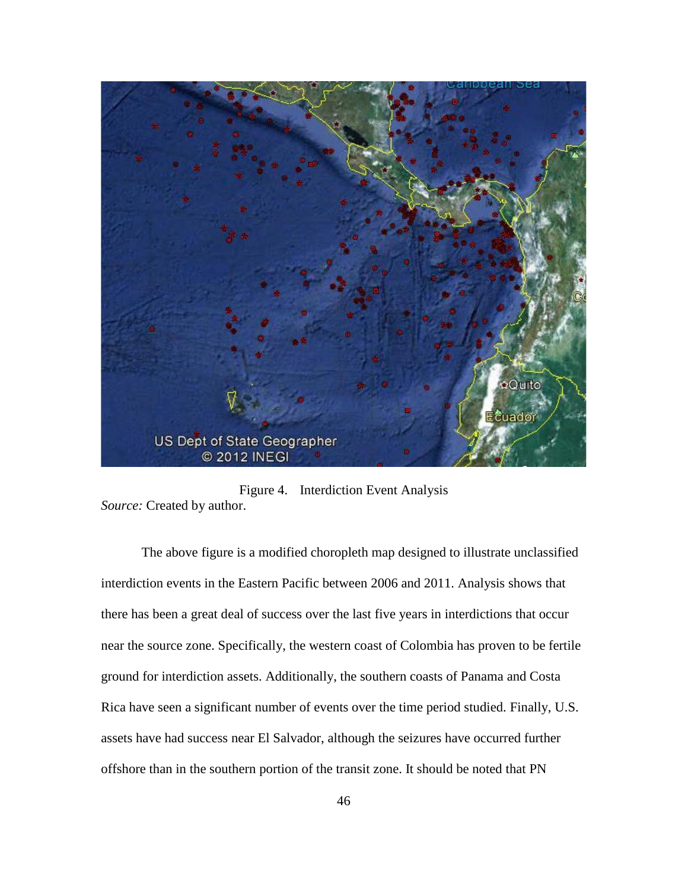

Figure 4. Interdiction Event Analysis *Source:* Created by author.

The above figure is a modified choropleth map designed to illustrate unclassified interdiction events in the Eastern Pacific between 2006 and 2011. Analysis shows that there has been a great deal of success over the last five years in interdictions that occur near the source zone. Specifically, the western coast of Colombia has proven to be fertile ground for interdiction assets. Additionally, the southern coasts of Panama and Costa Rica have seen a significant number of events over the time period studied. Finally, U.S. assets have had success near El Salvador, although the seizures have occurred further offshore than in the southern portion of the transit zone. It should be noted that PN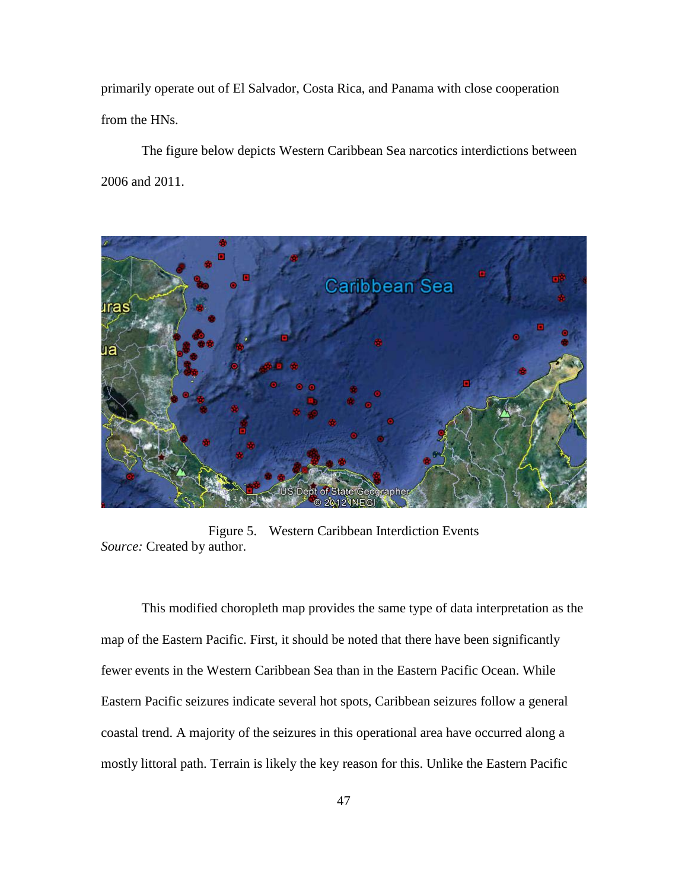primarily operate out of El Salvador, Costa Rica, and Panama with close cooperation from the HNs.

The figure below depicts Western Caribbean Sea narcotics interdictions between 2006 and 2011.



Figure 5. Western Caribbean Interdiction Events *Source:* Created by author.

This modified choropleth map provides the same type of data interpretation as the map of the Eastern Pacific. First, it should be noted that there have been significantly fewer events in the Western Caribbean Sea than in the Eastern Pacific Ocean. While Eastern Pacific seizures indicate several hot spots, Caribbean seizures follow a general coastal trend. A majority of the seizures in this operational area have occurred along a mostly littoral path. Terrain is likely the key reason for this. Unlike the Eastern Pacific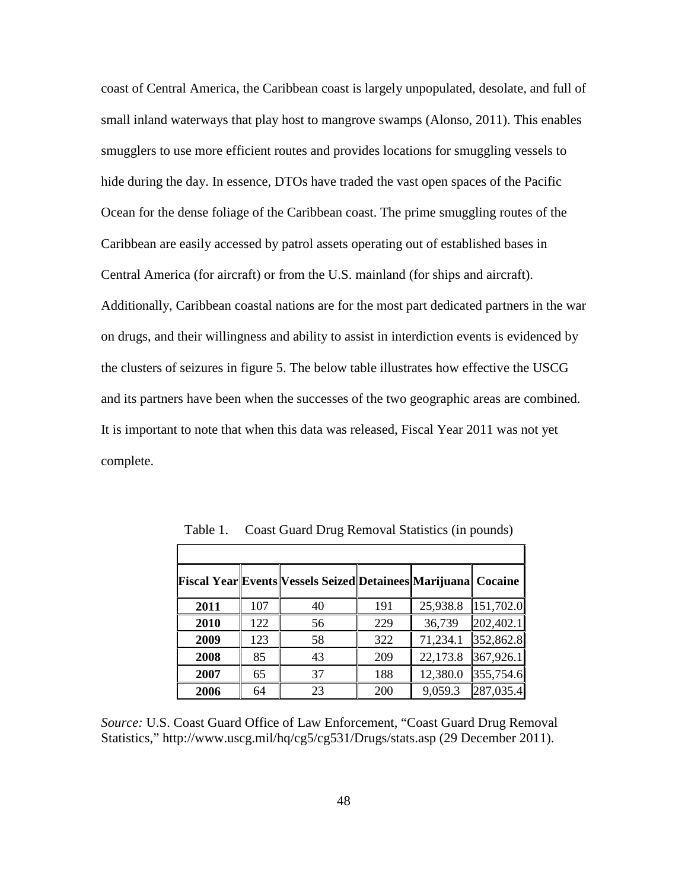coast of Central America, the Caribbean coast is largely unpopulated, desolate, and full of small inland waterways that play host to mangrove swamps (Alonso, 2011). This enables smugglers to use more efficient routes and provides locations for smuggling vessels to hide during the day. In essence, DTOs have traded the vast open spaces of the Pacific Ocean for the dense foliage of the Caribbean coast. The prime smuggling routes of the Caribbean are easily accessed by patrol assets operating out of established bases in Central America (for aircraft) or from the U.S. mainland (for ships and aircraft). Additionally, Caribbean coastal nations are for the most part dedicated partners in the war on drugs, and their willingness and ability to assist in interdiction events is evidenced by the clusters of seizures in figure 5. The below table illustrates how effective the USCG and its partners have been when the successes of the two geographic areas are combined. It is important to note that when this data was released, Fiscal Year 2011 was not yet complete.

|      |     | <b>Fiscal Year Events Vessels Seized Detainees Marijuana   Cocaine</b> |     |          |           |
|------|-----|------------------------------------------------------------------------|-----|----------|-----------|
| 2011 | 107 | 40                                                                     | 191 | 25,938.8 | 151,702.0 |
| 2010 | 122 | 56                                                                     | 229 | 36,739   | 202,402.1 |
| 2009 | 123 | 58                                                                     | 322 | 71,234.1 | 352,862.8 |
| 2008 | 85  | 43                                                                     | 209 | 22,173.8 | 367,926.1 |
| 2007 | 65  | 37                                                                     | 188 | 12,380.0 | 355,754.6 |
| 2006 | 64  | 23                                                                     | 200 | 9,059.3  | 287,035.4 |

Table 1. Coast Guard Drug Removal Statistics (in pounds)

*Source:* U.S. Coast Guard Office of Law Enforcement, "Coast Guard Drug Removal Statistics," http://www.uscg.mil/hq/cg5/cg531/Drugs/stats.asp (29 December 2011).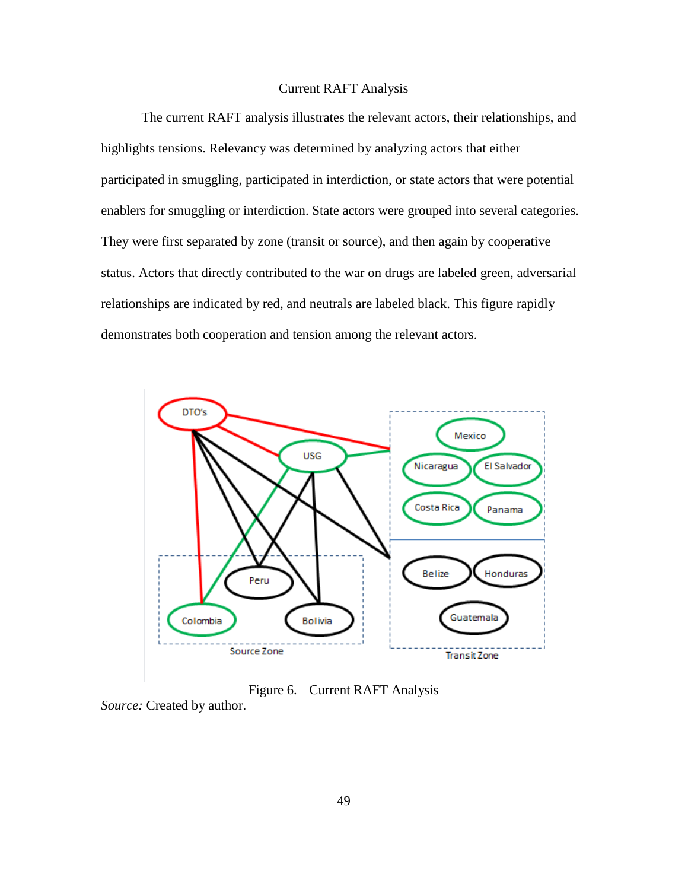# Current RAFT Analysis

The current RAFT analysis illustrates the relevant actors, their relationships, and highlights tensions. Relevancy was determined by analyzing actors that either participated in smuggling, participated in interdiction, or state actors that were potential enablers for smuggling or interdiction. State actors were grouped into several categories. They were first separated by zone (transit or source), and then again by cooperative status. Actors that directly contributed to the war on drugs are labeled green, adversarial relationships are indicated by red, and neutrals are labeled black. This figure rapidly demonstrates both cooperation and tension among the relevant actors.



Figure 6. Current RAFT Analysis

*Source:* Created by author.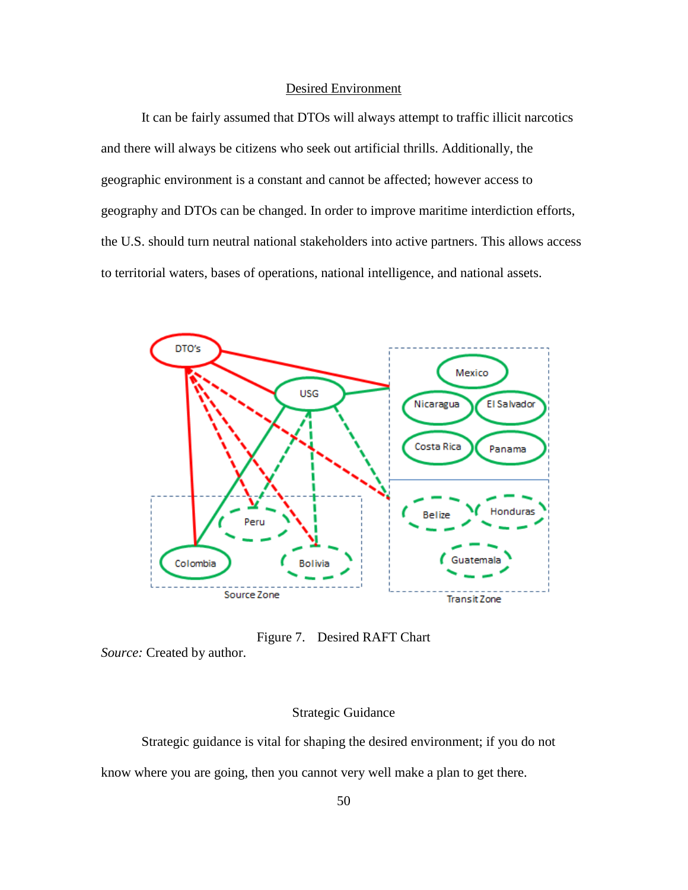# Desired Environment

It can be fairly assumed that DTOs will always attempt to traffic illicit narcotics and there will always be citizens who seek out artificial thrills. Additionally, the geographic environment is a constant and cannot be affected; however access to geography and DTOs can be changed. In order to improve maritime interdiction efforts, the U.S. should turn neutral national stakeholders into active partners. This allows access to territorial waters, bases of operations, national intelligence, and national assets.



Figure 7. Desired RAFT Chart

*Source:* Created by author.

# Strategic Guidance

Strategic guidance is vital for shaping the desired environment; if you do not

know where you are going, then you cannot very well make a plan to get there.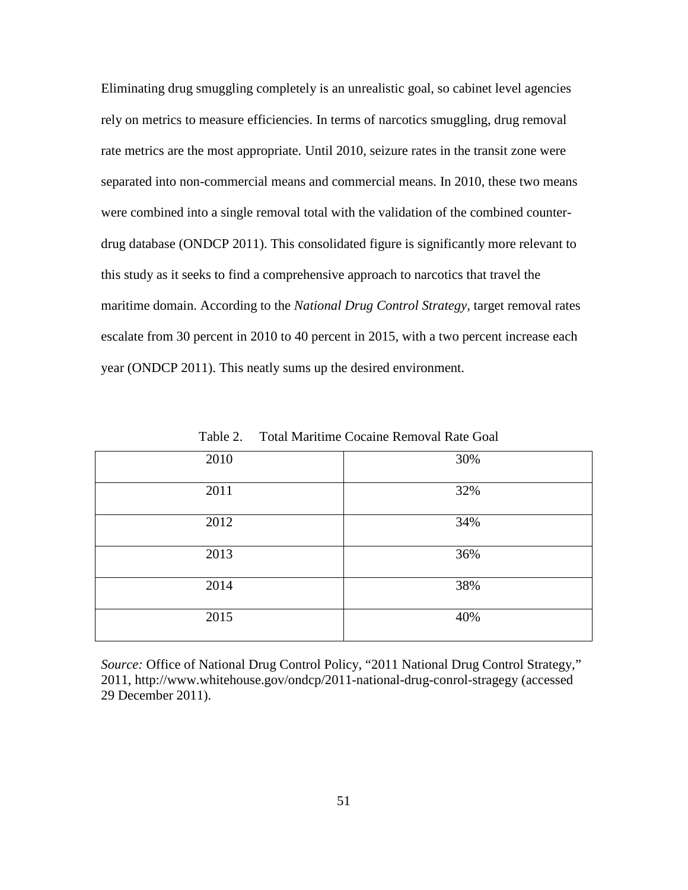Eliminating drug smuggling completely is an unrealistic goal, so cabinet level agencies rely on metrics to measure efficiencies. In terms of narcotics smuggling, drug removal rate metrics are the most appropriate. Until 2010, seizure rates in the transit zone were separated into non-commercial means and commercial means. In 2010, these two means were combined into a single removal total with the validation of the combined counterdrug database (ONDCP 2011). This consolidated figure is significantly more relevant to this study as it seeks to find a comprehensive approach to narcotics that travel the maritime domain. According to the *National Drug Control Strategy,* target removal rates escalate from 30 percent in 2010 to 40 percent in 2015, with a two percent increase each year (ONDCP 2011). This neatly sums up the desired environment.

| 2010 | 30% |
|------|-----|
| 2011 | 32% |
| 2012 | 34% |
| 2013 | 36% |
| 2014 | 38% |
| 2015 | 40% |

Table 2. Total Maritime Cocaine Removal Rate Goal

*Source:* Office of National Drug Control Policy, "2011 National Drug Control Strategy," 2011, http://www.whitehouse.gov/ondcp/2011-national-drug-conrol-stragegy (accessed 29 December 2011).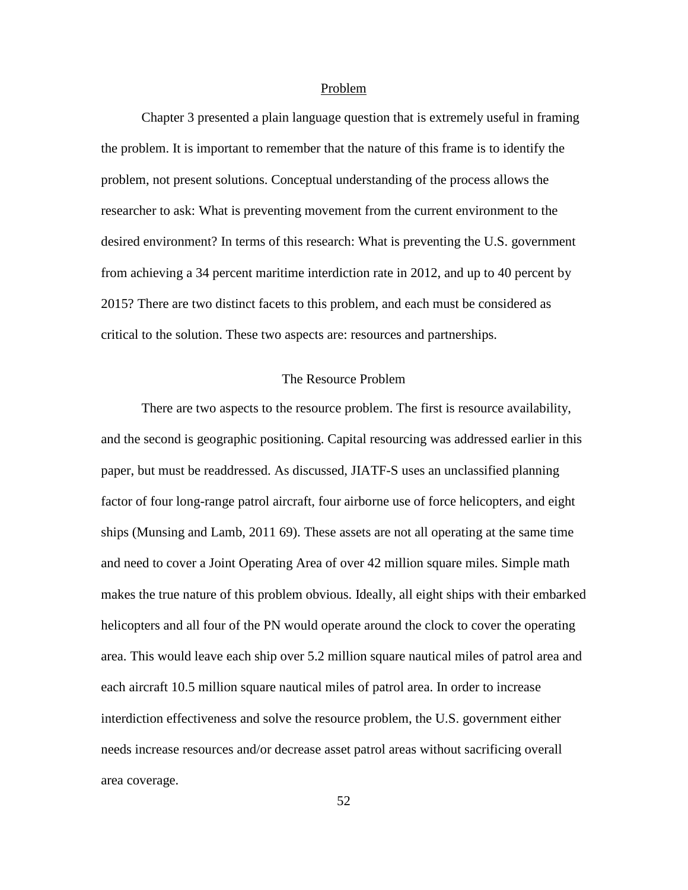#### Problem

Chapter 3 presented a plain language question that is extremely useful in framing the problem. It is important to remember that the nature of this frame is to identify the problem, not present solutions. Conceptual understanding of the process allows the researcher to ask: What is preventing movement from the current environment to the desired environment? In terms of this research: What is preventing the U.S. government from achieving a 34 percent maritime interdiction rate in 2012, and up to 40 percent by 2015? There are two distinct facets to this problem, and each must be considered as critical to the solution. These two aspects are: resources and partnerships.

# The Resource Problem

There are two aspects to the resource problem. The first is resource availability, and the second is geographic positioning. Capital resourcing was addressed earlier in this paper, but must be readdressed. As discussed, JIATF-S uses an unclassified planning factor of four long-range patrol aircraft, four airborne use of force helicopters, and eight ships (Munsing and Lamb, 2011 69). These assets are not all operating at the same time and need to cover a Joint Operating Area of over 42 million square miles. Simple math makes the true nature of this problem obvious. Ideally, all eight ships with their embarked helicopters and all four of the PN would operate around the clock to cover the operating area. This would leave each ship over 5.2 million square nautical miles of patrol area and each aircraft 10.5 million square nautical miles of patrol area. In order to increase interdiction effectiveness and solve the resource problem, the U.S. government either needs increase resources and/or decrease asset patrol areas without sacrificing overall area coverage.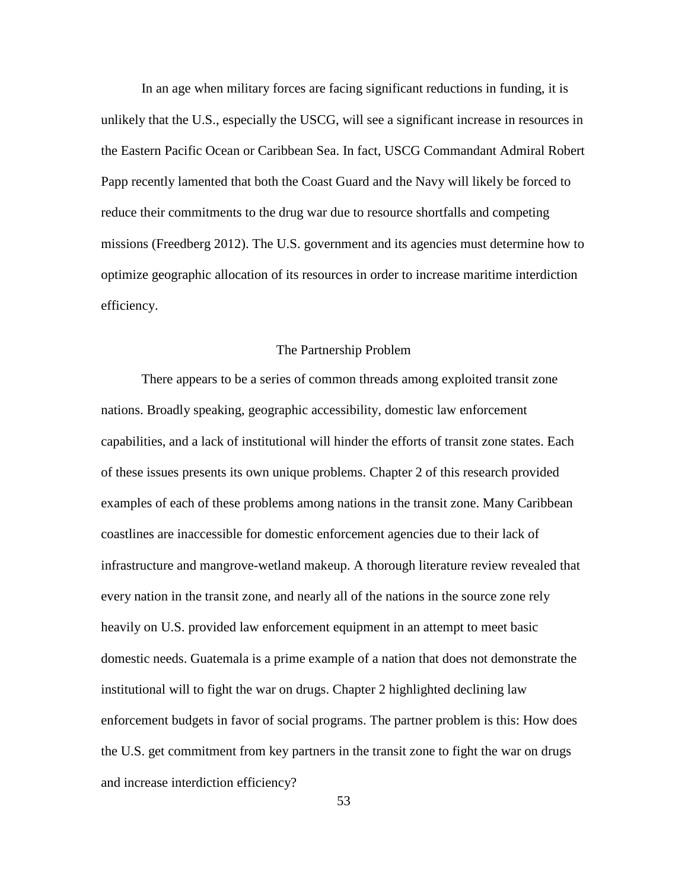In an age when military forces are facing significant reductions in funding, it is unlikely that the U.S., especially the USCG, will see a significant increase in resources in the Eastern Pacific Ocean or Caribbean Sea. In fact, USCG Commandant Admiral Robert Papp recently lamented that both the Coast Guard and the Navy will likely be forced to reduce their commitments to the drug war due to resource shortfalls and competing missions (Freedberg 2012). The U.S. government and its agencies must determine how to optimize geographic allocation of its resources in order to increase maritime interdiction efficiency.

### The Partnership Problem

There appears to be a series of common threads among exploited transit zone nations. Broadly speaking, geographic accessibility, domestic law enforcement capabilities, and a lack of institutional will hinder the efforts of transit zone states. Each of these issues presents its own unique problems. Chapter 2 of this research provided examples of each of these problems among nations in the transit zone. Many Caribbean coastlines are inaccessible for domestic enforcement agencies due to their lack of infrastructure and mangrove-wetland makeup. A thorough literature review revealed that every nation in the transit zone, and nearly all of the nations in the source zone rely heavily on U.S. provided law enforcement equipment in an attempt to meet basic domestic needs. Guatemala is a prime example of a nation that does not demonstrate the institutional will to fight the war on drugs. Chapter 2 highlighted declining law enforcement budgets in favor of social programs. The partner problem is this: How does the U.S. get commitment from key partners in the transit zone to fight the war on drugs and increase interdiction efficiency?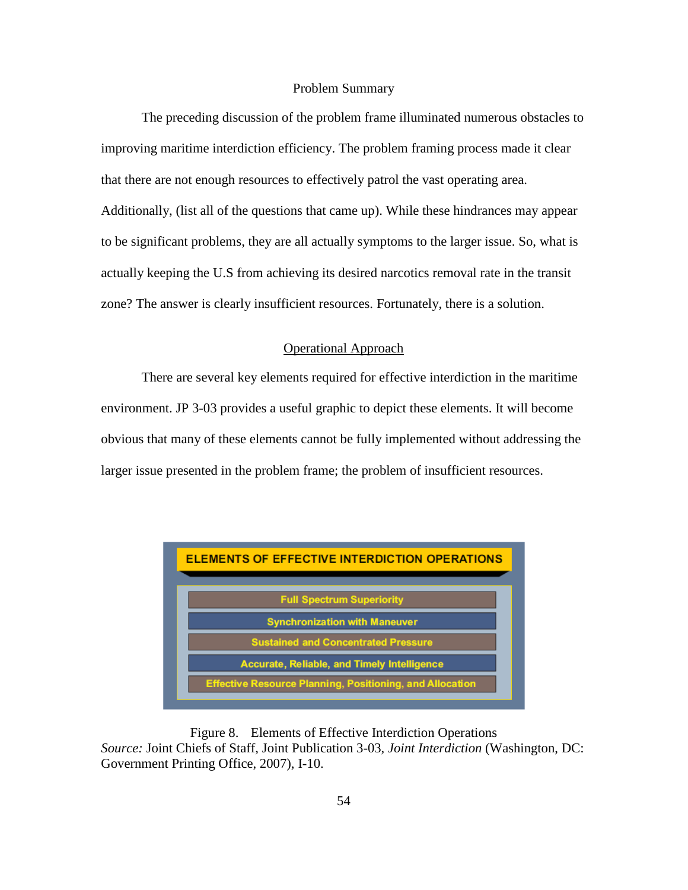### Problem Summary

The preceding discussion of the problem frame illuminated numerous obstacles to improving maritime interdiction efficiency. The problem framing process made it clear that there are not enough resources to effectively patrol the vast operating area. Additionally, (list all of the questions that came up). While these hindrances may appear to be significant problems, they are all actually symptoms to the larger issue. So, what is actually keeping the U.S from achieving its desired narcotics removal rate in the transit zone? The answer is clearly insufficient resources. Fortunately, there is a solution.

## Operational Approach

There are several key elements required for effective interdiction in the maritime environment. JP 3-03 provides a useful graphic to depict these elements. It will become obvious that many of these elements cannot be fully implemented without addressing the larger issue presented in the problem frame; the problem of insufficient resources.



Figure 8. Elements of Effective Interdiction Operations *Source:* Joint Chiefs of Staff, Joint Publication 3-03, *Joint Interdiction* (Washington, DC: Government Printing Office, 2007), I-10.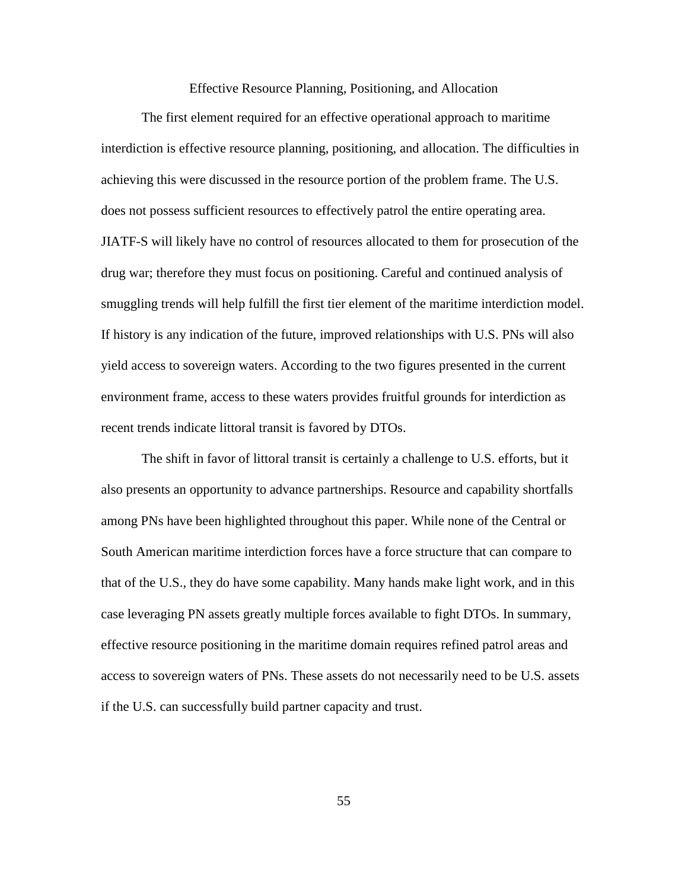Effective Resource Planning, Positioning, and Allocation

The first element required for an effective operational approach to maritime interdiction is effective resource planning, positioning, and allocation. The difficulties in achieving this were discussed in the resource portion of the problem frame. The U.S. does not possess sufficient resources to effectively patrol the entire operating area. JIATF-S will likely have no control of resources allocated to them for prosecution of the drug war; therefore they must focus on positioning. Careful and continued analysis of smuggling trends will help fulfill the first tier element of the maritime interdiction model. If history is any indication of the future, improved relationships with U.S. PNs will also yield access to sovereign waters. According to the two figures presented in the current environment frame, access to these waters provides fruitful grounds for interdiction as recent trends indicate littoral transit is favored by DTOs.

The shift in favor of littoral transit is certainly a challenge to U.S. efforts, but it also presents an opportunity to advance partnerships. Resource and capability shortfalls among PNs have been highlighted throughout this paper. While none of the Central or South American maritime interdiction forces have a force structure that can compare to that of the U.S., they do have some capability. Many hands make light work, and in this case leveraging PN assets greatly multiple forces available to fight DTOs. In summary, effective resource positioning in the maritime domain requires refined patrol areas and access to sovereign waters of PNs. These assets do not necessarily need to be U.S. assets if the U.S. can successfully build partner capacity and trust.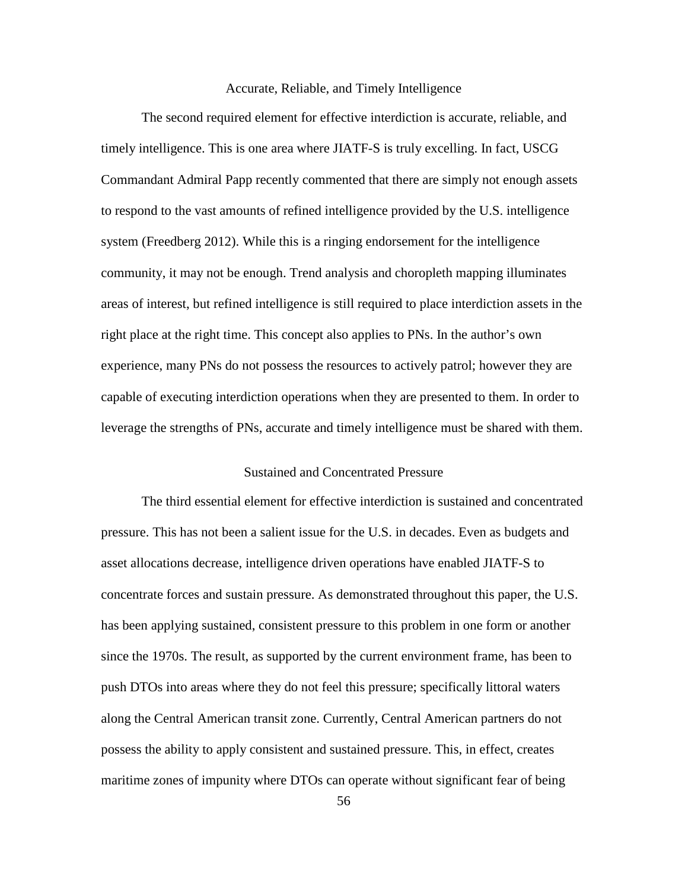### Accurate, Reliable, and Timely Intelligence

The second required element for effective interdiction is accurate, reliable, and timely intelligence. This is one area where JIATF-S is truly excelling. In fact, USCG Commandant Admiral Papp recently commented that there are simply not enough assets to respond to the vast amounts of refined intelligence provided by the U.S. intelligence system (Freedberg 2012). While this is a ringing endorsement for the intelligence community, it may not be enough. Trend analysis and choropleth mapping illuminates areas of interest, but refined intelligence is still required to place interdiction assets in the right place at the right time. This concept also applies to PNs. In the author's own experience, many PNs do not possess the resources to actively patrol; however they are capable of executing interdiction operations when they are presented to them. In order to leverage the strengths of PNs, accurate and timely intelligence must be shared with them.

## Sustained and Concentrated Pressure

The third essential element for effective interdiction is sustained and concentrated pressure. This has not been a salient issue for the U.S. in decades. Even as budgets and asset allocations decrease, intelligence driven operations have enabled JIATF-S to concentrate forces and sustain pressure. As demonstrated throughout this paper, the U.S. has been applying sustained, consistent pressure to this problem in one form or another since the 1970s. The result, as supported by the current environment frame, has been to push DTOs into areas where they do not feel this pressure; specifically littoral waters along the Central American transit zone. Currently, Central American partners do not possess the ability to apply consistent and sustained pressure. This, in effect, creates maritime zones of impunity where DTOs can operate without significant fear of being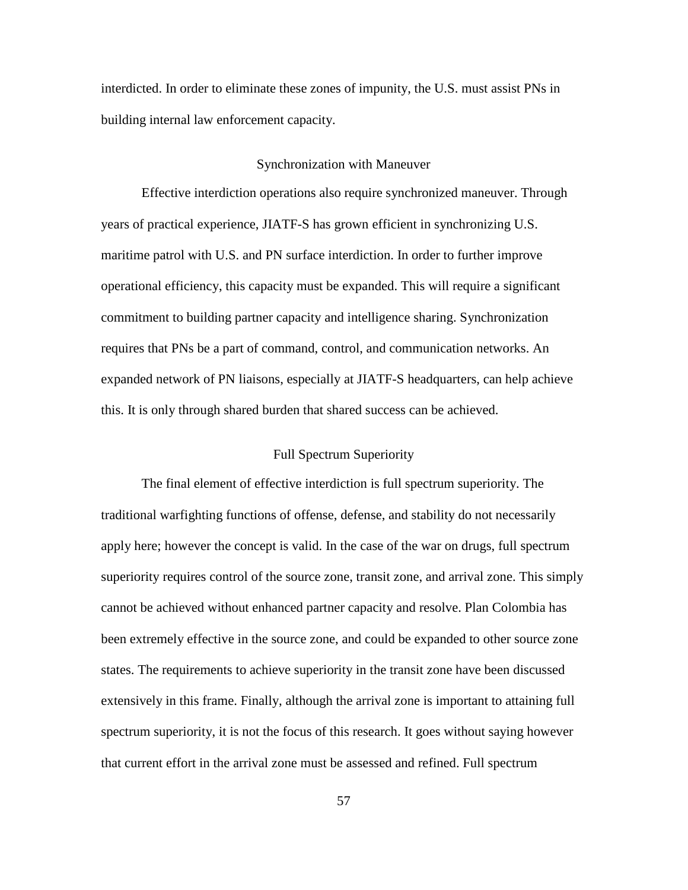interdicted. In order to eliminate these zones of impunity, the U.S. must assist PNs in building internal law enforcement capacity.

### Synchronization with Maneuver

Effective interdiction operations also require synchronized maneuver. Through years of practical experience, JIATF-S has grown efficient in synchronizing U.S. maritime patrol with U.S. and PN surface interdiction. In order to further improve operational efficiency, this capacity must be expanded. This will require a significant commitment to building partner capacity and intelligence sharing. Synchronization requires that PNs be a part of command, control, and communication networks. An expanded network of PN liaisons, especially at JIATF-S headquarters, can help achieve this. It is only through shared burden that shared success can be achieved.

# Full Spectrum Superiority

The final element of effective interdiction is full spectrum superiority. The traditional warfighting functions of offense, defense, and stability do not necessarily apply here; however the concept is valid. In the case of the war on drugs, full spectrum superiority requires control of the source zone, transit zone, and arrival zone. This simply cannot be achieved without enhanced partner capacity and resolve. Plan Colombia has been extremely effective in the source zone, and could be expanded to other source zone states. The requirements to achieve superiority in the transit zone have been discussed extensively in this frame. Finally, although the arrival zone is important to attaining full spectrum superiority, it is not the focus of this research. It goes without saying however that current effort in the arrival zone must be assessed and refined. Full spectrum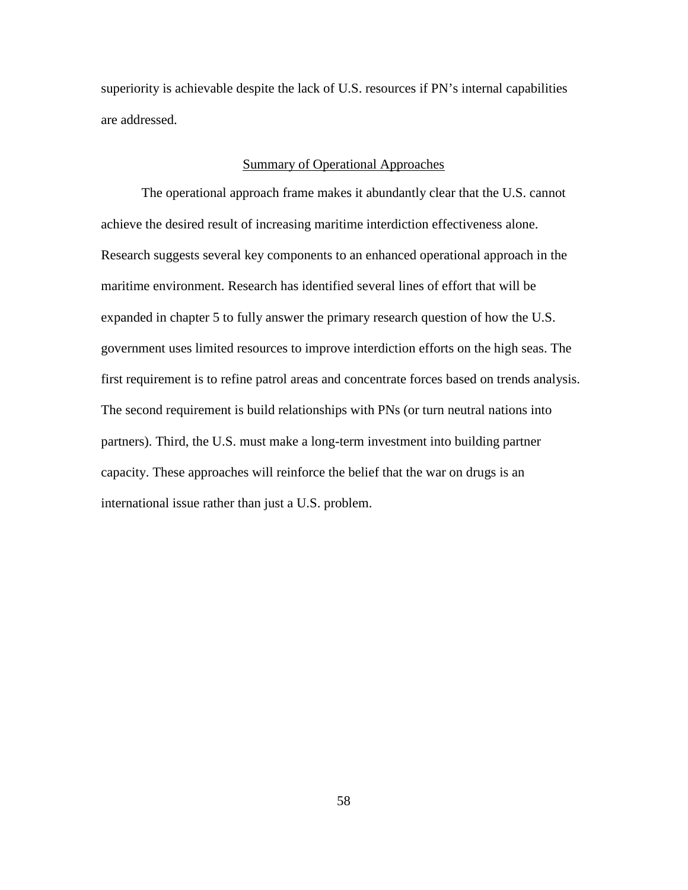superiority is achievable despite the lack of U.S. resources if PN's internal capabilities are addressed.

# Summary of Operational Approaches

The operational approach frame makes it abundantly clear that the U.S. cannot achieve the desired result of increasing maritime interdiction effectiveness alone. Research suggests several key components to an enhanced operational approach in the maritime environment. Research has identified several lines of effort that will be expanded in chapter 5 to fully answer the primary research question of how the U.S. government uses limited resources to improve interdiction efforts on the high seas. The first requirement is to refine patrol areas and concentrate forces based on trends analysis. The second requirement is build relationships with PNs (or turn neutral nations into partners). Third, the U.S. must make a long-term investment into building partner capacity. These approaches will reinforce the belief that the war on drugs is an international issue rather than just a U.S. problem.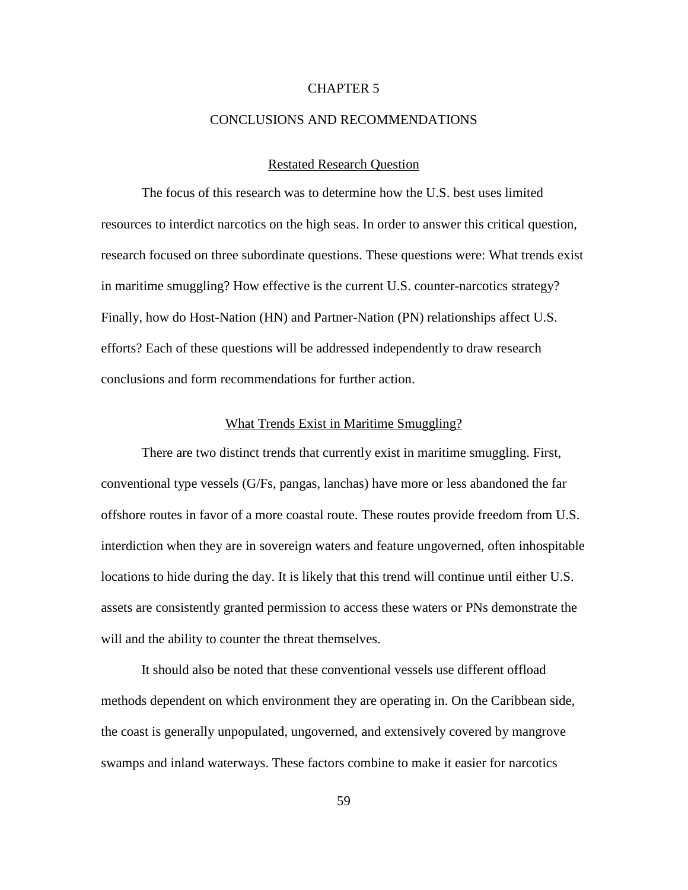## CHAPTER 5

### CONCLUSIONS AND RECOMMENDATIONS

### Restated Research Question

The focus of this research was to determine how the U.S. best uses limited resources to interdict narcotics on the high seas. In order to answer this critical question, research focused on three subordinate questions. These questions were: What trends exist in maritime smuggling? How effective is the current U.S. counter-narcotics strategy? Finally, how do Host-Nation (HN) and Partner-Nation (PN) relationships affect U.S. efforts? Each of these questions will be addressed independently to draw research conclusions and form recommendations for further action.

### What Trends Exist in Maritime Smuggling?

There are two distinct trends that currently exist in maritime smuggling. First, conventional type vessels (G/Fs, pangas, lanchas) have more or less abandoned the far offshore routes in favor of a more coastal route. These routes provide freedom from U.S. interdiction when they are in sovereign waters and feature ungoverned, often inhospitable locations to hide during the day. It is likely that this trend will continue until either U.S. assets are consistently granted permission to access these waters or PNs demonstrate the will and the ability to counter the threat themselves.

It should also be noted that these conventional vessels use different offload methods dependent on which environment they are operating in. On the Caribbean side, the coast is generally unpopulated, ungoverned, and extensively covered by mangrove swamps and inland waterways. These factors combine to make it easier for narcotics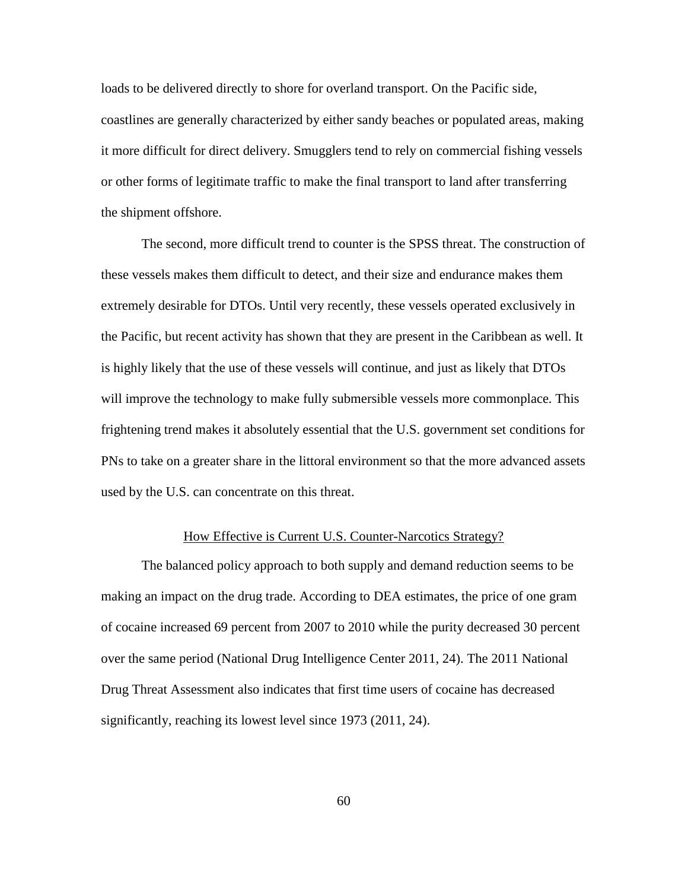loads to be delivered directly to shore for overland transport. On the Pacific side, coastlines are generally characterized by either sandy beaches or populated areas, making it more difficult for direct delivery. Smugglers tend to rely on commercial fishing vessels or other forms of legitimate traffic to make the final transport to land after transferring the shipment offshore.

The second, more difficult trend to counter is the SPSS threat. The construction of these vessels makes them difficult to detect, and their size and endurance makes them extremely desirable for DTOs. Until very recently, these vessels operated exclusively in the Pacific, but recent activity has shown that they are present in the Caribbean as well. It is highly likely that the use of these vessels will continue, and just as likely that DTOs will improve the technology to make fully submersible vessels more commonplace. This frightening trend makes it absolutely essential that the U.S. government set conditions for PNs to take on a greater share in the littoral environment so that the more advanced assets used by the U.S. can concentrate on this threat.

# How Effective is Current U.S. Counter-Narcotics Strategy?

The balanced policy approach to both supply and demand reduction seems to be making an impact on the drug trade. According to DEA estimates, the price of one gram of cocaine increased 69 percent from 2007 to 2010 while the purity decreased 30 percent over the same period (National Drug Intelligence Center 2011, 24). The 2011 National Drug Threat Assessment also indicates that first time users of cocaine has decreased significantly, reaching its lowest level since 1973 (2011, 24).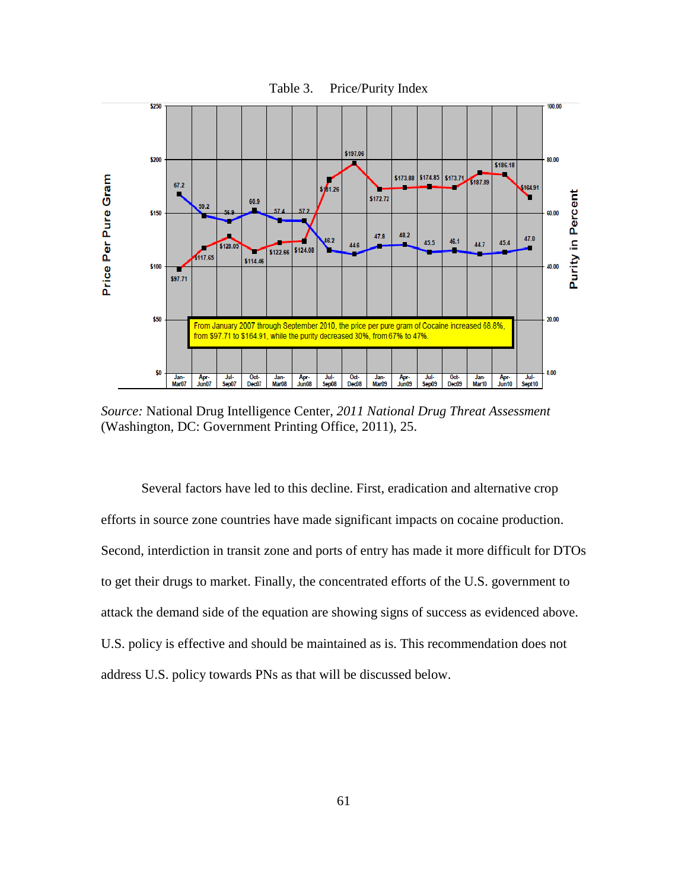

*Source:* National Drug Intelligence Center, *2011 National Drug Threat Assessment* (Washington, DC: Government Printing Office, 2011), 25.

Several factors have led to this decline. First, eradication and alternative crop efforts in source zone countries have made significant impacts on cocaine production. Second, interdiction in transit zone and ports of entry has made it more difficult for DTOs to get their drugs to market. Finally, the concentrated efforts of the U.S. government to attack the demand side of the equation are showing signs of success as evidenced above. U.S. policy is effective and should be maintained as is. This recommendation does not address U.S. policy towards PNs as that will be discussed below.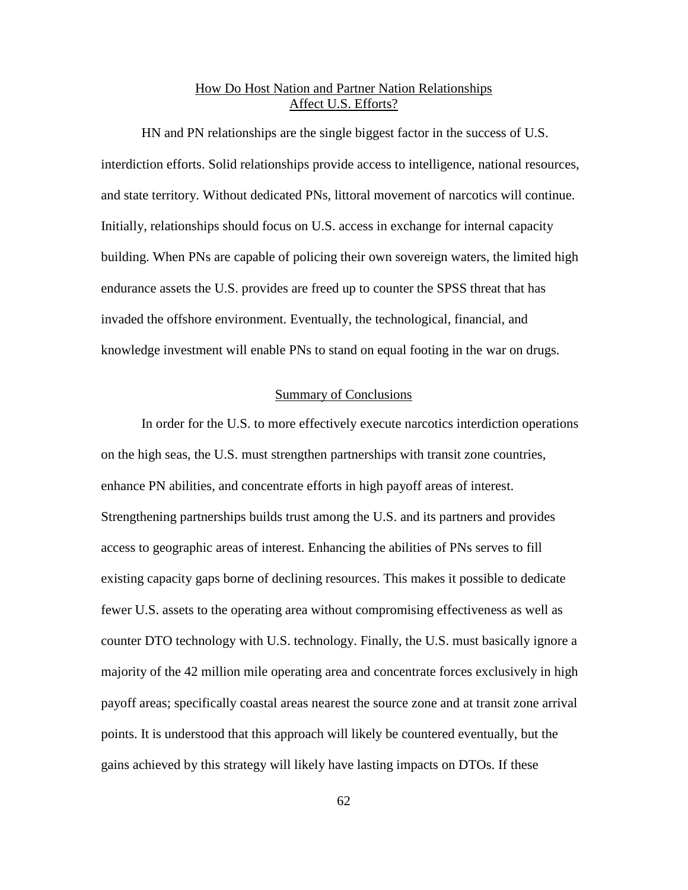# How Do Host Nation and Partner Nation Relationships Affect U.S. Efforts?

HN and PN relationships are the single biggest factor in the success of U.S. interdiction efforts. Solid relationships provide access to intelligence, national resources, and state territory. Without dedicated PNs, littoral movement of narcotics will continue. Initially, relationships should focus on U.S. access in exchange for internal capacity building. When PNs are capable of policing their own sovereign waters, the limited high endurance assets the U.S. provides are freed up to counter the SPSS threat that has invaded the offshore environment. Eventually, the technological, financial, and knowledge investment will enable PNs to stand on equal footing in the war on drugs.

## Summary of Conclusions

In order for the U.S. to more effectively execute narcotics interdiction operations on the high seas, the U.S. must strengthen partnerships with transit zone countries, enhance PN abilities, and concentrate efforts in high payoff areas of interest. Strengthening partnerships builds trust among the U.S. and its partners and provides access to geographic areas of interest. Enhancing the abilities of PNs serves to fill existing capacity gaps borne of declining resources. This makes it possible to dedicate fewer U.S. assets to the operating area without compromising effectiveness as well as counter DTO technology with U.S. technology. Finally, the U.S. must basically ignore a majority of the 42 million mile operating area and concentrate forces exclusively in high payoff areas; specifically coastal areas nearest the source zone and at transit zone arrival points. It is understood that this approach will likely be countered eventually, but the gains achieved by this strategy will likely have lasting impacts on DTOs. If these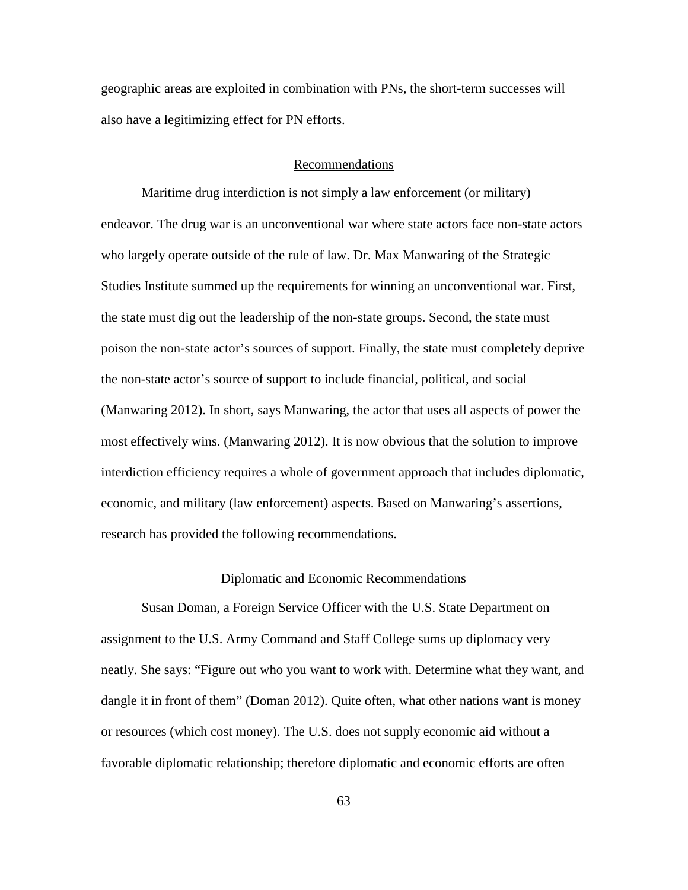geographic areas are exploited in combination with PNs, the short-term successes will also have a legitimizing effect for PN efforts.

### Recommendations

Maritime drug interdiction is not simply a law enforcement (or military) endeavor. The drug war is an unconventional war where state actors face non-state actors who largely operate outside of the rule of law. Dr. Max Manwaring of the Strategic Studies Institute summed up the requirements for winning an unconventional war. First, the state must dig out the leadership of the non-state groups. Second, the state must poison the non-state actor's sources of support. Finally, the state must completely deprive the non-state actor's source of support to include financial, political, and social (Manwaring 2012). In short, says Manwaring, the actor that uses all aspects of power the most effectively wins. (Manwaring 2012). It is now obvious that the solution to improve interdiction efficiency requires a whole of government approach that includes diplomatic, economic, and military (law enforcement) aspects. Based on Manwaring's assertions, research has provided the following recommendations.

### Diplomatic and Economic Recommendations

Susan Doman, a Foreign Service Officer with the U.S. State Department on assignment to the U.S. Army Command and Staff College sums up diplomacy very neatly. She says: "Figure out who you want to work with. Determine what they want, and dangle it in front of them" (Doman 2012). Quite often, what other nations want is money or resources (which cost money). The U.S. does not supply economic aid without a favorable diplomatic relationship; therefore diplomatic and economic efforts are often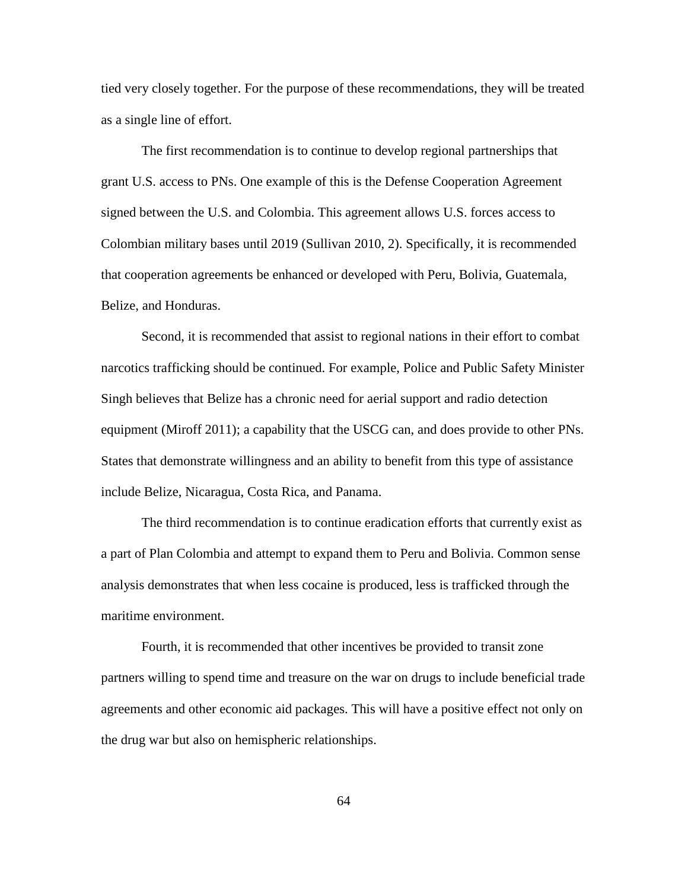tied very closely together. For the purpose of these recommendations, they will be treated as a single line of effort.

The first recommendation is to continue to develop regional partnerships that grant U.S. access to PNs. One example of this is the Defense Cooperation Agreement signed between the U.S. and Colombia. This agreement allows U.S. forces access to Colombian military bases until 2019 (Sullivan 2010, 2). Specifically, it is recommended that cooperation agreements be enhanced or developed with Peru, Bolivia, Guatemala, Belize, and Honduras.

Second, it is recommended that assist to regional nations in their effort to combat narcotics trafficking should be continued. For example, Police and Public Safety Minister Singh believes that Belize has a chronic need for aerial support and radio detection equipment (Miroff 2011); a capability that the USCG can, and does provide to other PNs. States that demonstrate willingness and an ability to benefit from this type of assistance include Belize, Nicaragua, Costa Rica, and Panama.

The third recommendation is to continue eradication efforts that currently exist as a part of Plan Colombia and attempt to expand them to Peru and Bolivia. Common sense analysis demonstrates that when less cocaine is produced, less is trafficked through the maritime environment.

Fourth, it is recommended that other incentives be provided to transit zone partners willing to spend time and treasure on the war on drugs to include beneficial trade agreements and other economic aid packages. This will have a positive effect not only on the drug war but also on hemispheric relationships.

64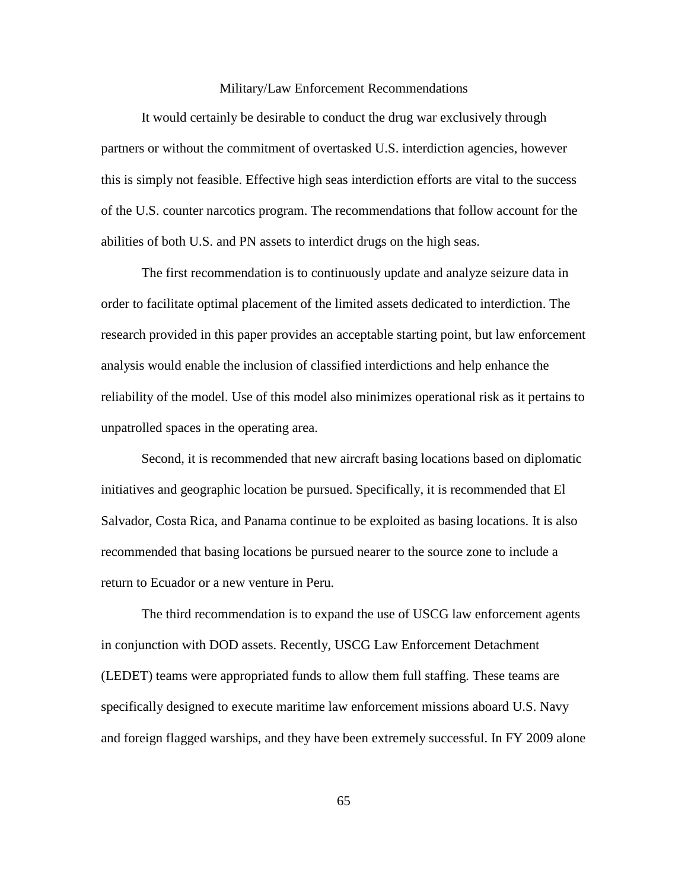#### Military/Law Enforcement Recommendations

It would certainly be desirable to conduct the drug war exclusively through partners or without the commitment of overtasked U.S. interdiction agencies, however this is simply not feasible. Effective high seas interdiction efforts are vital to the success of the U.S. counter narcotics program. The recommendations that follow account for the abilities of both U.S. and PN assets to interdict drugs on the high seas.

The first recommendation is to continuously update and analyze seizure data in order to facilitate optimal placement of the limited assets dedicated to interdiction. The research provided in this paper provides an acceptable starting point, but law enforcement analysis would enable the inclusion of classified interdictions and help enhance the reliability of the model. Use of this model also minimizes operational risk as it pertains to unpatrolled spaces in the operating area.

Second, it is recommended that new aircraft basing locations based on diplomatic initiatives and geographic location be pursued. Specifically, it is recommended that El Salvador, Costa Rica, and Panama continue to be exploited as basing locations. It is also recommended that basing locations be pursued nearer to the source zone to include a return to Ecuador or a new venture in Peru.

The third recommendation is to expand the use of USCG law enforcement agents in conjunction with DOD assets. Recently, USCG Law Enforcement Detachment (LEDET) teams were appropriated funds to allow them full staffing. These teams are specifically designed to execute maritime law enforcement missions aboard U.S. Navy and foreign flagged warships, and they have been extremely successful. In FY 2009 alone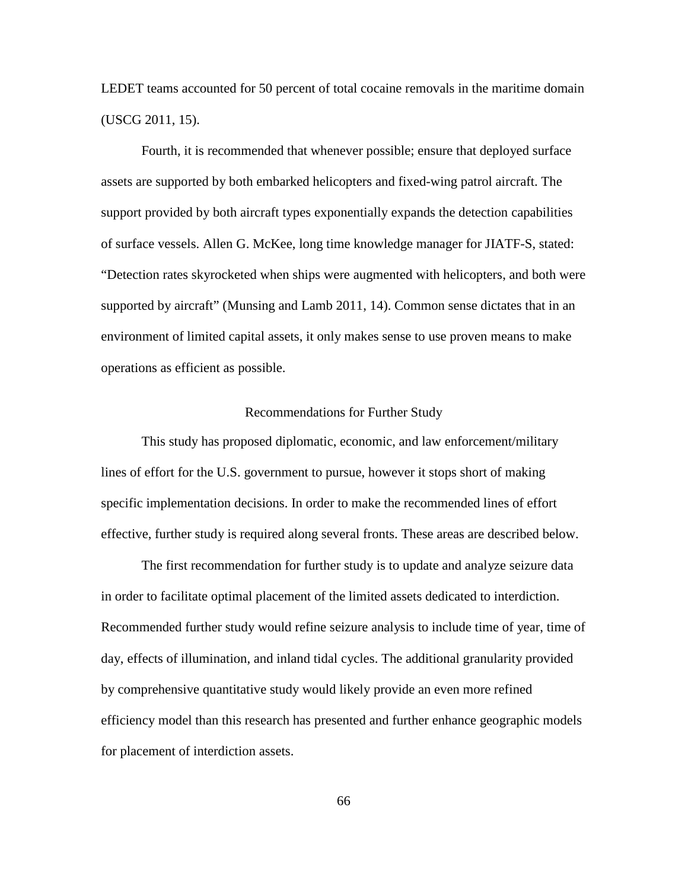LEDET teams accounted for 50 percent of total cocaine removals in the maritime domain (USCG 2011, 15).

Fourth, it is recommended that whenever possible; ensure that deployed surface assets are supported by both embarked helicopters and fixed-wing patrol aircraft. The support provided by both aircraft types exponentially expands the detection capabilities of surface vessels. Allen G. McKee, long time knowledge manager for JIATF-S, stated: "Detection rates skyrocketed when ships were augmented with helicopters, and both were supported by aircraft" (Munsing and Lamb 2011, 14). Common sense dictates that in an environment of limited capital assets, it only makes sense to use proven means to make operations as efficient as possible.

#### Recommendations for Further Study

This study has proposed diplomatic, economic, and law enforcement/military lines of effort for the U.S. government to pursue, however it stops short of making specific implementation decisions. In order to make the recommended lines of effort effective, further study is required along several fronts. These areas are described below.

The first recommendation for further study is to update and analyze seizure data in order to facilitate optimal placement of the limited assets dedicated to interdiction. Recommended further study would refine seizure analysis to include time of year, time of day, effects of illumination, and inland tidal cycles. The additional granularity provided by comprehensive quantitative study would likely provide an even more refined efficiency model than this research has presented and further enhance geographic models for placement of interdiction assets.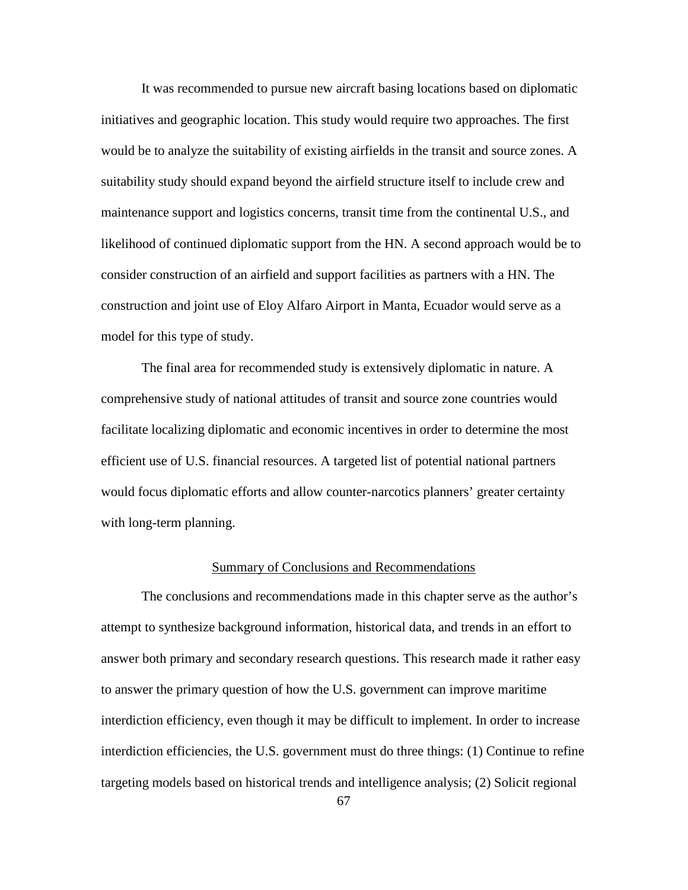It was recommended to pursue new aircraft basing locations based on diplomatic initiatives and geographic location. This study would require two approaches. The first would be to analyze the suitability of existing airfields in the transit and source zones. A suitability study should expand beyond the airfield structure itself to include crew and maintenance support and logistics concerns, transit time from the continental U.S., and likelihood of continued diplomatic support from the HN. A second approach would be to consider construction of an airfield and support facilities as partners with a HN. The construction and joint use of Eloy Alfaro Airport in Manta, Ecuador would serve as a model for this type of study.

The final area for recommended study is extensively diplomatic in nature. A comprehensive study of national attitudes of transit and source zone countries would facilitate localizing diplomatic and economic incentives in order to determine the most efficient use of U.S. financial resources. A targeted list of potential national partners would focus diplomatic efforts and allow counter-narcotics planners' greater certainty with long-term planning.

#### Summary of Conclusions and Recommendations

The conclusions and recommendations made in this chapter serve as the author's attempt to synthesize background information, historical data, and trends in an effort to answer both primary and secondary research questions. This research made it rather easy to answer the primary question of how the U.S. government can improve maritime interdiction efficiency, even though it may be difficult to implement. In order to increase interdiction efficiencies, the U.S. government must do three things: (1) Continue to refine targeting models based on historical trends and intelligence analysis; (2) Solicit regional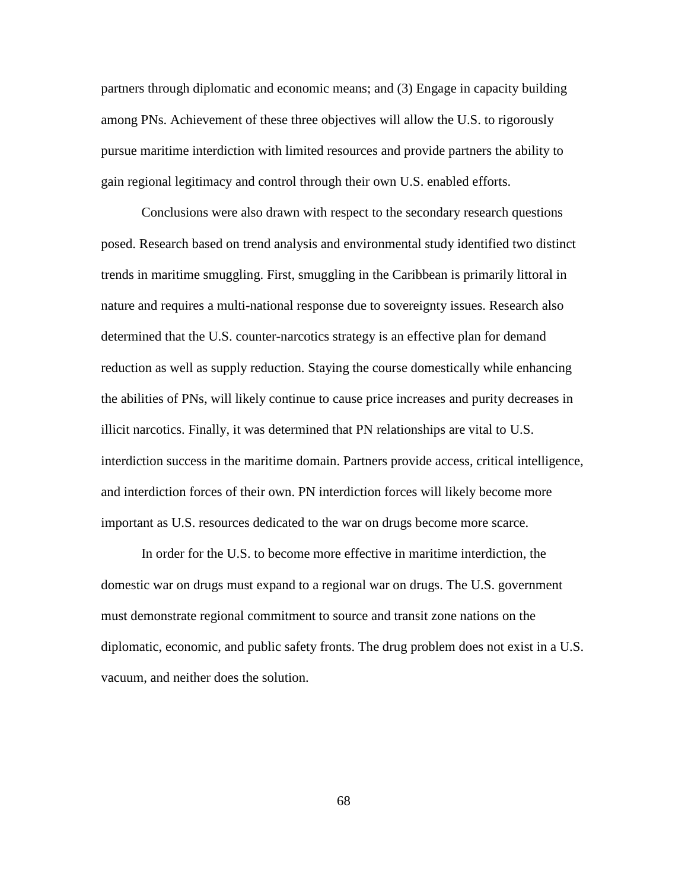partners through diplomatic and economic means; and (3) Engage in capacity building among PNs. Achievement of these three objectives will allow the U.S. to rigorously pursue maritime interdiction with limited resources and provide partners the ability to gain regional legitimacy and control through their own U.S. enabled efforts.

Conclusions were also drawn with respect to the secondary research questions posed. Research based on trend analysis and environmental study identified two distinct trends in maritime smuggling. First, smuggling in the Caribbean is primarily littoral in nature and requires a multi-national response due to sovereignty issues. Research also determined that the U.S. counter-narcotics strategy is an effective plan for demand reduction as well as supply reduction. Staying the course domestically while enhancing the abilities of PNs, will likely continue to cause price increases and purity decreases in illicit narcotics. Finally, it was determined that PN relationships are vital to U.S. interdiction success in the maritime domain. Partners provide access, critical intelligence, and interdiction forces of their own. PN interdiction forces will likely become more important as U.S. resources dedicated to the war on drugs become more scarce.

In order for the U.S. to become more effective in maritime interdiction, the domestic war on drugs must expand to a regional war on drugs. The U.S. government must demonstrate regional commitment to source and transit zone nations on the diplomatic, economic, and public safety fronts. The drug problem does not exist in a U.S. vacuum, and neither does the solution.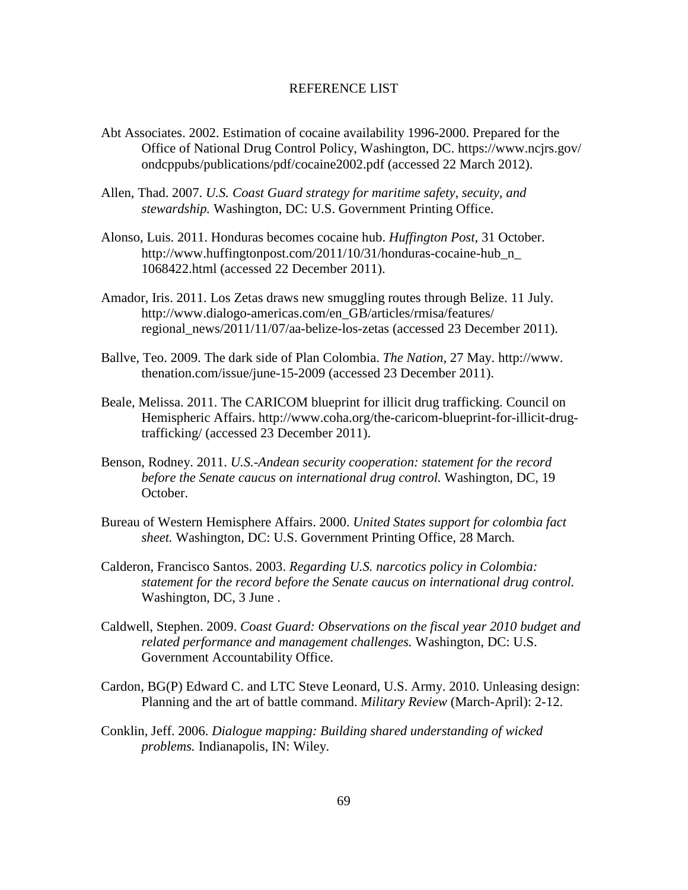#### REFERENCE LIST

- Abt Associates. 2002. Estimation of cocaine availability 1996-2000. Prepared for the Office of National Drug Control Policy, Washington, DC. https://www.ncjrs.gov/ ondcppubs/publications/pdf/cocaine2002.pdf (accessed 22 March 2012).
- Allen, Thad. 2007. *U.S. Coast Guard strategy for maritime safety, secuity, and stewardship.* Washington, DC: U.S. Government Printing Office.
- Alonso, Luis. 2011. Honduras becomes cocaine hub. *Huffington Post*, 31 October. http://www.huffingtonpost.com/2011/10/31/honduras-cocaine-hub\_n\_ 1068422.html (accessed 22 December 2011).
- Amador, Iris. 2011. Los Zetas draws new smuggling routes through Belize. 11 July. http://www.dialogo-americas.com/en\_GB/articles/rmisa/features/ regional\_news/2011/11/07/aa-belize-los-zetas (accessed 23 December 2011).
- Ballve, Teo. 2009. The dark side of Plan Colombia. *The Nation,* 27 May. http://www. thenation.com/issue/june-15-2009 (accessed 23 December 2011).
- Beale, Melissa. 2011. The CARICOM blueprint for illicit drug trafficking. Council on Hemispheric Affairs. http://www.coha.org/the-caricom-blueprint-for-illicit-drugtrafficking/ (accessed 23 December 2011).
- Benson, Rodney. 2011. *U.S.-Andean security cooperation: statement for the record before the Senate caucus on international drug control.* Washington, DC, 19 October.
- Bureau of Western Hemisphere Affairs. 2000. *United States support for colombia fact sheet.* Washington, DC: U.S. Government Printing Office, 28 March.
- Calderon, Francisco Santos. 2003. *Regarding U.S. narcotics policy in Colombia: statement for the record before the Senate caucus on international drug control.* Washington, DC, 3 June .
- Caldwell, Stephen. 2009. *Coast Guard: Observations on the fiscal year 2010 budget and related performance and management challenges.* Washington, DC: U.S. Government Accountability Office.
- Cardon, BG(P) Edward C. and LTC Steve Leonard, U.S. Army. 2010. Unleasing design: Planning and the art of battle command. *Military Review* (March-April): 2-12.
- Conklin, Jeff. 2006. *Dialogue mapping: Building shared understanding of wicked problems.* Indianapolis, IN: Wiley.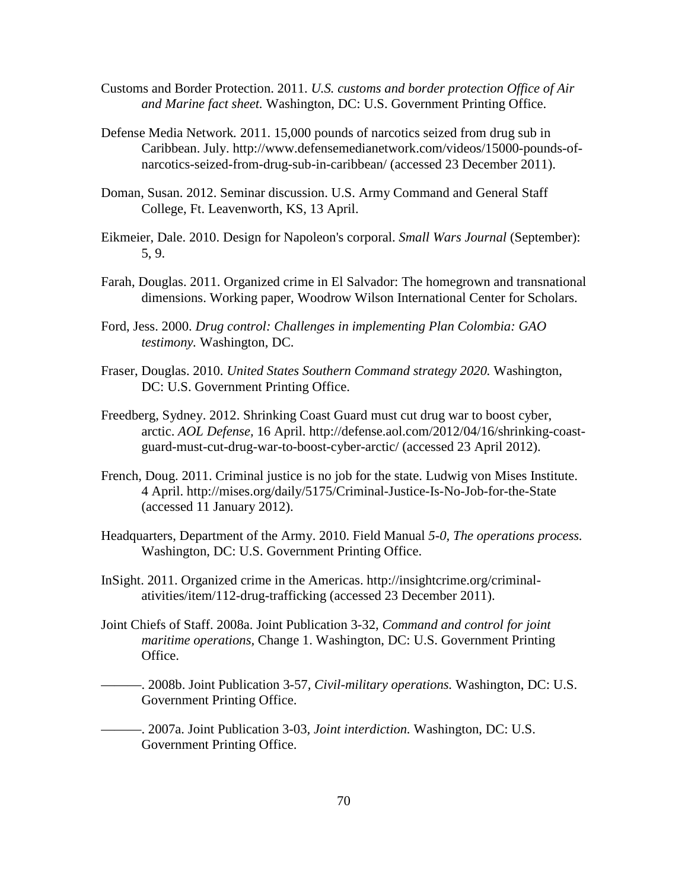- Customs and Border Protection. 2011. *U.S. customs and border protection Office of Air and Marine fact sheet.* Washington, DC: U.S. Government Printing Office.
- Defense Media Network*.* 2011. 15,000 pounds of narcotics seized from drug sub in Caribbean. July. http://www.defensemedianetwork.com/videos/15000-pounds-ofnarcotics-seized-from-drug-sub-in-caribbean/ (accessed 23 December 2011).
- Doman, Susan. 2012. Seminar discussion. U.S. Army Command and General Staff College, Ft. Leavenworth, KS, 13 April.
- Eikmeier, Dale. 2010. Design for Napoleon's corporal. *Small Wars Journal* (September): 5, 9.
- Farah, Douglas. 2011. Organized crime in El Salvador: The homegrown and transnational dimensions. Working paper, Woodrow Wilson International Center for Scholars.
- Ford, Jess. 2000. *Drug control: Challenges in implementing Plan Colombia: GAO testimony.* Washington, DC.
- Fraser, Douglas. 2010. *United States Southern Command strategy 2020.* Washington, DC: U.S. Government Printing Office.
- Freedberg, Sydney. 2012. Shrinking Coast Guard must cut drug war to boost cyber, arctic. *AOL Defense,* 16 April. http://defense.aol.com/2012/04/16/shrinking-coastguard-must-cut-drug-war-to-boost-cyber-arctic/ (accessed 23 April 2012).
- French, Doug. 2011. Criminal justice is no job for the state. Ludwig von Mises Institute. 4 April. http://mises.org/daily/5175/Criminal-Justice-Is-No-Job-for-the-State (accessed 11 January 2012).
- Headquarters, Department of the Army. 2010. Field Manual *5-0, The operations process.* Washington, DC: U.S. Government Printing Office.
- InSight. 2011. Organized crime in the Americas. http://insightcrime.org/criminalativities/item/112-drug-trafficking (accessed 23 December 2011).
- Joint Chiefs of Staff. 2008a. Joint Publication 3-32*, Command and control for joint maritime operations,* Change 1. Washington, DC: U.S. Government Printing Office.
	- ———. 2008b. Joint Publication 3-57*, Civil-military operations.* Washington, DC: U.S. Government Printing Office.
- ———. 2007a. Joint Publication 3-03*, Joint interdiction.* Washington, DC: U.S. Government Printing Office.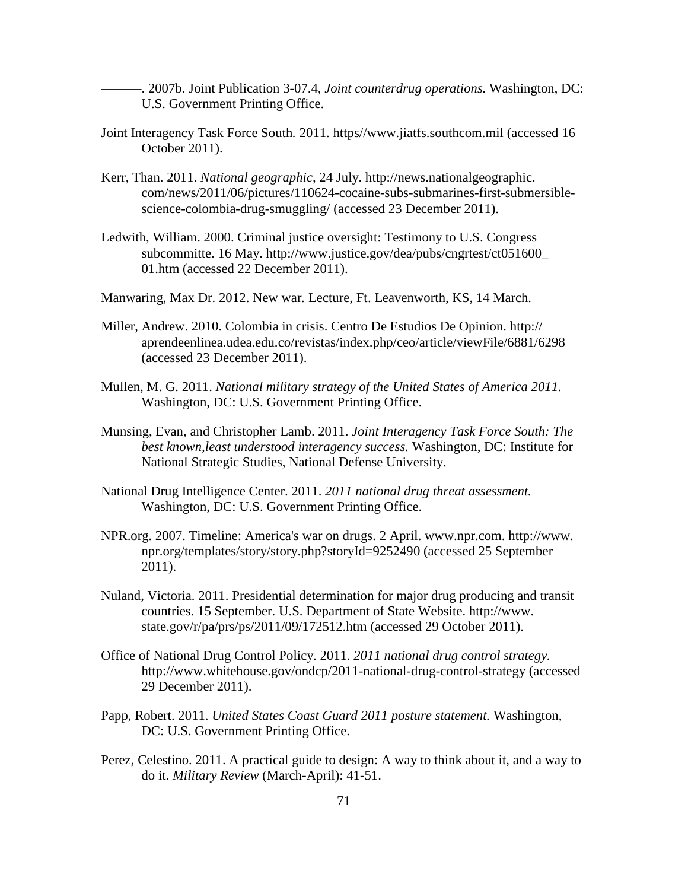———. 2007b. Joint Publication 3-07.4*, Joint counterdrug operations.* Washington, DC: U.S. Government Printing Office.

- Joint Interagency Task Force South*.* 2011. https//www.jiatfs.southcom.mil (accessed 16 October 2011).
- Kerr, Than. 2011. *National geographic,* 24 July. http://news.nationalgeographic. com/news/2011/06/pictures/110624-cocaine-subs-submarines-first-submersiblescience-colombia-drug-smuggling/ (accessed 23 December 2011).
- Ledwith, William. 2000. Criminal justice oversight: Testimony to U.S. Congress subcommitte. 16 May. http://www.justice.gov/dea/pubs/cngrtest/ct051600\_ 01.htm (accessed 22 December 2011).

Manwaring, Max Dr. 2012. New war*.* Lecture, Ft. Leavenworth, KS, 14 March.

- Miller, Andrew. 2010. Colombia in crisis. Centro De Estudios De Opinion. http:// aprendeenlinea.udea.edu.co/revistas/index.php/ceo/article/viewFile/6881/6298 (accessed 23 December 2011).
- Mullen, M. G. 2011. *National military strategy of the United States of America 2011.* Washington, DC: U.S. Government Printing Office.
- Munsing, Evan, and Christopher Lamb. 2011. *Joint Interagency Task Force South: The best known,least understood interagency success.* Washington, DC: Institute for National Strategic Studies, National Defense University.
- National Drug Intelligence Center. 2011. *2011 national drug threat assessment.* Washington, DC: U.S. Government Printing Office.
- NPR.org. 2007. Timeline: America's war on drugs. 2 April. www.npr.com. http://www. npr.org/templates/story/story.php?storyId=9252490 (accessed 25 September 2011).
- Nuland, Victoria. 2011. Presidential determination for major drug producing and transit countries. 15 September. U.S. Department of State Website. http://www. state.gov/r/pa/prs/ps/2011/09/172512.htm (accessed 29 October 2011).
- Office of National Drug Control Policy. 2011. *2011 national drug control strategy.* http://www.whitehouse.gov/ondcp/2011-national-drug-control-strategy (accessed 29 December 2011).
- Papp, Robert. 2011. *United States Coast Guard 2011 posture statement.* Washington, DC: U.S. Government Printing Office.
- Perez, Celestino. 2011. A practical guide to design: A way to think about it, and a way to do it. *Military Review* (March-April): 41-51.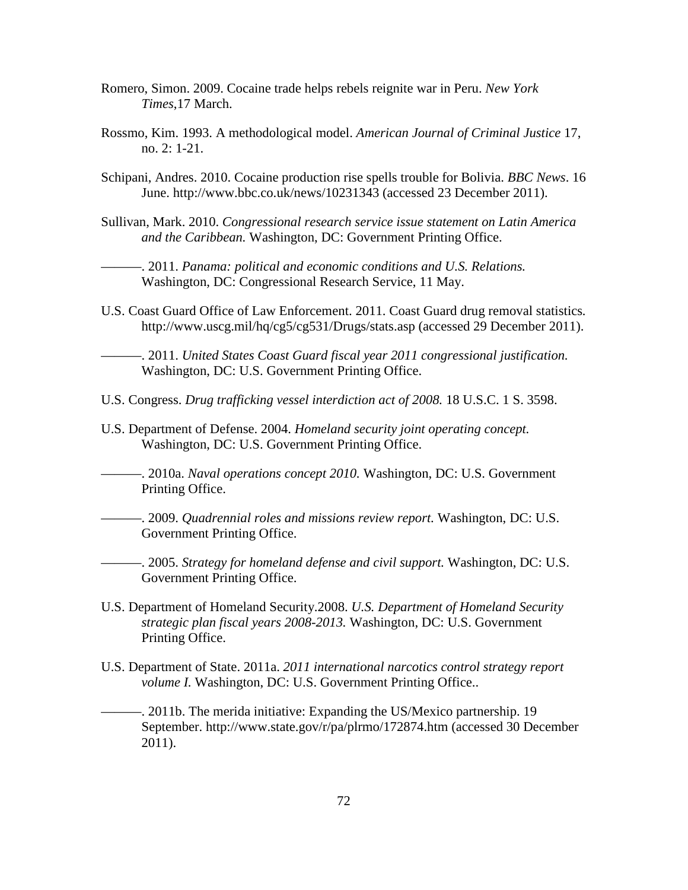- Romero, Simon. 2009. Cocaine trade helps rebels reignite war in Peru. *New York Times*,17 March.
- Rossmo, Kim. 1993. A methodological model. *American Journal of Criminal Justice* 17, no. 2: 1-21.
- Schipani, Andres. 2010. Cocaine production rise spells trouble for Bolivia. *BBC News*. 16 June. http://www.bbc.co.uk/news/10231343 (accessed 23 December 2011).
- Sullivan, Mark. 2010. *Congressional research service issue statement on Latin America and the Caribbean.* Washington, DC: Government Printing Office.

———. 2011. *Panama: political and economic conditions and U.S. Relations.* Washington, DC: Congressional Research Service, 11 May.

U.S. Coast Guard Office of Law Enforcement. 2011. Coast Guard drug removal statistics*.* http://www.uscg.mil/hq/cg5/cg531/Drugs/stats.asp (accessed 29 December 2011).

———. 2011. *United States Coast Guard fiscal year 2011 congressional justification.* Washington, DC: U.S. Government Printing Office.

- U.S. Congress. *Drug trafficking vessel interdiction act of 2008.* 18 U.S.C. 1 S. 3598.
- U.S. Department of Defense. 2004. *Homeland security joint operating concept.* Washington, DC: U.S. Government Printing Office.

———. 2010a. *Naval operations concept 2010.* Washington, DC: U.S. Government Printing Office.

———. 2009. *Quadrennial roles and missions review report.* Washington, DC: U.S. Government Printing Office.

———. 2005. *Strategy for homeland defense and civil support.* Washington, DC: U.S. Government Printing Office.

- U.S. Department of Homeland Security.2008. *U.S. Department of Homeland Security strategic plan fiscal years 2008-2013.* Washington, DC: U.S. Government Printing Office.
- U.S. Department of State. 2011a. *2011 international narcotics control strategy report volume I.* Washington, DC: U.S. Government Printing Office..

———. 2011b. The merida initiative: Expanding the US/Mexico partnership. 19 September. http://www.state.gov/r/pa/plrmo/172874.htm (accessed 30 December 2011).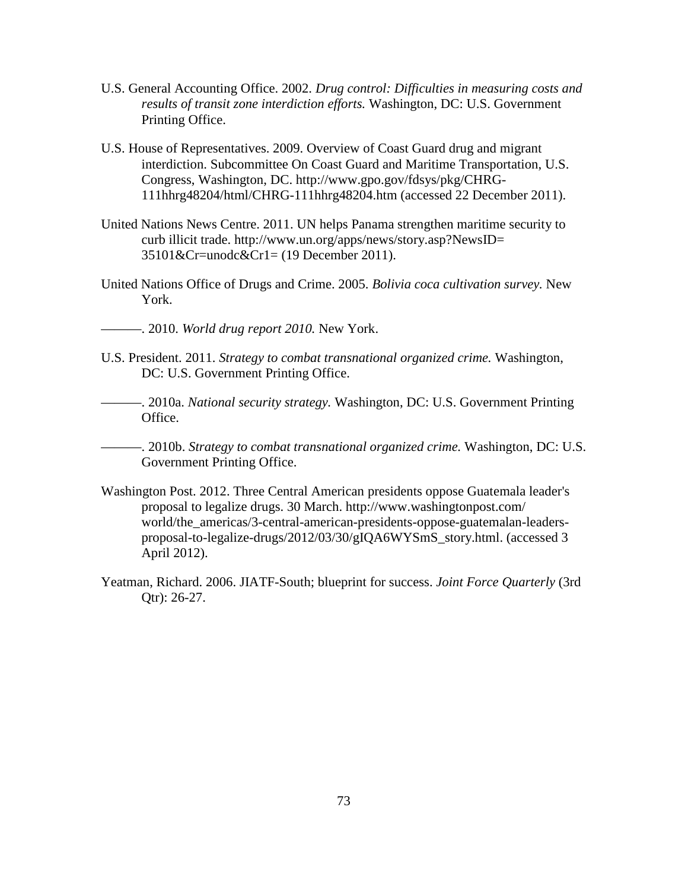- U.S. General Accounting Office. 2002. *Drug control: Difficulties in measuring costs and results of transit zone interdiction efforts.* Washington, DC: U.S. Government Printing Office.
- U.S. House of Representatives. 2009. Overview of Coast Guard drug and migrant interdiction. Subcommittee On Coast Guard and Maritime Transportation, U.S. Congress, Washington, DC. http://www.gpo.gov/fdsys/pkg/CHRG-111hhrg48204/html/CHRG-111hhrg48204.htm (accessed 22 December 2011).
- United Nations News Centre. 2011. UN helps Panama strengthen maritime security to curb illicit trade. http://www.un.org/apps/news/story.asp?NewsID= 35101&Cr=unodc&Cr1= (19 December 2011).
- United Nations Office of Drugs and Crime. 2005. *Bolivia coca cultivation survey.* New York.
- ———. 2010. *World drug report 2010.* New York.
- U.S. President. 2011. *Strategy to combat transnational organized crime.* Washington, DC: U.S. Government Printing Office.
- ———. 2010a. *National security strategy.* Washington, DC: U.S. Government Printing Office.

———. 2010b. *Strategy to combat transnational organized crime.* Washington, DC: U.S. Government Printing Office.

- Washington Post. 2012. Three Central American presidents oppose Guatemala leader's proposal to legalize drugs. 30 March. http://www.washingtonpost.com/ world/the\_americas/3-central-american-presidents-oppose-guatemalan-leadersproposal-to-legalize-drugs/2012/03/30/gIQA6WYSmS\_story.html. (accessed 3 April 2012).
- Yeatman, Richard. 2006. JIATF-South; blueprint for success. *Joint Force Quarterly* (3rd Qtr): 26-27.